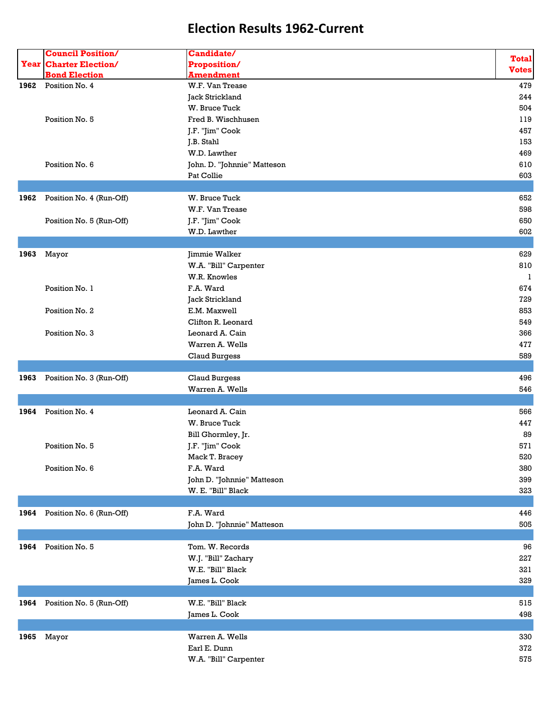|      | <b>Council Position/</b>      | Candidate/                  |              |
|------|-------------------------------|-----------------------------|--------------|
|      | <b>Year Charter Election/</b> | Proposition/                | <b>Total</b> |
|      | <b>Bond Election</b>          | <b>Amendment</b>            | <b>Votes</b> |
| 1962 | Position No. 4                | W.F. Van Trease             | 479          |
|      |                               | Jack Strickland             | 244          |
|      |                               | W. Bruce Tuck               | 504          |
|      | Position No. 5                | Fred B. Wischhusen          | 119          |
|      |                               | J.F. "Jim" Cook             | 457          |
|      |                               | J.B. Stahl                  | 153          |
|      |                               | W.D. Lawther                | 469          |
|      | Position No. 6                | John. D. "Johnnie" Matteson | 610          |
|      |                               | Pat Collie                  | 603          |
|      |                               |                             |              |
| 1962 | Position No. 4 (Run-Off)      | W. Bruce Tuck               | 652          |
|      |                               | W.F. Van Trease             | 598          |
|      | Position No. 5 (Run-Off)      | J.F. "Jim" Cook             | 650          |
|      |                               | W.D. Lawther                | 602          |
|      |                               |                             |              |
| 1963 | Mayor                         | Jimmie Walker               | 629          |
|      |                               | W.A. "Bill" Carpenter       | 810          |
|      |                               | W.R. Knowles                | 1            |
|      | Position No. 1                | F.A. Ward                   | 674          |
|      |                               | Jack Strickland             | 729          |
|      | Position No. 2                | E.M. Maxwell                | 853          |
|      |                               | Clifton R. Leonard          | 549          |
|      | Position No. 3                | Leonard A. Cain             | 366          |
|      |                               | Warren A. Wells             | 477          |
|      |                               | <b>Claud Burgess</b>        | 589          |
|      |                               |                             |              |
| 1963 | Position No. 3 (Run-Off)      | <b>Claud Burgess</b>        | 496          |
|      |                               | Warren A. Wells             | 546          |
|      |                               |                             |              |
| 1964 | Position No. 4                | Leonard A. Cain             | 566          |
|      |                               | W. Bruce Tuck               | 447          |
|      |                               | Bill Ghormley, Jr.          | 89           |
|      | Position No. 5                | J.F. "Jim" Cook             | 571          |
|      |                               | Mack T. Bracey              | 520          |
|      | Position No. 6                | F.A. Ward                   | 380          |
|      |                               | John D. "Johnnie" Matteson  | 399          |
|      |                               | W. E. "Bill" Black          | 323          |
|      |                               |                             |              |
|      | 1964 Position No. 6 (Run-Off) | F.A. Ward                   | 446          |
|      |                               | John D. "Johnnie" Matteson  | 505          |
|      |                               |                             |              |
|      | 1964 Position No. 5           | Tom. W. Records             | 96           |
|      |                               | W.J. "Bill" Zachary         | 227          |
|      |                               | W.E. "Bill" Black           | 321          |
|      |                               | James L. Cook               | 329          |
|      |                               |                             |              |
|      | 1964 Position No. 5 (Run-Off) | W.E. "Bill" Black           | 515          |
|      |                               | James L. Cook               | 498          |
|      |                               |                             |              |
|      | 1965 Mayor                    | Warren A. Wells             | 330          |
|      |                               | Earl E. Dunn                | 372          |
|      |                               | W.A. "Bill" Carpenter       | 575          |
|      |                               |                             |              |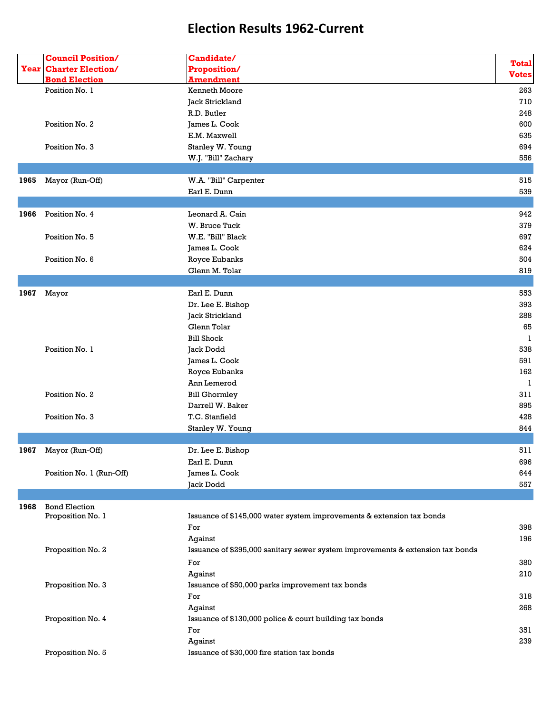|      | <b>Council Position/</b>      | Candidate/                                                                     |              |
|------|-------------------------------|--------------------------------------------------------------------------------|--------------|
|      | <b>Year Charter Election/</b> | Proposition/                                                                   | <b>Total</b> |
|      | <b>Bond Election</b>          | <b>Amendment</b>                                                               | <b>Votes</b> |
|      | Position No. 1                | <b>Kenneth Moore</b>                                                           | 263          |
|      |                               | Jack Strickland                                                                | 710          |
|      |                               | R.D. Butler                                                                    | 248          |
|      | Position No. 2                | James L. Cook                                                                  | 600          |
|      |                               | E.M. Maxwell                                                                   | 635          |
|      | Position No. 3                | Stanley W. Young                                                               | 694          |
|      |                               | W.J. "Bill" Zachary                                                            | 556          |
|      |                               |                                                                                |              |
| 1965 | Mayor (Run-Off)               | W.A. "Bill" Carpenter                                                          | 515          |
|      |                               | Earl E. Dunn                                                                   | 539          |
|      |                               |                                                                                |              |
| 1966 | Position No. 4                | Leonard A. Cain                                                                | 942          |
|      |                               | W. Bruce Tuck                                                                  | 379          |
|      | Position No. 5                | W.E. "Bill" Black                                                              | 697          |
|      |                               | James L. Cook                                                                  | 624          |
|      | Position No. 6                | Royce Eubanks                                                                  | 504          |
|      |                               | Glenn M. Tolar                                                                 | 819          |
|      |                               |                                                                                |              |
| 1967 | Mayor                         | Earl E. Dunn                                                                   | 553          |
|      |                               | Dr. Lee E. Bishop                                                              | 393          |
|      |                               | Jack Strickland                                                                | 288          |
|      |                               | Glenn Tolar                                                                    | 65           |
|      |                               | <b>Bill Shock</b>                                                              | 1            |
|      | Position No. 1                | Jack Dodd                                                                      | 538          |
|      |                               | James L. Cook                                                                  | 591          |
|      |                               | Royce Eubanks                                                                  | 162          |
|      |                               | Ann Lemerod                                                                    | 1            |
|      | Position No. 2                | <b>Bill Ghormley</b>                                                           | 311          |
|      |                               | Darrell W. Baker                                                               | 895          |
|      | Position No. 3                | T.C. Stanfield                                                                 | 428          |
|      |                               | Stanley W. Young                                                               | 844          |
|      |                               |                                                                                |              |
| 1967 | Mayor (Run-Off)               | Dr. Lee E. Bishop                                                              | 511          |
|      |                               | Earl E. Dunn                                                                   | 696          |
|      | Position No. 1 (Run-Off)      | James L. Cook                                                                  | 644          |
|      |                               | Jack Dodd                                                                      | 557          |
|      |                               |                                                                                |              |
| 1968 | <b>Bond Election</b>          |                                                                                |              |
|      | Proposition No. 1             | Issuance of \$145,000 water system improvements & extension tax bonds          |              |
|      |                               | For                                                                            | 398          |
|      |                               | Against                                                                        | 196          |
|      | Proposition No. 2             | Issuance of \$295,000 sanitary sewer system improvements & extension tax bonds |              |
|      |                               | For                                                                            | 380          |
|      |                               | Against                                                                        | 210          |
|      | Proposition No. 3             | Issuance of \$50,000 parks improvement tax bonds                               |              |
|      |                               | For                                                                            | 318          |
|      |                               | Against                                                                        | 268          |
|      | Proposition No. 4             | Issuance of \$130,000 police & court building tax bonds                        |              |
|      |                               | For                                                                            | 351          |
|      |                               | Against                                                                        | 239          |
|      | Proposition No. 5             | Issuance of \$30,000 fire station tax bonds                                    |              |
|      |                               |                                                                                |              |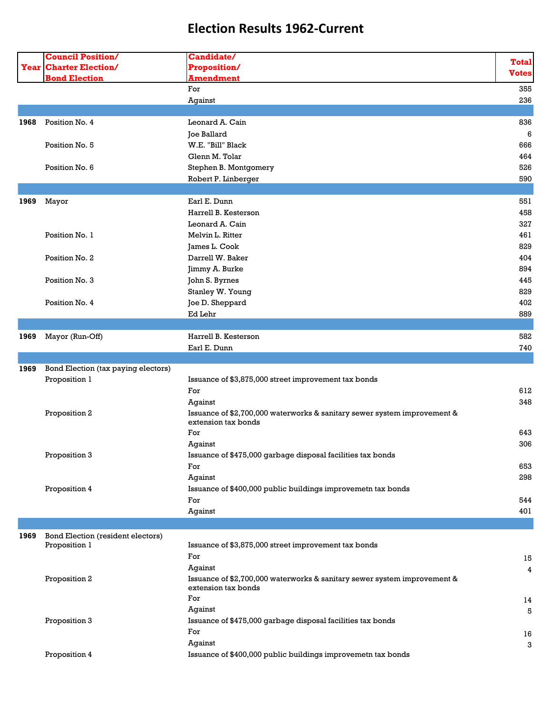|      | <b>Council Position/</b><br><b>Year Charter Election/</b> | <b>Candidate/</b><br>Proposition/                                                               | <b>Total</b> |
|------|-----------------------------------------------------------|-------------------------------------------------------------------------------------------------|--------------|
|      | <b>Bond Election</b>                                      | <b>Amendment</b>                                                                                | <b>Votes</b> |
|      |                                                           | For                                                                                             | 355          |
|      |                                                           | Against                                                                                         | 236          |
|      |                                                           |                                                                                                 |              |
| 1968 | Position No. 4                                            | Leonard A. Cain                                                                                 | 836          |
|      |                                                           | Joe Ballard                                                                                     | 6            |
|      | Position No. 5                                            | W.E. "Bill" Black                                                                               | 666          |
|      |                                                           | Glenn M. Tolar                                                                                  | 464          |
|      | Position No. 6                                            | Stephen B. Montgomery                                                                           | 526          |
|      |                                                           | Robert P. Linberger                                                                             | 590          |
|      |                                                           |                                                                                                 |              |
| 1969 | Mayor                                                     | Earl E. Dunn                                                                                    | 551          |
|      |                                                           | Harrell B. Kesterson                                                                            | 458          |
|      |                                                           | Leonard A. Cain                                                                                 | 327          |
|      | Position No. 1                                            | Melvin L. Ritter                                                                                | 461          |
|      |                                                           | James L. Cook                                                                                   | 829          |
|      | Position No. 2                                            | Darrell W. Baker                                                                                | 404          |
|      |                                                           | Jimmy A. Burke                                                                                  | 894          |
|      | Position No. 3                                            | John S. Byrnes                                                                                  | 445          |
|      |                                                           | Stanley W. Young                                                                                | 829          |
|      | Position No. 4                                            | Joe D. Sheppard                                                                                 | 402          |
|      |                                                           | Ed Lehr                                                                                         | 889          |
|      |                                                           |                                                                                                 |              |
| 1969 | Mayor (Run-Off)                                           | Harrell B. Kesterson                                                                            | 582          |
|      |                                                           | Earl E. Dunn                                                                                    | 740          |
|      |                                                           |                                                                                                 |              |
| 1969 | Bond Election (tax paying electors)                       |                                                                                                 |              |
|      | Proposition 1                                             | Issuance of \$3,875,000 street improvement tax bonds                                            |              |
|      |                                                           | For                                                                                             | 612          |
|      |                                                           | Against                                                                                         | 348          |
|      | Proposition 2                                             | Issuance of \$2,700,000 waterworks & sanitary sewer system improvement &<br>extension tax bonds |              |
|      |                                                           | For                                                                                             | 643          |
|      |                                                           | Against                                                                                         | 306          |
|      | Proposition 3                                             | Issuance of \$475,000 garbage disposal facilities tax bonds                                     |              |
|      |                                                           | For                                                                                             | 653          |
|      |                                                           | Against                                                                                         | 298          |
|      | Proposition 4                                             | Issuance of \$400,000 public buildings improvemetn tax bonds                                    |              |
|      |                                                           | For                                                                                             | 544          |
|      |                                                           | Against                                                                                         | 401          |
|      |                                                           |                                                                                                 |              |
| 1969 | Bond Election (resident electors)                         |                                                                                                 |              |
|      | Proposition 1                                             | Issuance of \$3,875,000 street improvement tax bonds                                            |              |
|      |                                                           | For                                                                                             | 15           |
|      |                                                           | Against                                                                                         | 4            |
|      | Proposition 2                                             | Issuance of \$2,700,000 waterworks & sanitary sewer system improvement &                        |              |
|      |                                                           | extension tax bonds                                                                             |              |
|      |                                                           | For                                                                                             | 14           |
|      |                                                           | Against                                                                                         | 5            |
|      | Proposition 3                                             | Issuance of \$475,000 garbage disposal facilities tax bonds                                     |              |
|      |                                                           | For                                                                                             | 16           |
|      |                                                           | Against                                                                                         | 3            |
|      | Proposition 4                                             | Issuance of \$400,000 public buildings improvemetn tax bonds                                    |              |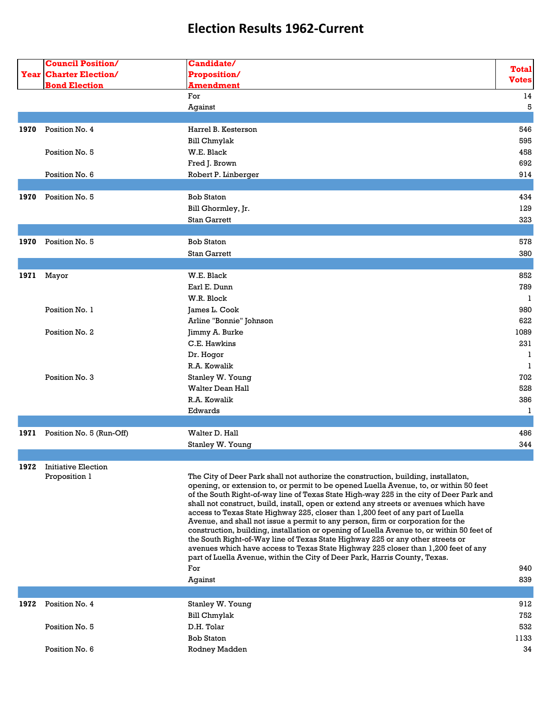|      | <b>Council Position/</b>      | Candidate/                                                                                                                                                                       |              |
|------|-------------------------------|----------------------------------------------------------------------------------------------------------------------------------------------------------------------------------|--------------|
|      | <b>Year Charter Election/</b> | Proposition/                                                                                                                                                                     | <b>Total</b> |
|      | <b>Bond Election</b>          | <b>Amendment</b>                                                                                                                                                                 | <b>Votes</b> |
|      |                               | For                                                                                                                                                                              | 14           |
|      |                               | Against                                                                                                                                                                          | 5            |
|      |                               |                                                                                                                                                                                  |              |
| 1970 | Position No. 4                | Harrel B. Kesterson                                                                                                                                                              | 546          |
|      |                               | <b>Bill Chmylak</b>                                                                                                                                                              | 595          |
|      | Position No. 5                | W.E. Black                                                                                                                                                                       | 458          |
|      |                               | Fred J. Brown                                                                                                                                                                    | 692          |
|      | Position No. 6                |                                                                                                                                                                                  | 914          |
|      |                               | Robert P. Linberger                                                                                                                                                              |              |
|      |                               |                                                                                                                                                                                  |              |
| 1970 | Position No. 5                | <b>Bob Staton</b>                                                                                                                                                                | 434          |
|      |                               | Bill Ghormley, Jr.                                                                                                                                                               | 129          |
|      |                               | <b>Stan Garrett</b>                                                                                                                                                              | 323          |
|      |                               |                                                                                                                                                                                  |              |
| 1970 | Position No. 5                | <b>Bob Staton</b>                                                                                                                                                                | 578          |
|      |                               | Stan Garrett                                                                                                                                                                     | 380          |
|      |                               |                                                                                                                                                                                  |              |
| 1971 | Mayor                         | W.E. Black                                                                                                                                                                       | 852          |
|      |                               | Earl E. Dunn                                                                                                                                                                     | 789          |
|      |                               | W.R. Block                                                                                                                                                                       | -1           |
|      | Position No. 1                | James L. Cook                                                                                                                                                                    | 980          |
|      |                               | Arline "Bonnie" Johnson                                                                                                                                                          | 622          |
|      | Position No. 2                | Jimmy A. Burke                                                                                                                                                                   | 1089         |
|      |                               | C.E. Hawkins                                                                                                                                                                     | 231          |
|      |                               | Dr. Hogor                                                                                                                                                                        | -1           |
|      |                               | R.A. Kowalik                                                                                                                                                                     | 1            |
|      | Position No. 3                | Stanley W. Young                                                                                                                                                                 | 702          |
|      |                               | <b>Walter Dean Hall</b>                                                                                                                                                          | 528          |
|      |                               | R.A. Kowalik                                                                                                                                                                     | 386          |
|      |                               |                                                                                                                                                                                  |              |
|      |                               | Edwards                                                                                                                                                                          | 1            |
|      |                               | Walter D. Hall                                                                                                                                                                   |              |
| 1971 | Position No. 5 (Run-Off)      |                                                                                                                                                                                  | 486          |
|      |                               | Stanley W. Young                                                                                                                                                                 | 344          |
|      |                               |                                                                                                                                                                                  |              |
| 1972 | <b>Initiative Election</b>    |                                                                                                                                                                                  |              |
|      | Proposition 1                 | The City of Deer Park shall not authorize the construction, building, installaton,                                                                                               |              |
|      |                               | opening, or extension to, or permit to be opened Luella Avenue, to, or within 50 feet<br>of the South Right-of-way line of Texas State High-way 225 in the city of Deer Park and |              |
|      |                               | shall not construct, build, install, open or extend any streets or avenues which have                                                                                            |              |
|      |                               | access to Texas State Highway 225, closer than 1,200 feet of any part of Luella                                                                                                  |              |
|      |                               | Avenue, and shall not issue a permit to any person, firm or corporation for the                                                                                                  |              |
|      |                               | construction, building, installation or opening of Luella Avenue to, or within 50 feet of                                                                                        |              |
|      |                               | the South Right-of-Way line of Texas State Highway 225 or any other streets or                                                                                                   |              |
|      |                               | avenues which have access to Texas State Highway 225 closer than 1,200 feet of any<br>part of Luella Avenue, within the City of Deer Park, Harris County, Texas.                 |              |
|      |                               | For                                                                                                                                                                              | 940          |
|      |                               |                                                                                                                                                                                  | 839          |
|      |                               | Against                                                                                                                                                                          |              |
|      |                               |                                                                                                                                                                                  |              |
| 1972 | Position No. 4                | Stanley W. Young                                                                                                                                                                 | 912          |
|      |                               | Bill Chmylak                                                                                                                                                                     | 752          |
|      | Position No. 5                | D.H. Tolar                                                                                                                                                                       | 532          |
|      |                               | <b>Bob Staton</b>                                                                                                                                                                | 1133         |
|      | Position No. 6                | Rodney Madden                                                                                                                                                                    | 34           |
|      |                               |                                                                                                                                                                                  |              |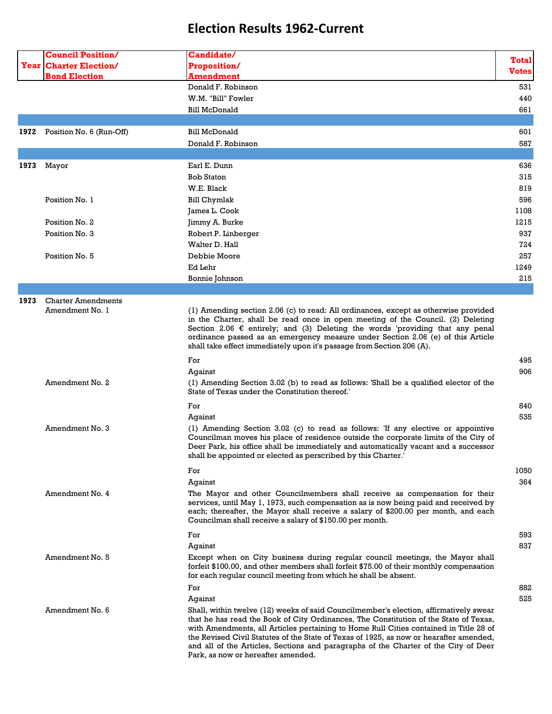|      | <b>Council Position/</b>                     | <b>Candidate/</b>                                                                                                                                                                                                                                                                                                                                                                                                                                                                              | <b>Total</b> |
|------|----------------------------------------------|------------------------------------------------------------------------------------------------------------------------------------------------------------------------------------------------------------------------------------------------------------------------------------------------------------------------------------------------------------------------------------------------------------------------------------------------------------------------------------------------|--------------|
|      | <b>Year Charter Election/</b>                | <b>Proposition/</b>                                                                                                                                                                                                                                                                                                                                                                                                                                                                            | <b>Votes</b> |
|      | <b>Bond Election</b>                         | Amendment                                                                                                                                                                                                                                                                                                                                                                                                                                                                                      |              |
|      |                                              | Donald F. Robinson                                                                                                                                                                                                                                                                                                                                                                                                                                                                             | 531          |
|      |                                              | W.M. "Bill" Fowler                                                                                                                                                                                                                                                                                                                                                                                                                                                                             | 440          |
|      |                                              | <b>Bill McDonald</b>                                                                                                                                                                                                                                                                                                                                                                                                                                                                           | 661          |
|      |                                              |                                                                                                                                                                                                                                                                                                                                                                                                                                                                                                |              |
| 1972 | Position No. 6 (Run-Off)                     | Bill McDonald                                                                                                                                                                                                                                                                                                                                                                                                                                                                                  | 601          |
|      |                                              | Donald F. Robinson                                                                                                                                                                                                                                                                                                                                                                                                                                                                             | 587          |
|      |                                              |                                                                                                                                                                                                                                                                                                                                                                                                                                                                                                |              |
| 1973 | Mayor                                        | Earl E. Dunn                                                                                                                                                                                                                                                                                                                                                                                                                                                                                   | 636          |
|      |                                              | <b>Bob Staton</b>                                                                                                                                                                                                                                                                                                                                                                                                                                                                              | 315          |
|      |                                              | W.E. Black                                                                                                                                                                                                                                                                                                                                                                                                                                                                                     | 819          |
|      | Position No. 1                               | <b>Bill Chymlak</b>                                                                                                                                                                                                                                                                                                                                                                                                                                                                            | 596          |
|      |                                              | James L. Cook                                                                                                                                                                                                                                                                                                                                                                                                                                                                                  | 1108         |
|      | Position No. 2                               | Jimmy A. Burke                                                                                                                                                                                                                                                                                                                                                                                                                                                                                 | 1215         |
|      | Position No. 3                               | Robert P. Linberger                                                                                                                                                                                                                                                                                                                                                                                                                                                                            | 937          |
|      |                                              | Walter D. Hall                                                                                                                                                                                                                                                                                                                                                                                                                                                                                 | 724          |
|      | Position No. 5                               | Debbie Moore                                                                                                                                                                                                                                                                                                                                                                                                                                                                                   | 257          |
|      |                                              | Ed Lehr                                                                                                                                                                                                                                                                                                                                                                                                                                                                                        | 1249         |
|      |                                              | Bonnie Johnson                                                                                                                                                                                                                                                                                                                                                                                                                                                                                 | 215          |
|      |                                              |                                                                                                                                                                                                                                                                                                                                                                                                                                                                                                |              |
| 1973 | <b>Charter Amendments</b><br>Amendment No. 1 | (1) Amending section 2.06 (c) to read: All ordinances, except as otherwise provided<br>in the Charter, shall be read once in open meeting of the Council. (2) Deleting<br>Section 2.06 $\epsilon$ entirely; and (3) Deleting the words 'providing that any penal<br>ordinance passed as an emergency measure under Section 2.06 (e) of this Article<br>shall take effect immediately upon it's passage from Section 206 (A).                                                                   |              |
|      |                                              | For                                                                                                                                                                                                                                                                                                                                                                                                                                                                                            | 495          |
|      |                                              | Aqainst                                                                                                                                                                                                                                                                                                                                                                                                                                                                                        | 906          |
|      | Amendment No. 2                              | (1) Amending Section 3.02 (b) to read as follows: 'Shall be a qualified elector of the<br>State of Texas under the Constitution thereof.'                                                                                                                                                                                                                                                                                                                                                      |              |
|      |                                              | For                                                                                                                                                                                                                                                                                                                                                                                                                                                                                            | 840          |
|      |                                              | Against                                                                                                                                                                                                                                                                                                                                                                                                                                                                                        | 535          |
|      | Amendment No. 3                              | (1) Amending Section 3.02 (c) to read as follows: 'If any elective or appointive<br>Councilman moves his place of residence outside the corporate limits of the City of<br>Deer Park, his office shall be immediately and automatically vacant and a successor<br>shall be appointed or elected as perscribed by this Charter.'                                                                                                                                                                |              |
|      |                                              | For                                                                                                                                                                                                                                                                                                                                                                                                                                                                                            | 1050         |
|      |                                              | Against                                                                                                                                                                                                                                                                                                                                                                                                                                                                                        | 364          |
|      | Amendment No. 4                              | The Mayor and other Councilmembers shall receive as compensation for their<br>services, until May 1, 1973, such compensation as is now being paid and received by<br>each; thereafter, the Mayor shall receive a salary of \$200.00 per month, and each<br>Councilman shall receive a salary of \$150.00 per month.                                                                                                                                                                            |              |
|      |                                              | For                                                                                                                                                                                                                                                                                                                                                                                                                                                                                            | 593          |
|      |                                              | Against                                                                                                                                                                                                                                                                                                                                                                                                                                                                                        | 837          |
|      | Amendment No. 5                              | Except when on City business during regular council meetings, the Mayor shall<br>forfeit \$100.00, and other members shall forfeit \$75.00 of their monthly compensation<br>for each regular council meeting from which he shall be absent.                                                                                                                                                                                                                                                    |              |
|      |                                              | For                                                                                                                                                                                                                                                                                                                                                                                                                                                                                            | 882          |
|      |                                              | Against                                                                                                                                                                                                                                                                                                                                                                                                                                                                                        | 525          |
|      | Amendment No. 6                              | Shall, within twelve (12) weeks of said Councilmember's election, affirmatively swear<br>that he has read the Book of City Ordinances, The Constitution of the State of Texas,<br>with Amendments, all Articles pertaining to Home Rull Cities contained in Title 28 of<br>the Revised Civil Statutes of the State of Texas of 1925, as now or hearafter amended,<br>and all of the Articles, Sections and paragraphs of the Charter of the City of Deer<br>Park, as now or hereafter amended. |              |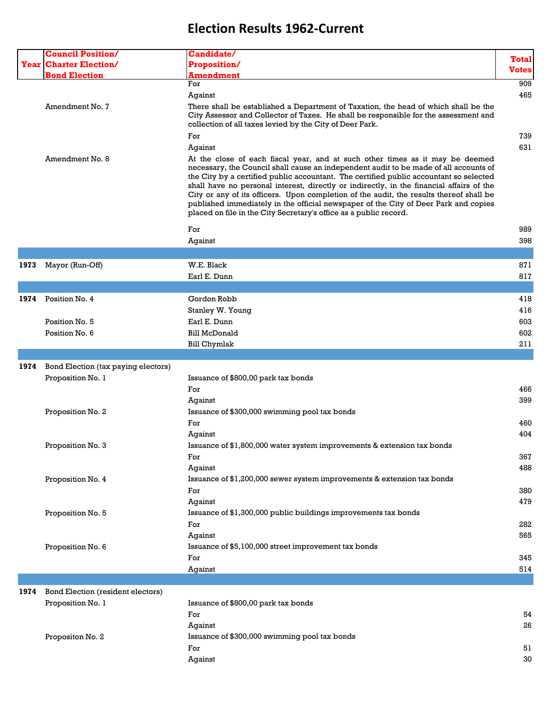|      | <b>Council Position/</b>            | Candidate/                                                                                                                                                                                                                                                                                                                                                                                                                                                                                                                                                                                                          |              |
|------|-------------------------------------|---------------------------------------------------------------------------------------------------------------------------------------------------------------------------------------------------------------------------------------------------------------------------------------------------------------------------------------------------------------------------------------------------------------------------------------------------------------------------------------------------------------------------------------------------------------------------------------------------------------------|--------------|
|      | <b>Year Charter Election/</b>       | Proposition/                                                                                                                                                                                                                                                                                                                                                                                                                                                                                                                                                                                                        | <b>Total</b> |
|      |                                     |                                                                                                                                                                                                                                                                                                                                                                                                                                                                                                                                                                                                                     | <b>Votes</b> |
|      | <b>Bond Election</b>                | <b>Amendment</b><br>For                                                                                                                                                                                                                                                                                                                                                                                                                                                                                                                                                                                             | 909          |
|      |                                     |                                                                                                                                                                                                                                                                                                                                                                                                                                                                                                                                                                                                                     |              |
|      |                                     | Against                                                                                                                                                                                                                                                                                                                                                                                                                                                                                                                                                                                                             | 465          |
|      | Amendment No. 7                     | There shall be established a Department of Taxation, the head of which shall be the<br>City Assessor and Collector of Taxes. He shall be responsible for the assessment and<br>collection of all taxes levied by the City of Deer Park.                                                                                                                                                                                                                                                                                                                                                                             |              |
|      |                                     | For                                                                                                                                                                                                                                                                                                                                                                                                                                                                                                                                                                                                                 | 739          |
|      |                                     | Against                                                                                                                                                                                                                                                                                                                                                                                                                                                                                                                                                                                                             | 631          |
|      | Amendment No. 8                     | At the close of each fiscal year, and at such other times as it may be deemed<br>necessary, the Council shall cause an independent audit to be made of all accounts of<br>the City by a certified public accountant. The certified public accountant so selected<br>shall have no personal interest, directly or indirectly, in the financial affairs of the<br>City or any of its officers. Upon completion of the audit, the results thereof shall be<br>published immediately in the official newspaper of the City of Deer Park and copies<br>placed on file in the City Secretary's office as a public record. |              |
|      |                                     | For                                                                                                                                                                                                                                                                                                                                                                                                                                                                                                                                                                                                                 | 989          |
|      |                                     | Against                                                                                                                                                                                                                                                                                                                                                                                                                                                                                                                                                                                                             | 398          |
|      |                                     |                                                                                                                                                                                                                                                                                                                                                                                                                                                                                                                                                                                                                     |              |
|      |                                     |                                                                                                                                                                                                                                                                                                                                                                                                                                                                                                                                                                                                                     |              |
| 1973 | Mayor (Run-Off)                     | W.E. Black                                                                                                                                                                                                                                                                                                                                                                                                                                                                                                                                                                                                          | 871          |
|      |                                     | Earl E. Dunn                                                                                                                                                                                                                                                                                                                                                                                                                                                                                                                                                                                                        | 817          |
|      |                                     |                                                                                                                                                                                                                                                                                                                                                                                                                                                                                                                                                                                                                     |              |
| 1974 | Position No. 4                      | Gordon Robb                                                                                                                                                                                                                                                                                                                                                                                                                                                                                                                                                                                                         | 418          |
|      |                                     | Stanley W. Young                                                                                                                                                                                                                                                                                                                                                                                                                                                                                                                                                                                                    | 416          |
|      | Position No. 5                      | Earl E. Dunn                                                                                                                                                                                                                                                                                                                                                                                                                                                                                                                                                                                                        | 603          |
|      | Position No. 6                      | <b>Bill McDonald</b>                                                                                                                                                                                                                                                                                                                                                                                                                                                                                                                                                                                                | 602          |
|      |                                     | <b>Bill Chymlak</b>                                                                                                                                                                                                                                                                                                                                                                                                                                                                                                                                                                                                 | 211          |
|      |                                     |                                                                                                                                                                                                                                                                                                                                                                                                                                                                                                                                                                                                                     |              |
| 1974 | Bond Election (tax paying electors) |                                                                                                                                                                                                                                                                                                                                                                                                                                                                                                                                                                                                                     |              |
|      | Proposition No. 1                   | Issuance of \$800,00 park tax bonds                                                                                                                                                                                                                                                                                                                                                                                                                                                                                                                                                                                 |              |
|      |                                     | For                                                                                                                                                                                                                                                                                                                                                                                                                                                                                                                                                                                                                 | 466          |
|      |                                     | Against                                                                                                                                                                                                                                                                                                                                                                                                                                                                                                                                                                                                             | 399          |
|      | Proposition No. 2                   | Issuance of \$300,000 swimming pool tax bonds                                                                                                                                                                                                                                                                                                                                                                                                                                                                                                                                                                       |              |
|      |                                     | For                                                                                                                                                                                                                                                                                                                                                                                                                                                                                                                                                                                                                 | 460          |
|      |                                     | Against                                                                                                                                                                                                                                                                                                                                                                                                                                                                                                                                                                                                             | 404          |
|      |                                     | Issuance of \$1,800,000 water system improvements & extension tax bonds                                                                                                                                                                                                                                                                                                                                                                                                                                                                                                                                             |              |
|      | Proposition No. 3                   |                                                                                                                                                                                                                                                                                                                                                                                                                                                                                                                                                                                                                     |              |
|      |                                     | For                                                                                                                                                                                                                                                                                                                                                                                                                                                                                                                                                                                                                 | 367          |
|      |                                     | Against                                                                                                                                                                                                                                                                                                                                                                                                                                                                                                                                                                                                             | 488          |
|      | Proposition No. 4                   | Issuance of \$1,200,000 sewer system improvements & extension tax bonds                                                                                                                                                                                                                                                                                                                                                                                                                                                                                                                                             |              |
|      |                                     | For                                                                                                                                                                                                                                                                                                                                                                                                                                                                                                                                                                                                                 | 380          |
|      |                                     | Against                                                                                                                                                                                                                                                                                                                                                                                                                                                                                                                                                                                                             | 479          |
|      | Proposition No. 5                   | Issuance of \$1,300,000 public buildings improvements tax bonds                                                                                                                                                                                                                                                                                                                                                                                                                                                                                                                                                     |              |
|      |                                     | For                                                                                                                                                                                                                                                                                                                                                                                                                                                                                                                                                                                                                 | 282          |
|      |                                     | Against                                                                                                                                                                                                                                                                                                                                                                                                                                                                                                                                                                                                             | 565          |
|      | Proposition No. 6                   | Issuance of \$5,100,000 street improvement tax bonds                                                                                                                                                                                                                                                                                                                                                                                                                                                                                                                                                                |              |
|      |                                     | For                                                                                                                                                                                                                                                                                                                                                                                                                                                                                                                                                                                                                 | 345          |
|      |                                     | Against                                                                                                                                                                                                                                                                                                                                                                                                                                                                                                                                                                                                             | 514          |
|      |                                     |                                                                                                                                                                                                                                                                                                                                                                                                                                                                                                                                                                                                                     |              |
| 1974 | Bond Election (resident electors)   |                                                                                                                                                                                                                                                                                                                                                                                                                                                                                                                                                                                                                     |              |
|      | Proposition No. 1                   | Issuance of \$800,00 park tax bonds                                                                                                                                                                                                                                                                                                                                                                                                                                                                                                                                                                                 |              |
|      |                                     | For                                                                                                                                                                                                                                                                                                                                                                                                                                                                                                                                                                                                                 | 54           |
|      |                                     |                                                                                                                                                                                                                                                                                                                                                                                                                                                                                                                                                                                                                     | 26           |
|      |                                     | Against                                                                                                                                                                                                                                                                                                                                                                                                                                                                                                                                                                                                             |              |
|      | Propositon No. 2                    | Issuance of \$300,000 swimming pool tax bonds                                                                                                                                                                                                                                                                                                                                                                                                                                                                                                                                                                       |              |
|      |                                     | For                                                                                                                                                                                                                                                                                                                                                                                                                                                                                                                                                                                                                 | 51           |
|      |                                     | Against                                                                                                                                                                                                                                                                                                                                                                                                                                                                                                                                                                                                             | 30           |
|      |                                     |                                                                                                                                                                                                                                                                                                                                                                                                                                                                                                                                                                                                                     |              |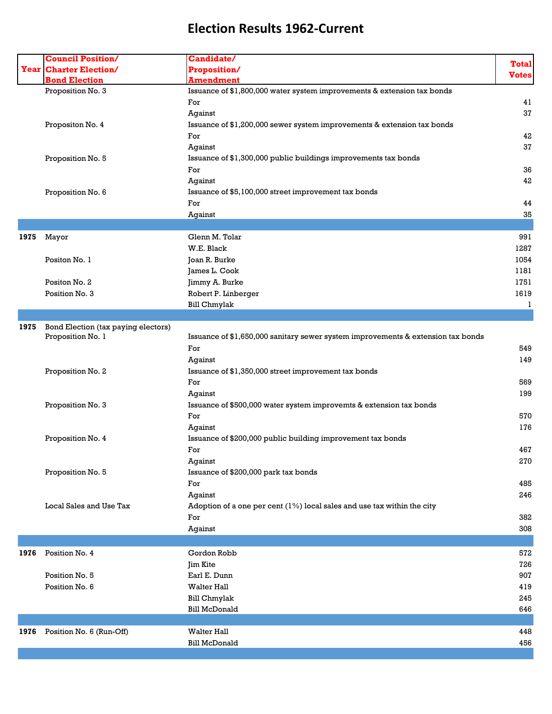|      | <b>Council Position/</b>            | Candidate/                                                                       |              |
|------|-------------------------------------|----------------------------------------------------------------------------------|--------------|
| Year | <b>Charter Election/</b>            | <b>Proposition/</b>                                                              | <b>Total</b> |
|      | <b>Bond Election</b>                | <b>Amendment</b>                                                                 | <b>Votes</b> |
|      | Proposition No. 3                   | Issuance of \$1,800,000 water system improvements & extension tax bonds          |              |
|      |                                     | For                                                                              | 41           |
|      |                                     | Against                                                                          | 37           |
|      | Propositon No. 4                    | Issuance of \$1,200,000 sewer system improvements & extension tax bonds          |              |
|      |                                     | For                                                                              | 42           |
|      |                                     | Against                                                                          | 37           |
|      | Proposition No. 5                   | Issuance of \$1,300,000 public buildings improvements tax bonds                  |              |
|      |                                     | For                                                                              | 36           |
|      |                                     | Against                                                                          | 42           |
|      | Proposition No. 6                   | Issuance of \$5,100,000 street improvement tax bonds                             |              |
|      |                                     | For                                                                              | 44           |
|      |                                     | Against                                                                          | 35           |
|      |                                     |                                                                                  |              |
| 1975 | Mayor                               | Glenn M. Tolar                                                                   | 991          |
|      |                                     | W.E. Black                                                                       | 1287         |
|      | Positon No. 1                       | Joan R. Burke                                                                    | 1054         |
|      |                                     | James L. Cook                                                                    | 1181         |
|      | Positon No. 2                       | Jimmy A. Burke                                                                   | 1751         |
|      | Position No. 3                      | Robert P. Linberger                                                              | 1619         |
|      |                                     | <b>Bill Chmylak</b>                                                              | 1            |
|      |                                     |                                                                                  |              |
| 1975 | Bond Election (tax paying electors) |                                                                                  |              |
|      | Proposition No. 1                   | Issuance of \$1,650,000 sanitary sewer system improvements & extension tax bonds |              |
|      |                                     | For                                                                              | 549          |
|      |                                     | Against                                                                          | 149          |
|      | Proposition No. 2                   | Issuance of \$1,350,000 street improvement tax bonds                             |              |
|      |                                     | For                                                                              | 569          |
|      |                                     | Against                                                                          | 199          |
|      | Proposition No. 3                   | Issuance of \$500,000 water system improvemts & extension tax bonds              |              |
|      |                                     | For                                                                              | 570          |
|      |                                     | Against                                                                          | 176          |
|      | Proposition No. 4                   | Issuance of \$200,000 public building improvement tax bonds                      |              |
|      |                                     | For                                                                              | 467          |
|      |                                     | Against                                                                          | 270          |
|      | Proposition No. 5                   |                                                                                  |              |
|      |                                     | Issuance of \$200,000 park tax bonds<br>For                                      | 485          |
|      |                                     |                                                                                  |              |
|      | Local Sales and Use Tax             | Against                                                                          | 246          |
|      |                                     | Adoption of a one per cent $(1%)$ local sales and use tax within the city        |              |
|      |                                     | For                                                                              | 382<br>308   |
|      |                                     | Against                                                                          |              |
|      |                                     |                                                                                  |              |
| 1976 | Position No. 4                      | Gordon Robb                                                                      | 572          |
|      |                                     | Jim Kite                                                                         | 726          |
|      | Position No. 5                      | Earl E. Dunn                                                                     | 907          |
|      | Position No. 6                      | <b>Walter Hall</b>                                                               | 419          |
|      |                                     | <b>Bill Chmylak</b>                                                              | 245          |
|      |                                     | <b>Bill McDonald</b>                                                             | 646          |
|      |                                     |                                                                                  |              |
| 1976 | Position No. 6 (Run-Off)            | <b>Walter Hall</b>                                                               | 448          |
|      |                                     | <b>Bill McDonald</b>                                                             | 456          |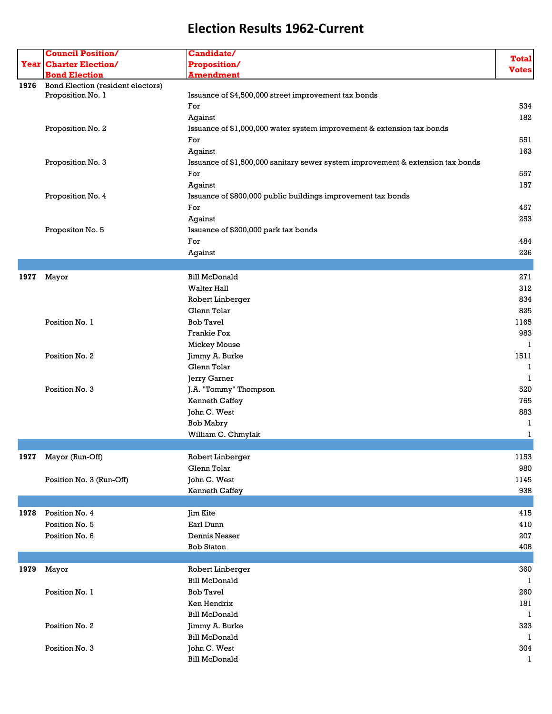|      | <b>Council Position/</b>                               | Candidate/                                                                      |              |
|------|--------------------------------------------------------|---------------------------------------------------------------------------------|--------------|
|      | <b>Year Charter Election/</b>                          | Proposition/                                                                    | <b>Total</b> |
|      | <b>Bond Election</b>                                   | <b>Amendment</b>                                                                | <b>Votes</b> |
|      |                                                        |                                                                                 |              |
| 1976 | Bond Election (resident electors)<br>Proposition No. 1 | Issuance of \$4,500,000 street improvement tax bonds                            |              |
|      |                                                        | For                                                                             | 534          |
|      |                                                        |                                                                                 | 182          |
|      |                                                        | Against                                                                         |              |
|      | Proposition No. 2                                      | Issuance of \$1,000,000 water system improvement & extension tax bonds          |              |
|      |                                                        | For                                                                             | 551          |
|      |                                                        | Against                                                                         | 163          |
|      | Proposition No. 3                                      | Issuance of \$1,500,000 sanitary sewer system improvement & extension tax bonds |              |
|      |                                                        | For                                                                             | 557          |
|      |                                                        | Against                                                                         | 157          |
|      | Proposition No. 4                                      | Issuance of \$800,000 public buildings improvement tax bonds                    |              |
|      |                                                        | For                                                                             | 457          |
|      |                                                        | Against                                                                         | 253          |
|      | Propositon No. 5                                       | Issuance of \$200,000 park tax bonds                                            |              |
|      |                                                        | For                                                                             | 484          |
|      |                                                        | Against                                                                         | 226          |
|      |                                                        |                                                                                 |              |
|      |                                                        | <b>Bill McDonald</b>                                                            | 271          |
| 1977 | Mayor                                                  |                                                                                 |              |
|      |                                                        | <b>Walter Hall</b>                                                              | 312          |
|      |                                                        | Robert Linberger                                                                | 834          |
|      |                                                        | Glenn Tolar                                                                     | 825          |
|      | Position No. 1                                         | <b>Bob Tavel</b>                                                                | 1165         |
|      |                                                        | <b>Frankie Fox</b>                                                              | 983          |
|      |                                                        | <b>Mickey Mouse</b>                                                             | 1            |
|      | Position No. 2                                         | Jimmy A. Burke                                                                  | 1511         |
|      |                                                        | Glenn Tolar                                                                     | 1            |
|      |                                                        | Jerry Garner                                                                    | 1            |
|      | Position No. 3                                         | J.A. "Tommy" Thompson                                                           | 520          |
|      |                                                        | <b>Kenneth Caffey</b>                                                           | 765          |
|      |                                                        | John C. West                                                                    | 883          |
|      |                                                        | <b>Bob Mabry</b>                                                                | 1            |
|      |                                                        | William C. Chmylak                                                              | 1            |
|      |                                                        |                                                                                 |              |
| 1977 | Mayor (Run-Off)                                        | Robert Linberger                                                                | 1153         |
|      |                                                        | Glenn Tolar                                                                     | 980          |
|      |                                                        |                                                                                 |              |
|      | Position No. 3 (Run-Off)                               | John C. West                                                                    | 1145         |
|      |                                                        | <b>Kenneth Caffey</b>                                                           | 938          |
|      |                                                        |                                                                                 |              |
| 1978 | Position No. 4                                         | Jim Kite                                                                        | 415          |
|      | Position No. 5                                         | Earl Dunn                                                                       | 410          |
|      | Position No. 6                                         | Dennis Nesser                                                                   | 207          |
|      |                                                        | <b>Bob Staton</b>                                                               | 408          |
|      |                                                        |                                                                                 |              |
| 1979 | Mayor                                                  | Robert Linberger                                                                | 360          |
|      |                                                        | <b>Bill McDonald</b>                                                            | 1            |
|      | Position No. 1                                         | <b>Bob Tavel</b>                                                                | 260          |
|      |                                                        | Ken Hendrix                                                                     | 181          |
|      |                                                        | <b>Bill McDonald</b>                                                            | 1            |
|      | Position No. 2                                         | Jimmy A. Burke                                                                  | 323          |
|      |                                                        | <b>Bill McDonald</b>                                                            | 1            |
|      |                                                        |                                                                                 |              |
|      | Position No. 3                                         | John C. West                                                                    | 304          |
|      |                                                        | <b>Bill McDonald</b>                                                            | 1            |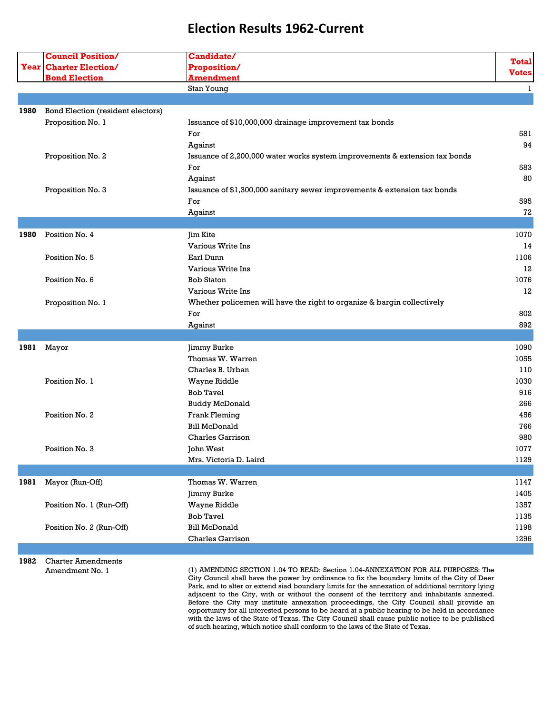|            | <b>Council Position/</b><br><b>Year Charter Election/</b><br><b>Bond Election</b> | Candidate/<br>Proposition/                                                  | <b>Total</b> |
|------------|-----------------------------------------------------------------------------------|-----------------------------------------------------------------------------|--------------|
|            |                                                                                   |                                                                             |              |
|            |                                                                                   | <b>Amendment</b>                                                            | <b>Votes</b> |
|            |                                                                                   | Stan Young                                                                  | 1            |
|            |                                                                                   |                                                                             |              |
| 1980       | Bond Election (resident electors)                                                 |                                                                             |              |
|            | Proposition No. 1                                                                 | Issuance of \$10,000,000 drainage improvement tax bonds                     |              |
|            |                                                                                   | For                                                                         | 581          |
|            |                                                                                   | Against                                                                     | 94           |
|            | Proposition No. 2                                                                 | Issuance of 2,200,000 water works system improvements & extension tax bonds |              |
|            |                                                                                   | For                                                                         | 583          |
|            |                                                                                   | Against                                                                     | 80           |
|            | Proposition No. 3                                                                 | Issuance of \$1,300,000 sanitary sewer improvements & extension tax bonds   |              |
|            |                                                                                   | For                                                                         | 595          |
|            |                                                                                   | Against                                                                     | 72           |
|            |                                                                                   |                                                                             |              |
| 1980       | Position No. 4                                                                    | <b>Jim Kite</b>                                                             | 1070         |
|            |                                                                                   | Various Write Ins                                                           | 14           |
|            | Position No. 5                                                                    | Earl Dunn                                                                   | 1106         |
|            |                                                                                   | Various Write Ins                                                           | 12           |
|            | Position No. 6                                                                    | <b>Bob Staton</b>                                                           | 1076         |
|            |                                                                                   | Various Write Ins                                                           | 12           |
|            |                                                                                   | Whether policemen will have the right to organize & bargin collectively     |              |
|            | Proposition No. 1                                                                 | For                                                                         | 802          |
|            |                                                                                   |                                                                             | 892          |
|            |                                                                                   | Against                                                                     |              |
| 1981 Mayor |                                                                                   | Jimmy Burke                                                                 | 1090         |
|            |                                                                                   | Thomas W. Warren                                                            | 1055         |
|            |                                                                                   | Charles B. Urban                                                            | 110          |
|            | Position No. 1                                                                    |                                                                             | 1030         |
|            |                                                                                   | Wayne Riddle<br><b>Bob Tavel</b>                                            | 916          |
|            |                                                                                   |                                                                             | 266          |
|            |                                                                                   | <b>Buddy McDonald</b>                                                       |              |
|            | Position No. 2                                                                    | Frank Fleming                                                               | 456          |
|            |                                                                                   | <b>Bill McDonald</b>                                                        | 766          |
|            |                                                                                   | <b>Charles Garrison</b>                                                     | 980          |
|            | Position No. 3                                                                    | John West                                                                   | 1077         |
|            |                                                                                   | Mrs. Victoria D. Laird                                                      | 1129         |
|            |                                                                                   |                                                                             |              |
| 1981       | Mayor (Run-Off)                                                                   | Thomas W. Warren                                                            | 1147         |
|            |                                                                                   | Jimmy Burke                                                                 | 1405         |
|            | Position No. 1 (Run-Off)                                                          | Wayne Riddle                                                                | 1357         |
|            |                                                                                   | <b>Bob Tavel</b>                                                            | 1135         |
|            | Position No. 2 (Run-Off)                                                          | <b>Bill McDonald</b>                                                        | 1198         |
|            |                                                                                   | Charles Garrison                                                            | 1296         |

**1982** Charter Amendments

Amendment No. 1 (1) AMENDING SECTION 1.04 TO READ: Section 1.04-ANNEXATION FOR ALL PURPOSES: The City Council shall have the power by ordinance to fix the boundary limits of the City of Deer Park, and to alter or extend siad boundary limits for the annexation of additional territory lying adjacent to the City, with or without the consent of the territory and inhabitants annexed. Before the City may institute annexation proceedings, the City Council shall provide an opportunity for all interested persons to be heard at a public hearing to be held in accordance with the laws of the State of Texas. The City Council shall cause public notice to be published of such hearing, which notice shall conform to the laws of the State of Texas.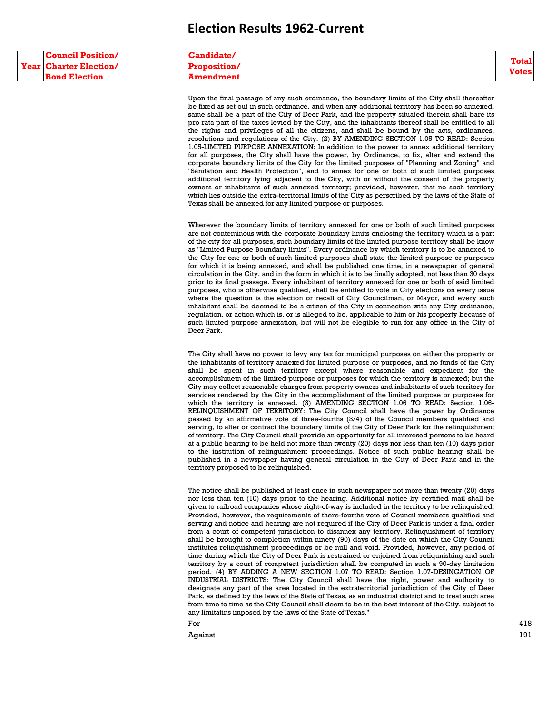| <b>Council Position/</b>      | <b>Candidate/</b>   | Total  |
|-------------------------------|---------------------|--------|
| <b>Year Charter Election/</b> | <b>Proposition/</b> |        |
| <b>Bond Election</b>          | Amendment           | Votesl |

Upon the final passage of any such ordinance, the boundary limits of the City shall thereafter be fixed as set out in such ordinance, and when any additional territory has been so annexed, same shall be a part of the City of Deer Park, and the property situated therein shall bare its pro rata part of the taxes levied by the City, and the inhabitants thereof shall be entitled to all the rights and privileges of all the citizens, and shall be bound by the acts, ordinances, resolutions and regulations of the City. (2) BY AMENDING SECTION 1.05 TO READ: Section 1.05-LIMITED PURPOSE ANNEXATION: In addition to the power to annex additional territory for all purposes, the City shall have the power, by Ordinance, to fix, alter and extend the corporate boundary limits of the City for the limited purposes of "Planning and Zoning" and "Sanitation and Health Protection", and to annex for one or both of such limited purposes additional territory lying adjacent to the City, with or without the consent of the property owners or inhabitants of such annexed territory; provided, however, that no such territory which lies outside the extra-territorial limits of the City as perscribed by the laws of the State of Texas shall be annexed for any limited purpose or purposes.

Wherever the boundary limits of territory annexed for one or both of such limited purposes are not conteminous with the corporate boundary limits enclosing the territory which is a part of the city for all purposes, such boundary limits of the limited purpose territory shall be know as "Limited Purpose Boundary limits". Every ordinance by which territory is to be annexed to the City for one or both of such limited purposes shall state the limited purpose or purposes for which it is being annexed, and shall be published one time, in a newspaper of general circulation in the City, and in the form in which it is to be finally adopted, not less than 30 days prior to its final passage. Every inhabitant of territory annexed for one or both of said limited purposes, who is otherwise qualified, shall be entitled to vote in City elections on every issue where the question is the election or recall of City Councilman, or Mayor, and every such inhabitant shall be deemed to be a citizen of the City in connection with any City ordinance, regulation, or action which is, or is alleged to be, applicable to him or his property because of such limited purpose annexation, but will not be elegible to run for any office in the City of Deer Park.

The City shall have no power to levy any tax for municipal purposes on either the property or the inhabitants of territory annexed for limited purpose or purposes, and no funds of the City shall be spent in such territory except where reasonable and expedient for the accomplishmetn of the limited purpose or purposes for which the territory is annexed; but the City may collect reasonable charges from property owners and inhabitants of such territory for services rendered by the City in the accomplishment of the limited purpose or purposes for which the territory is annexed. (3) AMENDING SECTION 1.06 TO READ: Section 1.06-RELINQUISHMENT OF TERRITORY: The City Council shall have the power by Ordinance passed by an affirmative vote of three-fourths (3/4) of the Council members qualified and serving, to alter or contract the boundary limits of the City of Deer Park for the relinquishment of territory. The City Council shall provide an opportunity for all interesed persons to be heard at a public hearing to be held not more than twenty (20) days nor less than ten (10) days prior to the institution of relinguishment proceedings. Notice of such public hearing shall be published in a newspaper having general circulation in the City of Deer Park and in the territory proposed to be relinquished.

The notice shall be published at least once in such newspaper not more than twenty (20) days nor less than ten (10) days prior to the hearing. Additional notice by certified mail shall be given to railroad companies whose right-of-way is included in the territory to be relinquished. Provided, however, the requirements of there-fourths vote of Council members qualified and serving and notice and hearing are not required if the City of Deer Park is under a final order from a court of competent jurisdiction to disannex any territory. Relinquishment of territory shall be brought to completion within ninety (90) days of the date on which the City Council institutes relinquishment proceedings or be null and void. Provided, however, any period of time during which the City of Deer Park is restrained or enjoined from reliqunishing and such territory by a court of competent jurisdiction shall be computed in such a 90-day limitation period. (4) BY ADDING A NEW SECTION 1.07 TO READ: Section 1.07-DESINGATION OF INDUSTRIAL DISTRICTS: The City Council shall have the right, power and authority to designate any part of the area located in the extraterritorial jurisdiction of the City of Deer Park, as defined by the laws of the State of Texas, as an industrial district and to treat such area from time to time as the City Council shall deem to be in the best interest of the City, subject to any limitatins imposed by the laws of the State of Texas."

For  $\sim$  418

Against 191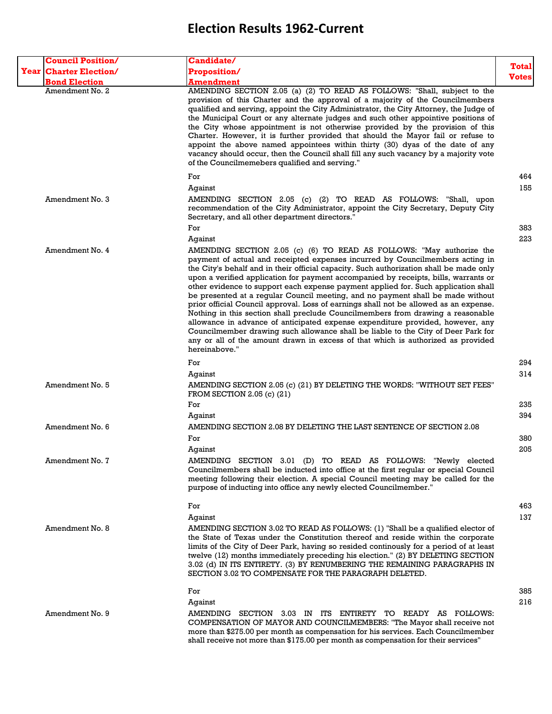| <b>Council Position/</b>      | Candidate/                                                                                                                                                                                                                                                                                                                                                                                                                                                                                                                                                                                                                                                                                                                                                                                                                                                                                                                                                                          |              |
|-------------------------------|-------------------------------------------------------------------------------------------------------------------------------------------------------------------------------------------------------------------------------------------------------------------------------------------------------------------------------------------------------------------------------------------------------------------------------------------------------------------------------------------------------------------------------------------------------------------------------------------------------------------------------------------------------------------------------------------------------------------------------------------------------------------------------------------------------------------------------------------------------------------------------------------------------------------------------------------------------------------------------------|--------------|
| <b>Year Charter Election/</b> | <b>Proposition/</b>                                                                                                                                                                                                                                                                                                                                                                                                                                                                                                                                                                                                                                                                                                                                                                                                                                                                                                                                                                 | Total        |
| <b>Bond Election</b>          | Amendment                                                                                                                                                                                                                                                                                                                                                                                                                                                                                                                                                                                                                                                                                                                                                                                                                                                                                                                                                                           | <b>Votes</b> |
| Amendment No. 2               | AMENDING SECTION 2.05 (a) (2) TO READ AS FOLLOWS: "Shall, subject to the<br>provision of this Charter and the approval of a majority of the Councilmembers<br>qualified and serving, appoint the City Administrator, the City Attorney, the Judge of<br>the Municipal Court or any alternate judges and such other appointive positions of<br>the City whose appointment is not otherwise provided by the provision of this<br>Charter. However, it is further provided that should the Mayor fail or refuse to<br>appoint the above named appointees within thirty (30) dyas of the date of any<br>vacancy should occur, then the Council shall fill any such vacancy by a majority vote<br>of the Councilmemebers qualified and serving."                                                                                                                                                                                                                                         |              |
|                               | For                                                                                                                                                                                                                                                                                                                                                                                                                                                                                                                                                                                                                                                                                                                                                                                                                                                                                                                                                                                 | 464          |
|                               | Against                                                                                                                                                                                                                                                                                                                                                                                                                                                                                                                                                                                                                                                                                                                                                                                                                                                                                                                                                                             | 155          |
| Amendment No. 3               | AMENDING SECTION 2.05 (c) (2) TO READ AS FOLLOWS: "Shall, upon<br>recommendation of the City Administrator, appoint the City Secretary, Deputy City<br>Secretary, and all other department directors."                                                                                                                                                                                                                                                                                                                                                                                                                                                                                                                                                                                                                                                                                                                                                                              |              |
|                               | For                                                                                                                                                                                                                                                                                                                                                                                                                                                                                                                                                                                                                                                                                                                                                                                                                                                                                                                                                                                 | 383<br>223   |
| Amendment No. 4               | Against<br>AMENDING SECTION 2.05 (c) (6) TO READ AS FOLLOWS: "May authorize the<br>payment of actual and receipted expenses incurred by Councilmembers acting in<br>the City's behalf and in their official capacity. Such authorization shall be made only<br>upon a verified application for payment accompanied by receipts, bills, warrants or<br>other evidence to support each expense payment applied for. Such application shall<br>be presented at a regular Council meeting, and no payment shall be made without<br>prior official Council approval. Loss of earnings shall not be allowed as an expense.<br>Nothing in this section shall preclude Councilmembers from drawing a reasonable<br>allowance in advance of anticipated expense expenditure provided, however, any<br>Councilmember drawing such allowance shall be liable to the City of Deer Park for<br>any or all of the amount drawn in excess of that which is authorized as provided<br>hereinabove." |              |
|                               | For                                                                                                                                                                                                                                                                                                                                                                                                                                                                                                                                                                                                                                                                                                                                                                                                                                                                                                                                                                                 | 294          |
|                               | Against                                                                                                                                                                                                                                                                                                                                                                                                                                                                                                                                                                                                                                                                                                                                                                                                                                                                                                                                                                             | 314          |
| Amendment No. 5               | AMENDING SECTION 2.05 (c) (21) BY DELETING THE WORDS: "WITHOUT SET FEES"<br>FROM SECTION 2.05 (c) $(21)$                                                                                                                                                                                                                                                                                                                                                                                                                                                                                                                                                                                                                                                                                                                                                                                                                                                                            |              |
|                               | For                                                                                                                                                                                                                                                                                                                                                                                                                                                                                                                                                                                                                                                                                                                                                                                                                                                                                                                                                                                 | 235          |
|                               | Against                                                                                                                                                                                                                                                                                                                                                                                                                                                                                                                                                                                                                                                                                                                                                                                                                                                                                                                                                                             | 394          |
| Amendment No. 6               | AMENDING SECTION 2.08 BY DELETING THE LAST SENTENCE OF SECTION 2.08                                                                                                                                                                                                                                                                                                                                                                                                                                                                                                                                                                                                                                                                                                                                                                                                                                                                                                                 |              |
|                               | For                                                                                                                                                                                                                                                                                                                                                                                                                                                                                                                                                                                                                                                                                                                                                                                                                                                                                                                                                                                 | 380          |
| Amendment No. 7               | Against<br>AMENDING SECTION 3.01 (D) TO READ AS FOLLOWS: "Newly elected<br>Councilmembers shall be inducted into office at the first regular or special Council<br>meeting following their election. A special Council meeting may be called for the<br>purpose of inducting into office any newly elected Councilmember."                                                                                                                                                                                                                                                                                                                                                                                                                                                                                                                                                                                                                                                          | 205          |
|                               | For                                                                                                                                                                                                                                                                                                                                                                                                                                                                                                                                                                                                                                                                                                                                                                                                                                                                                                                                                                                 | 463          |
|                               | Against                                                                                                                                                                                                                                                                                                                                                                                                                                                                                                                                                                                                                                                                                                                                                                                                                                                                                                                                                                             | 137          |
| Amendment No. 8               | AMENDING SECTION 3.02 TO READ AS FOLLOWS: (1) "Shall be a qualified elector of<br>the State of Texas under the Constitution thereof and reside within the corporate<br>limits of the City of Deer Park, having so resided continously for a period of at least<br>twelve (12) months immediately preceding his election." (2) BY DELETING SECTION<br>3.02 (d) IN ITS ENTIRETY. (3) BY RENUMBERING THE REMAINING PARAGRAPHS IN<br>SECTION 3.02 TO COMPENSATE FOR THE PARAGRAPH DELETED.                                                                                                                                                                                                                                                                                                                                                                                                                                                                                              |              |
|                               | For                                                                                                                                                                                                                                                                                                                                                                                                                                                                                                                                                                                                                                                                                                                                                                                                                                                                                                                                                                                 | 385          |
|                               | Against                                                                                                                                                                                                                                                                                                                                                                                                                                                                                                                                                                                                                                                                                                                                                                                                                                                                                                                                                                             | 216          |
| Amendment No. 9               | AMENDING SECTION 3.03 IN ITS ENTIRETY TO READY AS FOLLOWS:<br>COMPENSATION OF MAYOR AND COUNCILMEMBERS: "The Mayor shall receive not<br>more than \$275.00 per month as compensation for his services. Each Councilmember<br>shall receive not more than \$175.00 per month as compensation for their services"                                                                                                                                                                                                                                                                                                                                                                                                                                                                                                                                                                                                                                                                     |              |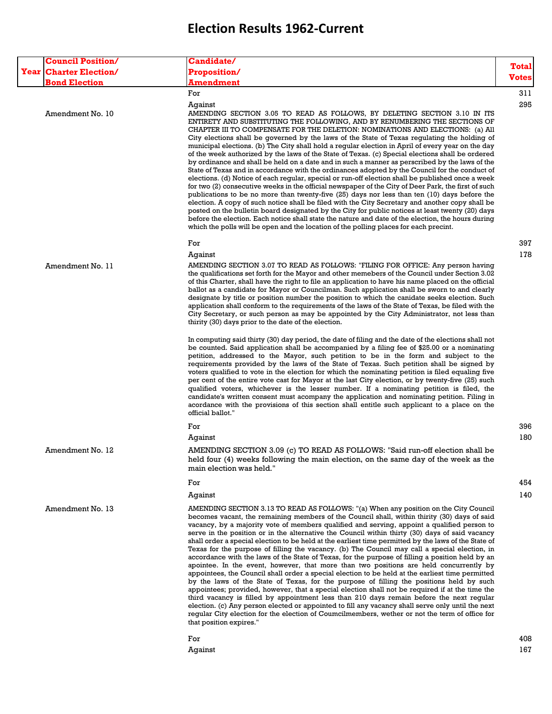| <b>Council Position/</b>      | <b>Candidate/</b>                                                                                                                                                                                                                                                                                                                                                                                                                                                                                                                                                                                                                                                                                                                                                                                                                                                                                                                                                                                                                                                                                                                                                                                                                                                                                                                                                                                                                                                          |              |
|-------------------------------|----------------------------------------------------------------------------------------------------------------------------------------------------------------------------------------------------------------------------------------------------------------------------------------------------------------------------------------------------------------------------------------------------------------------------------------------------------------------------------------------------------------------------------------------------------------------------------------------------------------------------------------------------------------------------------------------------------------------------------------------------------------------------------------------------------------------------------------------------------------------------------------------------------------------------------------------------------------------------------------------------------------------------------------------------------------------------------------------------------------------------------------------------------------------------------------------------------------------------------------------------------------------------------------------------------------------------------------------------------------------------------------------------------------------------------------------------------------------------|--------------|
| <b>Year Charter Election/</b> | Proposition/                                                                                                                                                                                                                                                                                                                                                                                                                                                                                                                                                                                                                                                                                                                                                                                                                                                                                                                                                                                                                                                                                                                                                                                                                                                                                                                                                                                                                                                               | Total        |
| <b>Bond Election</b>          | Amendment                                                                                                                                                                                                                                                                                                                                                                                                                                                                                                                                                                                                                                                                                                                                                                                                                                                                                                                                                                                                                                                                                                                                                                                                                                                                                                                                                                                                                                                                  | <b>Votes</b> |
|                               | For<br>Aqainst                                                                                                                                                                                                                                                                                                                                                                                                                                                                                                                                                                                                                                                                                                                                                                                                                                                                                                                                                                                                                                                                                                                                                                                                                                                                                                                                                                                                                                                             | 311<br>295   |
| Amendment No. 10              | AMENDING SECTION 3.05 TO READ AS FOLLOWS, BY DELETING SECTION 3.10 IN ITS<br>ENTIRETY AND SUBSTITUTING THE FOLLOWING, AND BY RENUMBERING THE SECTIONS OF<br>CHAPTER III TO COMPENSATE FOR THE DELETION: NOMINATIONS AND ELECTIONS: (a) All<br>City elections shall be governed by the laws of the State of Texas regulating the holding of<br>municipal elections. (b) The City shall hold a regular election in April of every year on the day<br>of the week authorized by the laws of the State of Texas. (c) Special elections shall be ordered<br>by ordinance and shall be held on a date and in such a manner as perscribed by the laws of the<br>State of Texas and in accordance with the ordinances adopted by the Council for the conduct of<br>elections. (d) Notice of each regular, special or run-off election shall be published once a week<br>for two (2) consecutive weeks in the official newspaper of the City of Deer Park, the first of such<br>publications to be no more than twenty-five (25) days nor less than ten (10) days before the<br>election. A copy of such notice shall be filed with the City Secretary and another copy shall be<br>posted on the bulletin board designated by the City for public notices at least twenty (20) days<br>before the election. Each notice shall state the nature and date of the election, the hours during<br>which the polls will be open and the location of the polling places for each precint. |              |
|                               | For                                                                                                                                                                                                                                                                                                                                                                                                                                                                                                                                                                                                                                                                                                                                                                                                                                                                                                                                                                                                                                                                                                                                                                                                                                                                                                                                                                                                                                                                        | 397          |
| Amendment No. 11              | Against<br>AMENDING SECTION 3.07 TO READ AS FOLLOWS: "FILING FOR OFFICE: Any person having<br>the qualifications set forth for the Mayor and other memebers of the Council under Section 3.02<br>of this Charter, shall have the right to file an application to have his name placed on the official<br>ballot as a candidate for Mayor or Councilman. Such application shall be sworn to and clearly<br>designate by title or position number the position to which the canidate seeks election. Such<br>application shall conform to the requirements of the laws of the State of Texas, be filed with the<br>City Secretary, or such person as may be appointed by the City Administrator, not less than<br>thirity (30) days prior to the date of the election.                                                                                                                                                                                                                                                                                                                                                                                                                                                                                                                                                                                                                                                                                                       | 178          |
|                               | In computing said thirty (30) day period, the date of filing and the date of the elections shall not<br>be counted. Said application shall be accompanied by a filing fee of \$25.00 or a nominating<br>petition, addressed to the Mayor, such petition to be in the form and subject to the<br>requirements provided by the laws of the State of Texas. Such petition shall be signed by<br>voters qualified to vote in the election for which the nominating petition is filed equaling five<br>per cent of the entire vote cast for Mayor at the last City election, or by twenty-five (25) such<br>qualified voters, whichever is the lesser number. If a nominating petition is filed, the<br>candidate's written consent must acompany the application and nominating petition. Filing in<br>acordance with the provisions of this section shall entitle such applicant to a place on the<br>official ballot."                                                                                                                                                                                                                                                                                                                                                                                                                                                                                                                                                       |              |
|                               | For                                                                                                                                                                                                                                                                                                                                                                                                                                                                                                                                                                                                                                                                                                                                                                                                                                                                                                                                                                                                                                                                                                                                                                                                                                                                                                                                                                                                                                                                        | 396          |
|                               | Against                                                                                                                                                                                                                                                                                                                                                                                                                                                                                                                                                                                                                                                                                                                                                                                                                                                                                                                                                                                                                                                                                                                                                                                                                                                                                                                                                                                                                                                                    | 180          |
| Amendment No. 12              | AMENDING SECTION 3.09 (c) TO READ AS FOLLOWS: "Said run-off election shall be<br>held four (4) weeks following the main election, on the same day of the week as the<br>main election was held."                                                                                                                                                                                                                                                                                                                                                                                                                                                                                                                                                                                                                                                                                                                                                                                                                                                                                                                                                                                                                                                                                                                                                                                                                                                                           |              |
|                               | For                                                                                                                                                                                                                                                                                                                                                                                                                                                                                                                                                                                                                                                                                                                                                                                                                                                                                                                                                                                                                                                                                                                                                                                                                                                                                                                                                                                                                                                                        | 454          |
|                               | Against                                                                                                                                                                                                                                                                                                                                                                                                                                                                                                                                                                                                                                                                                                                                                                                                                                                                                                                                                                                                                                                                                                                                                                                                                                                                                                                                                                                                                                                                    | 140          |
| Amendment No. 13              | AMENDING SECTION 3.13 TO READ AS FOLLOWS: "(a) When any position on the City Council<br>becomes vacant, the remaining members of the Council shall, within thirity (30) days of said<br>vacancy, by a majority vote of members qualified and serving, appoint a qualified person to<br>serve in the position or in the alternative the Council within thirty (30) days of said vacancy<br>shall order a special election to be held at the earliest time permitted by the laws of the State of<br>Texas for the purpose of filling the vacancy. (b) The Council may call a special election, in<br>accordance with the laws of the State of Texas, for the purpose of filling a position held by an<br>apointee. In the event, however, that more than two positions are held concurrently by<br>appointees, the Council shall order a special election to be held at the earliest time permitted<br>by the laws of the State of Texas, for the purpose of filling the positions held by such<br>appointees; provided, however, that a special election shall not be required if at the time the<br>third vacancy is filled by appointment less than 210 days remain before the next regular<br>election. (c) Any person elected or appointed to fill any vacancy shall serve only until the next<br>regular City election for the election of Coumcilmembers, wether or not the term of office for<br>that position expires."                                             |              |
|                               | For<br>Against                                                                                                                                                                                                                                                                                                                                                                                                                                                                                                                                                                                                                                                                                                                                                                                                                                                                                                                                                                                                                                                                                                                                                                                                                                                                                                                                                                                                                                                             | 408<br>167   |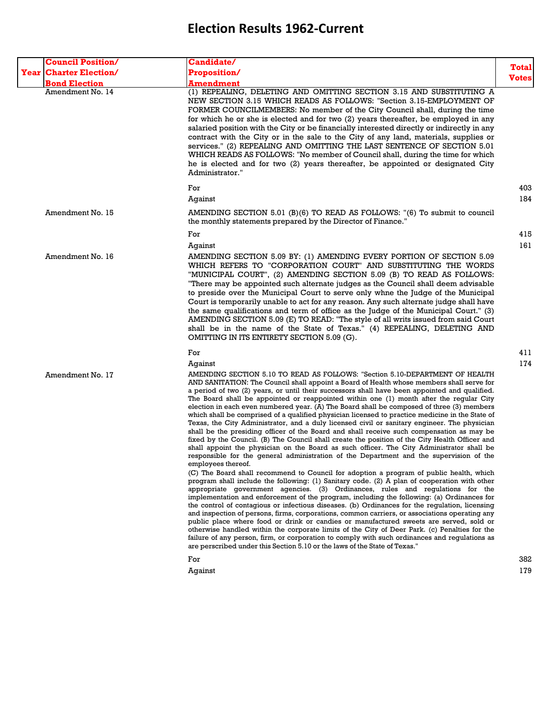| <b>Council Position/</b>      | <b>Candidate/</b>                                                                                                                                                                                                                                                                                                                                                                                                                                                                                                                                                                                                                                                                                                                                                                                                                                                                                                                                                                                                                                                                                                                                                                                                                                                                                                                                                                                                                                                                                                                                                                                                                                                                                                                                                                                                                                                                                                                                                                                                                                      |              |
|-------------------------------|--------------------------------------------------------------------------------------------------------------------------------------------------------------------------------------------------------------------------------------------------------------------------------------------------------------------------------------------------------------------------------------------------------------------------------------------------------------------------------------------------------------------------------------------------------------------------------------------------------------------------------------------------------------------------------------------------------------------------------------------------------------------------------------------------------------------------------------------------------------------------------------------------------------------------------------------------------------------------------------------------------------------------------------------------------------------------------------------------------------------------------------------------------------------------------------------------------------------------------------------------------------------------------------------------------------------------------------------------------------------------------------------------------------------------------------------------------------------------------------------------------------------------------------------------------------------------------------------------------------------------------------------------------------------------------------------------------------------------------------------------------------------------------------------------------------------------------------------------------------------------------------------------------------------------------------------------------------------------------------------------------------------------------------------------------|--------------|
| <b>Year Charter Election/</b> | Proposition/                                                                                                                                                                                                                                                                                                                                                                                                                                                                                                                                                                                                                                                                                                                                                                                                                                                                                                                                                                                                                                                                                                                                                                                                                                                                                                                                                                                                                                                                                                                                                                                                                                                                                                                                                                                                                                                                                                                                                                                                                                           | <b>Total</b> |
| <b>Bond Election</b>          | <b>Amendment</b>                                                                                                                                                                                                                                                                                                                                                                                                                                                                                                                                                                                                                                                                                                                                                                                                                                                                                                                                                                                                                                                                                                                                                                                                                                                                                                                                                                                                                                                                                                                                                                                                                                                                                                                                                                                                                                                                                                                                                                                                                                       | <b>Votes</b> |
| Amendment No. 14              | (1) REPEALING, DELETING AND OMITTING SECTION 3.15 AND SUBSTITUTING A<br>NEW SECTION 3.15 WHICH READS AS FOLLOWS: "Section 3.15-EMPLOYMENT OF<br>FORMER COUNCILMEMBERS: No member of the City Council shall, during the time<br>for which he or she is elected and for two (2) years thereafter, be employed in any<br>salaried position with the City or be financially interested directly or indirectly in any<br>contract with the City or in the sale to the City of any land, materials, supplies or<br>services." (2) REPEALING AND OMITTING THE LAST SENTENCE OF SECTION 5.01<br>WHICH READS AS FOLLOWS: "No member of Council shall, during the time for which<br>he is elected and for two (2) years thereafter, be appointed or designated City<br>Administrator."                                                                                                                                                                                                                                                                                                                                                                                                                                                                                                                                                                                                                                                                                                                                                                                                                                                                                                                                                                                                                                                                                                                                                                                                                                                                           |              |
|                               | For                                                                                                                                                                                                                                                                                                                                                                                                                                                                                                                                                                                                                                                                                                                                                                                                                                                                                                                                                                                                                                                                                                                                                                                                                                                                                                                                                                                                                                                                                                                                                                                                                                                                                                                                                                                                                                                                                                                                                                                                                                                    | 403          |
|                               | Against                                                                                                                                                                                                                                                                                                                                                                                                                                                                                                                                                                                                                                                                                                                                                                                                                                                                                                                                                                                                                                                                                                                                                                                                                                                                                                                                                                                                                                                                                                                                                                                                                                                                                                                                                                                                                                                                                                                                                                                                                                                | 184          |
| Amendment No. 15              | AMENDING SECTION 5.01 (B)(6) TO READ AS FOLLOWS: "(6) To submit to council<br>the monthly statements prepared by the Director of Finance."                                                                                                                                                                                                                                                                                                                                                                                                                                                                                                                                                                                                                                                                                                                                                                                                                                                                                                                                                                                                                                                                                                                                                                                                                                                                                                                                                                                                                                                                                                                                                                                                                                                                                                                                                                                                                                                                                                             |              |
|                               | For                                                                                                                                                                                                                                                                                                                                                                                                                                                                                                                                                                                                                                                                                                                                                                                                                                                                                                                                                                                                                                                                                                                                                                                                                                                                                                                                                                                                                                                                                                                                                                                                                                                                                                                                                                                                                                                                                                                                                                                                                                                    | 415          |
|                               | Against                                                                                                                                                                                                                                                                                                                                                                                                                                                                                                                                                                                                                                                                                                                                                                                                                                                                                                                                                                                                                                                                                                                                                                                                                                                                                                                                                                                                                                                                                                                                                                                                                                                                                                                                                                                                                                                                                                                                                                                                                                                | 161          |
| Amendment No. 16              | AMENDING SECTION 5.09 BY: (1) AMENDING EVERY PORTION OF SECTION 5.09<br>WHICH REFERS TO "CORPORATION COURT" AND SUBSTITUTING THE WORDS<br>"MUNICIPAL COURT", (2) AMENDING SECTION 5.09 (B) TO READ AS FOLLOWS:<br>"There may be appointed such alternate judges as the Council shall deem advisable<br>to preside over the Municipal Court to serve only whne the Judge of the Municipal<br>Court is temporarily unable to act for any reason. Any such alternate judge shall have<br>the same qualifications and term of office as the Judge of the Municipal Court." (3)<br>AMENDING SECTION 5.09 (E) TO READ: "The style of all writs issued from said Court<br>shall be in the name of the State of Texas." (4) REPEALING, DELETING AND<br>OMITTING IN ITS ENTIRETY SECTION 5.09 (G).                                                                                                                                                                                                                                                                                                                                                                                                                                                                                                                                                                                                                                                                                                                                                                                                                                                                                                                                                                                                                                                                                                                                                                                                                                                              |              |
|                               | For                                                                                                                                                                                                                                                                                                                                                                                                                                                                                                                                                                                                                                                                                                                                                                                                                                                                                                                                                                                                                                                                                                                                                                                                                                                                                                                                                                                                                                                                                                                                                                                                                                                                                                                                                                                                                                                                                                                                                                                                                                                    | 411          |
| Amendment No. 17              | Against<br>AMENDING SECTION 5.10 TO READ AS FOLLOWS: "Section 5.10-DEPARTMENT OF HEALTH<br>AND SANITATION: The Council shall appoint a Board of Health whose members shall serve for<br>a period of two (2) years, or until their successors shall have been appointed and qualified.<br>The Board shall be appointed or reappointed within one (1) month after the regular City<br>election in each even numbered year. (A) The Board shall be composed of three (3) members<br>which shall be comprised of a qualified physician licensed to practice medicine in the State of<br>Texas, the City Administrator, and a duly licensed civil or sanitary engineer. The physician<br>shall be the presiding officer of the Board and shall receive such compensation as may be<br>fixed by the Council. (B) The Council shall create the position of the City Health Officer and<br>shall appoint the physician on the Board as such officer. The City Administrator shall be<br>responsible for the general administration of the Department and the supervision of the<br>employees thereof.<br>(C) The Board shall recommend to Council for adoption a program of public health, which<br>program shall include the following: (1) Sanitary code. (2) A plan of cooperation with other<br>appropriate government agencies. (3) Ordinances, rules and regulations for the<br>implementation and enforcement of the program, including the following: (a) Ordinances for<br>the control of contagious or infectious diseases. (b) Ordinances for the regulation, licensing<br>and inspection of persons, firms, corporations, common carriers, or associations operating any<br>public place where food or drink or candies or manufactured sweets are served, sold or<br>otherwise handled within the corporate limits of the City of Deer Park. (c) Penalties for the<br>failure of any person, firm, or corporation to comply with such ordinances and regulations as<br>are perscribed under this Section 5.10 or the laws of the State of Texas." | 174          |
|                               | For<br>Against                                                                                                                                                                                                                                                                                                                                                                                                                                                                                                                                                                                                                                                                                                                                                                                                                                                                                                                                                                                                                                                                                                                                                                                                                                                                                                                                                                                                                                                                                                                                                                                                                                                                                                                                                                                                                                                                                                                                                                                                                                         | 382<br>179   |
|                               |                                                                                                                                                                                                                                                                                                                                                                                                                                                                                                                                                                                                                                                                                                                                                                                                                                                                                                                                                                                                                                                                                                                                                                                                                                                                                                                                                                                                                                                                                                                                                                                                                                                                                                                                                                                                                                                                                                                                                                                                                                                        |              |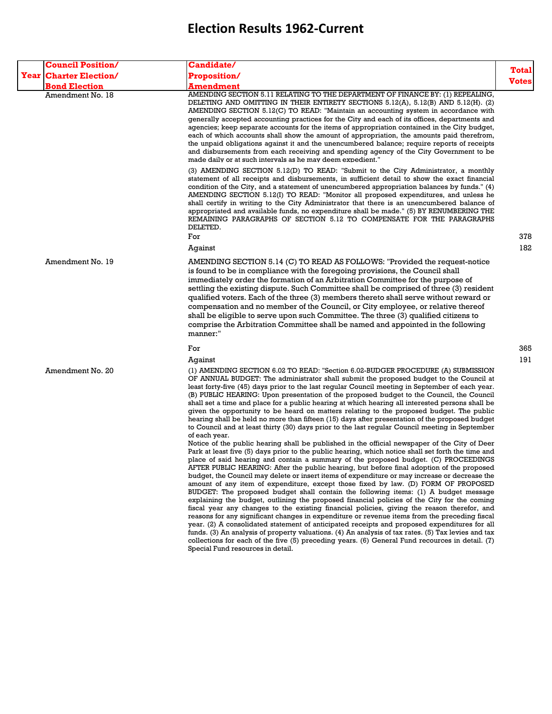| <b>Council Position/</b>      | <b>Candidate/</b>                                                                                                                                                                                                                                                                                                                                                                                                                                                                                                                                                                                                                                                                                                                                                                                                                                                                                                                                                                                                                                                                                                                                                                                                                                                                                                   |                       |
|-------------------------------|---------------------------------------------------------------------------------------------------------------------------------------------------------------------------------------------------------------------------------------------------------------------------------------------------------------------------------------------------------------------------------------------------------------------------------------------------------------------------------------------------------------------------------------------------------------------------------------------------------------------------------------------------------------------------------------------------------------------------------------------------------------------------------------------------------------------------------------------------------------------------------------------------------------------------------------------------------------------------------------------------------------------------------------------------------------------------------------------------------------------------------------------------------------------------------------------------------------------------------------------------------------------------------------------------------------------|-----------------------|
| <b>Year Charter Election/</b> | <b>Proposition/</b>                                                                                                                                                                                                                                                                                                                                                                                                                                                                                                                                                                                                                                                                                                                                                                                                                                                                                                                                                                                                                                                                                                                                                                                                                                                                                                 | Total<br><b>Votes</b> |
| <b>Bond Election</b>          | Amendment                                                                                                                                                                                                                                                                                                                                                                                                                                                                                                                                                                                                                                                                                                                                                                                                                                                                                                                                                                                                                                                                                                                                                                                                                                                                                                           |                       |
| Amendment No. 18              | AMENDING SECTION 5.11 RELATING TO THE DEPARTMENT OF FINANCE BY: (1) REPEALING,<br>DELETING AND OMITTING IN THEIR ENTIRETY SECTIONS 5.12(A), 5.12(B) AND 5.12(H). (2)<br>AMENDING SECTION 5.12(C) TO READ: "Maintain an accounting system in accordance with<br>generally accepted accounting practices for the City and each of its offices, departments and<br>agencies; keep separate accounts for the items of appropriation contained in the City budget,<br>each of which accounts shall show the amount of appropriation, the amounts paid therefrom,<br>the unpaid obligations against it and the unencumbered balance; require reports of receipts<br>and disbursements from each receiving and spending agency of the City Government to be<br>made daily or at such intervals as he may deem expedient."                                                                                                                                                                                                                                                                                                                                                                                                                                                                                                  |                       |
|                               | (3) AMENDING SECTION 5.12(D) TO READ: "Submit to the City Administrator, a monthly<br>statement of all receipts and disbursements, in sufficient detail to show the exact financial<br>condition of the City, and a statement of unencumbered appropriation balances by funds." (4)<br>AMENDING SECTION 5.12(I) TO READ: "Monitor all proposed expenditures, and unless he<br>shall certify in writing to the City Administrator that there is an unencumbered balance of<br>appropriated and available funds, no expenditure shall be made." (5) BY RENUMBERING THE<br>REMAINING PARAGRAPHS OF SECTION 5.12 TO COMPENSATE FOR THE PARAGRAPHS<br>DELETED.<br>For                                                                                                                                                                                                                                                                                                                                                                                                                                                                                                                                                                                                                                                    | 378                   |
|                               | Against                                                                                                                                                                                                                                                                                                                                                                                                                                                                                                                                                                                                                                                                                                                                                                                                                                                                                                                                                                                                                                                                                                                                                                                                                                                                                                             | 182                   |
| Amendment No. 19              | AMENDING SECTION 5.14 (C) TO READ AS FOLLOWS: "Provided the request-notice<br>is found to be in compliance with the foregoing provisions, the Council shall<br>immediately order the formation of an Arbitration Committee for the purpose of<br>settling the existing dispute. Such Committee shall be comprised of three (3) resident<br>qualified voters. Each of the three (3) members thereto shall serve without reward or<br>compensation and no member of the Council, or City employee, or relative thereof<br>shall be eligible to serve upon such Committee. The three (3) qualified citizens to<br>comprise the Arbitration Committee shall be named and appointed in the following<br>manner:"                                                                                                                                                                                                                                                                                                                                                                                                                                                                                                                                                                                                         |                       |
|                               | For                                                                                                                                                                                                                                                                                                                                                                                                                                                                                                                                                                                                                                                                                                                                                                                                                                                                                                                                                                                                                                                                                                                                                                                                                                                                                                                 | 365                   |
|                               | Against                                                                                                                                                                                                                                                                                                                                                                                                                                                                                                                                                                                                                                                                                                                                                                                                                                                                                                                                                                                                                                                                                                                                                                                                                                                                                                             | 191                   |
| Amendment No. 20              | (1) AMENDING SECTION 6.02 TO READ: "Section 6.02-BUDGER PROCEDURE (A) SUBMISSION<br>OF ANNUAL BUDGET: The administrator shall submit the proposed budget to the Council at<br>least forty-five (45) days prior to the last regular Council meeting in September of each year.<br>(B) PUBLIC HEARING: Upon presentation of the proposed budget to the Council, the Council<br>shall set a time and place for a public hearing at which hearing all interested persons shall be<br>given the opportunity to be heard on matters relating to the proposed budget. The public<br>hearing shall be held no more than fifteen (15) days after presentation of the proposed budget<br>to Council and at least thirty (30) days prior to the last regular Council meeting in September<br>of each year.                                                                                                                                                                                                                                                                                                                                                                                                                                                                                                                     |                       |
|                               | Notice of the public hearing shall be published in the official newspaper of the City of Deer<br>Park at least five (5) days prior to the public hearing, which notice shall set forth the time and<br>place of said hearing and contain a summary of the proposed budget. (C) PROCEEDINGS<br>AFTER PUBLIC HEARING: After the public hearing, but before final adoption of the proposed<br>budget, the Council may delete or insert items of expenditure or may increase or decrease the<br>amount of any item of expenditure, except those fixed by law. (D) FORM OF PROPOSED<br>BUDGET: The proposed budget shall contain the following items: (1) A budget message<br>explaining the budget, outlining the proposed financial policies of the City for the coming<br>fiscal year any changes to the existing financial policies, giving the reason therefor, and<br>reasons for any significant changes in expenditure or revenue items from the preceding fiscal<br>year. (2) A consolidated statement of anticipated receipts and proposed expenditures for all<br>funds. (3) An analysis of property valuations. (4) An analysis of tax rates. (5) Tax levies and tax<br>collections for each of the five (5) preceding years. (6) General Fund recources in detail. (7)<br>Special Fund resources in detail. |                       |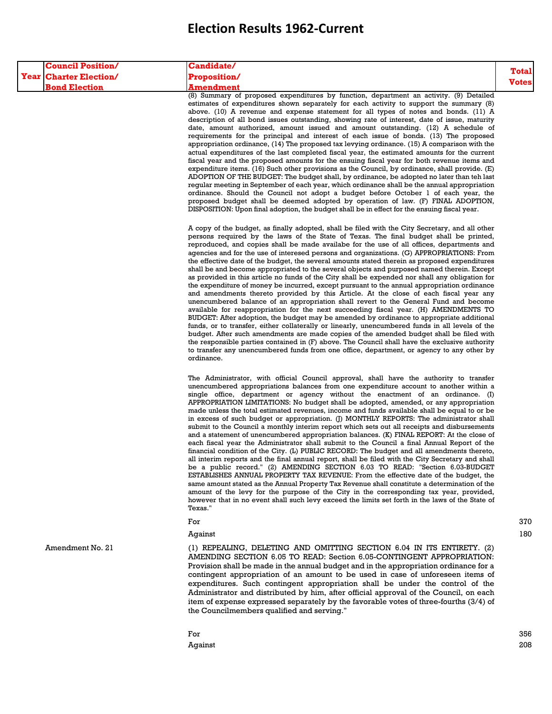| <b>Council Position/</b>      | <b>Candidate/</b>                                                                                                                                                                                                                                                                                                                                                                                                                                                                                                                                                                                                                                                                                                                                                                                                                                                                                                                                                                                                                                                                                                                                                                                                                                                                                                                                                                                                                                                                                                                                                    |                              |
|-------------------------------|----------------------------------------------------------------------------------------------------------------------------------------------------------------------------------------------------------------------------------------------------------------------------------------------------------------------------------------------------------------------------------------------------------------------------------------------------------------------------------------------------------------------------------------------------------------------------------------------------------------------------------------------------------------------------------------------------------------------------------------------------------------------------------------------------------------------------------------------------------------------------------------------------------------------------------------------------------------------------------------------------------------------------------------------------------------------------------------------------------------------------------------------------------------------------------------------------------------------------------------------------------------------------------------------------------------------------------------------------------------------------------------------------------------------------------------------------------------------------------------------------------------------------------------------------------------------|------------------------------|
| <b>Year Charter Election/</b> | <b>Proposition/</b>                                                                                                                                                                                                                                                                                                                                                                                                                                                                                                                                                                                                                                                                                                                                                                                                                                                                                                                                                                                                                                                                                                                                                                                                                                                                                                                                                                                                                                                                                                                                                  | <b>Total</b><br><b>Votes</b> |
| <b>Bond Election</b>          | Amendment<br>(8) Summary of proposed expenditures by function, department an activity. (9) Detailed<br>estimates of expenditures shown separately for each activity to support the summary (8)<br>above. (10) A revenue and expense statement for all types of notes and bonds. (11) A<br>description of all bond issues outstanding, showing rate of interest, date of issue, maturity<br>date, amount authorized, amount issued and amount outstanding. (12) A schedule of<br>requirements for the principal and interest of each issue of bonds. (13) The proposed<br>appropriation ordinance, $(14)$ The proposed tax levying ordinance. $(15)$ A comparison with the<br>actual expenditures of the last completed fiscal year, the estimated amounts for the current<br>fiscal year and the proposed amounts for the ensuing fiscal year for both revenue items and<br>expenditure items. $(16)$ Such other provisions as the Council, by ordinance, shall provide. $(E)$<br>ADOPTION OF THE BUDGET: The budget shall, by ordinance, be adopted no later than teh last<br>regular meeting in September of each year, which ordinance shall be the annual appropriation<br>ordinance. Should the Council not adopt a budget before October 1 of each year, the<br>proposed budget shall be deemed adopted by operation of law. (F) FINAL ADOPTION,<br>DISPOSITION: Upon final adoption, the budget shall be in effect for the ensuing fiscal year.                                                                                                               |                              |
|                               | A copy of the budget, as finally adopted, shall be filed with the City Secretary, and all other<br>persons required by the laws of the State of Texas. The final budget shall be printed,<br>reproduced, and copies shall be made availabe for the use of all offices, departments and<br>agencies and for the use of interesed persons and organizations. (G) APPROPRIATIONS: From<br>the effective date of the budget, the several amounts stated therein as proposed expenditures<br>shall be and become appropriated to the several objects and purposed named therein. Except<br>as provided in this article no funds of the City shall be expended nor shall any obligation for<br>the expenditure of money be incurred, except pursuant to the annual appropriation ordinance<br>and amendments thereto provided by this Article. At the close of each fiscal year any<br>unencumbered balance of an appropriation shall revert to the General Fund and become<br>available for reappropriation for the next succeeding fiscal year. (H) AMENDMENTS TO<br>BUDGET: After adoption, the budget may be amended by ordinance to appropriate additional<br>funds, or to transfer, either collaterally or linearly, unencumbered funds in all levels of the<br>budget. After such amendments are made copies of the amended budget shall be filed with<br>the responsible parties contained in (F) above. The Council shall have the exclusive authority<br>to transfer any unencumbered funds from one office, department, or agency to any other by<br>ordinance. |                              |
|                               | The Administrator, with official Council approval, shall have the authority to transfer<br>unencumbered appropriations balances from one expenditure account to another within a<br>single office, department or agency without the enactment of an ordinance. (I)<br>APPROPRIATION LIMITATIONS: No budget shall be adopted, amended, or any appropriation<br>made unless the total estimated revenues, income and funds available shall be equal to or be<br>in excess of such budget or appropriation. (J) MONTHLY REPORTS: The administrator shall<br>submit to the Council a monthly interim report which sets out all receipts and disbursements<br>and a statement of unencumbered appropriation balances. (K) FINAL REPORT: At the close of<br>each fiscal year the Administrator shall submit to the Council a final Annual Report of the<br>financial condition of the City. (L) PUBLIC RECORD: The budget and all amendments thereto,<br>all interim reports and the final annual report, shall be filed with the City Secretary and shall<br>be a public record." (2) AMENDING SECTION 6.03 TO READ: "Section 6.03-BUDGET<br>ESTABLISHES ANNUAL PROPERTY TAX REVENUE: From the effective date of the budget, the<br>same amount stated as the Annual Property Tax Revenue shall constitute a determination of the<br>amount of the levy for the purpose of the City in the corresponding tax year, provided,<br>however that in no event shall such levy exceed the limits set forth in the laws of the State of<br>Texas."                               |                              |
|                               | For                                                                                                                                                                                                                                                                                                                                                                                                                                                                                                                                                                                                                                                                                                                                                                                                                                                                                                                                                                                                                                                                                                                                                                                                                                                                                                                                                                                                                                                                                                                                                                  | 370                          |
|                               | Against                                                                                                                                                                                                                                                                                                                                                                                                                                                                                                                                                                                                                                                                                                                                                                                                                                                                                                                                                                                                                                                                                                                                                                                                                                                                                                                                                                                                                                                                                                                                                              | 180                          |
| Amendment No. 21              | (1) REPEALING, DELETING AND OMITTING SECTION 6.04 IN ITS ENTIRETY. (2)<br>AMENDING SECTION 6.05 TO READ: Section 6.05-CONTINGENT APPROPRIATION:<br>Provision shall be made in the annual budget and in the appropriation ordinance for a<br>contingent appropriation of an amount to be used in case of unforeseen items of<br>expenditures. Such contingent appropriation shall be under the control of the<br>Administrator and distributed by him, after official approval of the Council, on each<br>item of expense expressed separately by the favorable votes of three-fourths (3/4) of<br>the Councilmembers qualified and serving."                                                                                                                                                                                                                                                                                                                                                                                                                                                                                                                                                                                                                                                                                                                                                                                                                                                                                                                         |                              |
|                               | For                                                                                                                                                                                                                                                                                                                                                                                                                                                                                                                                                                                                                                                                                                                                                                                                                                                                                                                                                                                                                                                                                                                                                                                                                                                                                                                                                                                                                                                                                                                                                                  | 356                          |

Against 208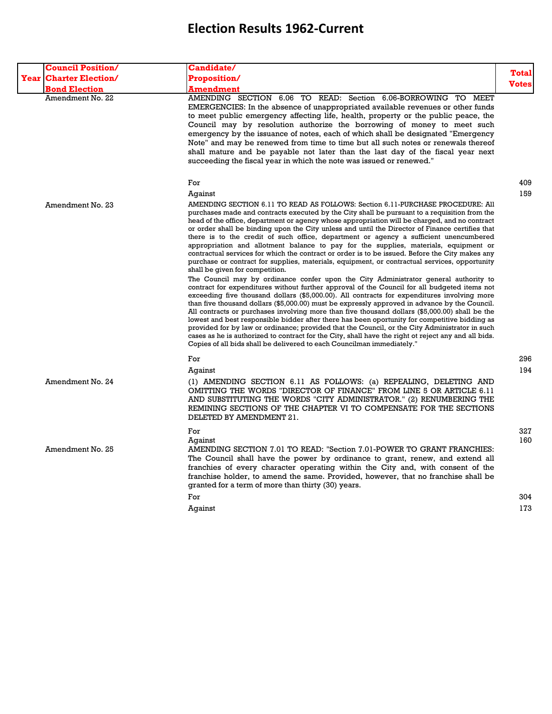| <b>Council Position/</b>      | Candidate/                                                                                                                                                                                                                                                                                                                                                                                                                                                                                                                                                                                                                                                                                                                                                                                                                                                                                                                                                                                                                                                                                                                                                                                                                                                                                                                                                                                                                                                                                                                                                                                                                                                                                 |              |
|-------------------------------|--------------------------------------------------------------------------------------------------------------------------------------------------------------------------------------------------------------------------------------------------------------------------------------------------------------------------------------------------------------------------------------------------------------------------------------------------------------------------------------------------------------------------------------------------------------------------------------------------------------------------------------------------------------------------------------------------------------------------------------------------------------------------------------------------------------------------------------------------------------------------------------------------------------------------------------------------------------------------------------------------------------------------------------------------------------------------------------------------------------------------------------------------------------------------------------------------------------------------------------------------------------------------------------------------------------------------------------------------------------------------------------------------------------------------------------------------------------------------------------------------------------------------------------------------------------------------------------------------------------------------------------------------------------------------------------------|--------------|
| <b>Year Charter Election/</b> | <b>Proposition/</b>                                                                                                                                                                                                                                                                                                                                                                                                                                                                                                                                                                                                                                                                                                                                                                                                                                                                                                                                                                                                                                                                                                                                                                                                                                                                                                                                                                                                                                                                                                                                                                                                                                                                        | <b>Total</b> |
| <b>Bond Election</b>          | <b>Amendment</b>                                                                                                                                                                                                                                                                                                                                                                                                                                                                                                                                                                                                                                                                                                                                                                                                                                                                                                                                                                                                                                                                                                                                                                                                                                                                                                                                                                                                                                                                                                                                                                                                                                                                           | <b>Votes</b> |
| Amendment No. 22              | AMENDING SECTION 6.06 TO READ: Section 6.06-BORROWING TO MEET<br>EMERGENCIES: In the absence of unappropriated available revenues or other funds<br>to meet public emergency affecting life, health, property or the public peace, the<br>Council may by resolution authorize the borrowing of money to meet such<br>emergency by the issuance of notes, each of which shall be designated "Emergency<br>Note" and may be renewed from time to time but all such notes or renewals thereof<br>shall mature and be payable not later than the last day of the fiscal year next<br>succeeding the fiscal year in which the note was issued or renewed."                                                                                                                                                                                                                                                                                                                                                                                                                                                                                                                                                                                                                                                                                                                                                                                                                                                                                                                                                                                                                                      |              |
|                               | For                                                                                                                                                                                                                                                                                                                                                                                                                                                                                                                                                                                                                                                                                                                                                                                                                                                                                                                                                                                                                                                                                                                                                                                                                                                                                                                                                                                                                                                                                                                                                                                                                                                                                        | 409          |
|                               | Against                                                                                                                                                                                                                                                                                                                                                                                                                                                                                                                                                                                                                                                                                                                                                                                                                                                                                                                                                                                                                                                                                                                                                                                                                                                                                                                                                                                                                                                                                                                                                                                                                                                                                    | 159          |
| Amendment No. 23              | AMENDING SECTION 6.11 TO READ AS FOLLOWS: Section 6.11-PURCHASE PROCEDURE: All<br>purchases made and contracts executed by the City shall be pursuant to a requisition from the<br>head of the office, department or agency whose appropriation will be charged, and no contract<br>or order shall be binding upon the City unless and until the Director of Finance certifies that<br>there is to the credit of such office, department or agency a sufficient unencumbered<br>appropriation and allotment balance to pay for the supplies, materials, equipment or<br>contractual services for which the contract or order is to be issued. Before the City makes any<br>purchase or contract for supplies, materials, equipment, or contractual services, opportunity<br>shall be given for competition.<br>The Council may by ordinance confer upon the City Administrator general authority to<br>contract for expenditures without further approval of the Council for all budgeted items not<br>exceeding five thousand dollars (\$5,000.00). All contracts for expenditures involving more<br>than five thousand dollars (\$5,000.00) must be expressly approved in advance by the Council.<br>All contracts or purchases involving more than five thousand dollars (\$5,000.00) shall be the<br>lowest and best responsible bidder after there has been oportunity for competitive bidding as<br>provided for by law or ordinance; provided that the Council, or the City Administrator in such<br>cases as he is authorized to contract for the City, shall have the right ot reject any and all bids.<br>Copies of all bids shall be delivered to each Councilman immediately." |              |
|                               | For                                                                                                                                                                                                                                                                                                                                                                                                                                                                                                                                                                                                                                                                                                                                                                                                                                                                                                                                                                                                                                                                                                                                                                                                                                                                                                                                                                                                                                                                                                                                                                                                                                                                                        | 296          |
|                               | Aqainst                                                                                                                                                                                                                                                                                                                                                                                                                                                                                                                                                                                                                                                                                                                                                                                                                                                                                                                                                                                                                                                                                                                                                                                                                                                                                                                                                                                                                                                                                                                                                                                                                                                                                    | 194          |
| Amendment No. 24              | (1) AMENDING SECTION 6.11 AS FOLLOWS: (a) REPEALING, DELETING AND<br>OMITTING THE WORDS "DIRECTOR OF FINANCE" FROM LINE 5 OR ARTICLE 6.11<br>AND SUBSTITUTING THE WORDS "CITY ADMINISTRATOR." (2) RENUMBERING THE<br>REMINING SECTIONS OF THE CHAPTER VI TO COMPENSATE FOR THE SECTIONS<br>DELETED BY AMENDMENT 21.                                                                                                                                                                                                                                                                                                                                                                                                                                                                                                                                                                                                                                                                                                                                                                                                                                                                                                                                                                                                                                                                                                                                                                                                                                                                                                                                                                        |              |
|                               | For                                                                                                                                                                                                                                                                                                                                                                                                                                                                                                                                                                                                                                                                                                                                                                                                                                                                                                                                                                                                                                                                                                                                                                                                                                                                                                                                                                                                                                                                                                                                                                                                                                                                                        | 327          |
| Amendment No. 25              | Against<br>AMENDING SECTION 7.01 TO READ: "Section 7.01-POWER TO GRANT FRANCHIES:<br>The Council shall have the power by ordinance to grant, renew, and extend all<br>franchies of every character operating within the City and, with consent of the<br>franchise holder, to amend the same. Provided, however, that no franchise shall be<br>granted for a term of more than thirty (30) years.                                                                                                                                                                                                                                                                                                                                                                                                                                                                                                                                                                                                                                                                                                                                                                                                                                                                                                                                                                                                                                                                                                                                                                                                                                                                                          | 160          |
|                               | For                                                                                                                                                                                                                                                                                                                                                                                                                                                                                                                                                                                                                                                                                                                                                                                                                                                                                                                                                                                                                                                                                                                                                                                                                                                                                                                                                                                                                                                                                                                                                                                                                                                                                        | 304          |
|                               | Against                                                                                                                                                                                                                                                                                                                                                                                                                                                                                                                                                                                                                                                                                                                                                                                                                                                                                                                                                                                                                                                                                                                                                                                                                                                                                                                                                                                                                                                                                                                                                                                                                                                                                    | 173          |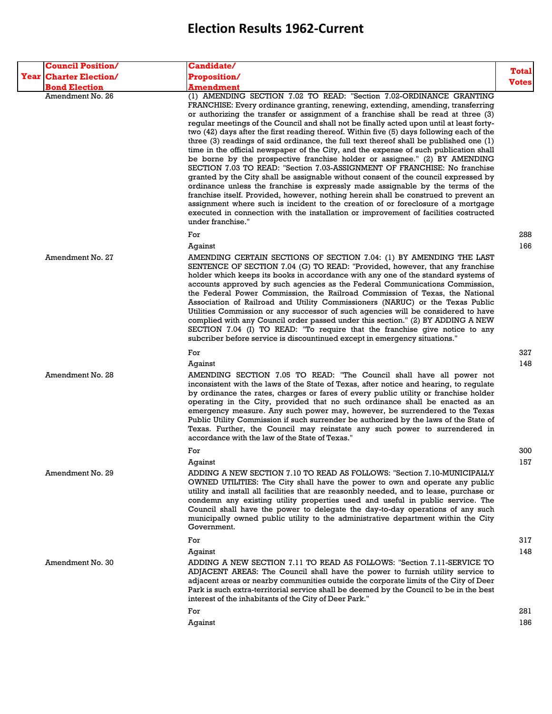| <b>Council Position/</b>      | Candidate/                                                                                                                                                                                                                                                                                                                                                                                                                                                                                                                                                                                                                                                                                                                                                                                                                                                                                                                                                                                                                                                                                                                                                                                                                                                     |              |
|-------------------------------|----------------------------------------------------------------------------------------------------------------------------------------------------------------------------------------------------------------------------------------------------------------------------------------------------------------------------------------------------------------------------------------------------------------------------------------------------------------------------------------------------------------------------------------------------------------------------------------------------------------------------------------------------------------------------------------------------------------------------------------------------------------------------------------------------------------------------------------------------------------------------------------------------------------------------------------------------------------------------------------------------------------------------------------------------------------------------------------------------------------------------------------------------------------------------------------------------------------------------------------------------------------|--------------|
| <b>Year Charter Election/</b> | <b>Proposition/</b>                                                                                                                                                                                                                                                                                                                                                                                                                                                                                                                                                                                                                                                                                                                                                                                                                                                                                                                                                                                                                                                                                                                                                                                                                                            | Total        |
| <b>Bond Election</b>          | <b>Amendment</b>                                                                                                                                                                                                                                                                                                                                                                                                                                                                                                                                                                                                                                                                                                                                                                                                                                                                                                                                                                                                                                                                                                                                                                                                                                               | <b>Votes</b> |
| Amendment No. 26              | (1) AMENDING SECTION 7.02 TO READ: "Section 7.02-ORDINANCE GRANTING<br>FRANCHISE: Every ordinance granting, renewing, extending, amending, transferring<br>or authorizing the transfer or assignment of a franchise shall be read at three (3)<br>regular meetings of the Council and shall not be finally acted upon until at least forty-<br>two (42) days after the first reading thereof. Within five (5) days following each of the<br>three $(3)$ readings of said ordinance, the full text thereof shall be published one $(1)$<br>time in the official newspaper of the City, and the expense of such publication shall<br>be borne by the prospective franchise holder or assignee." (2) BY AMENDING<br>SECTION 7.03 TO READ: "Section 7.03-ASSIGNMENT OF FRANCHISE: No franchise<br>granted by the City shall be assignable without consent of the council expressed by<br>ordinance unless the franchise is expressly made assignable by the terms of the<br>franchise itself. Provided, however, nothing herein shall be construed to prevent an<br>assignment where such is incident to the creation of or foreclosure of a mortgage<br>executed in connection with the installation or improvement of facilities costructed<br>under franchise." |              |
|                               | For                                                                                                                                                                                                                                                                                                                                                                                                                                                                                                                                                                                                                                                                                                                                                                                                                                                                                                                                                                                                                                                                                                                                                                                                                                                            | 288          |
|                               | Against                                                                                                                                                                                                                                                                                                                                                                                                                                                                                                                                                                                                                                                                                                                                                                                                                                                                                                                                                                                                                                                                                                                                                                                                                                                        | 166          |
| Amendment No. 27              | AMENDING CERTAIN SECTIONS OF SECTION 7.04: (1) BY AMENDING THE LAST<br>SENTENCE OF SECTION 7.04 (G) TO READ: "Provided, however, that any franchise<br>holder which keeps its books in accordance with any one of the standard systems of<br>accounts approved by such agencies as the Federal Communications Commission,<br>the Federal Power Commission, the Railroad Commission of Texas, the National<br>Association of Railroad and Utility Commissioners (NARUC) or the Texas Public<br>Utilities Commission or any successor of such agencies will be considered to have<br>complied with any Council order passed under this section." (2) BY ADDING A NEW<br>SECTION 7.04 (I) TO READ: "To require that the franchise give notice to any<br>subcriber before service is discountinued except in emergency situations."                                                                                                                                                                                                                                                                                                                                                                                                                                |              |
|                               | For                                                                                                                                                                                                                                                                                                                                                                                                                                                                                                                                                                                                                                                                                                                                                                                                                                                                                                                                                                                                                                                                                                                                                                                                                                                            | 327          |
| Amendment No. 28              | Against<br>AMENDING SECTION 7.05 TO READ: "The Council shall have all power not<br>inconsistent with the laws of the State of Texas, after notice and hearing, to regulate<br>by ordinance the rates, charges or fares of every public utility or franchise holder<br>operating in the City, provided that no such ordinance shall be enacted as an<br>emergency measure. Any such power may, however, be surrendered to the Texas<br>Public Utility Commission if such surrender be authorized by the laws of the State of<br>Texas. Further, the Council may reinstate any such power to surrendered in<br>accordance with the law of the State of Texas."                                                                                                                                                                                                                                                                                                                                                                                                                                                                                                                                                                                                   | 148          |
|                               | For                                                                                                                                                                                                                                                                                                                                                                                                                                                                                                                                                                                                                                                                                                                                                                                                                                                                                                                                                                                                                                                                                                                                                                                                                                                            | 300          |
|                               | Against                                                                                                                                                                                                                                                                                                                                                                                                                                                                                                                                                                                                                                                                                                                                                                                                                                                                                                                                                                                                                                                                                                                                                                                                                                                        | 157          |
| Amendment No. 29              | ADDING A NEW SECTION 7.10 TO READ AS FOLLOWS: "Section 7.10-MUNICIPALLY<br>OWNED UTILITIES: The City shall have the power to own and operate any public<br>utility and install all facilities that are reasonbly needed, and to lease, purchase or<br>condemn any existing utility properties used and useful in public service. The<br>Council shall have the power to delegate the day-to-day operations of any such<br>municipally owned public utility to the administrative department within the City<br>Government.                                                                                                                                                                                                                                                                                                                                                                                                                                                                                                                                                                                                                                                                                                                                     |              |
|                               | For                                                                                                                                                                                                                                                                                                                                                                                                                                                                                                                                                                                                                                                                                                                                                                                                                                                                                                                                                                                                                                                                                                                                                                                                                                                            | 317          |
|                               | Against                                                                                                                                                                                                                                                                                                                                                                                                                                                                                                                                                                                                                                                                                                                                                                                                                                                                                                                                                                                                                                                                                                                                                                                                                                                        | 148          |
| Amendment No. 30              | ADDING A NEW SECTION 7.11 TO READ AS FOLLOWS: "Section 7.11-SERVICE TO<br>ADJACENT AREAS: The Council shall have the power to furnish utility service to<br>adjacent areas or nearby communities outside the corporate limits of the City of Deer<br>Park is such extra-territorial service shall be deemed by the Council to be in the best<br>interest of the inhabitants of the City of Deer Park."                                                                                                                                                                                                                                                                                                                                                                                                                                                                                                                                                                                                                                                                                                                                                                                                                                                         |              |
|                               | For                                                                                                                                                                                                                                                                                                                                                                                                                                                                                                                                                                                                                                                                                                                                                                                                                                                                                                                                                                                                                                                                                                                                                                                                                                                            | 281          |
|                               | Against                                                                                                                                                                                                                                                                                                                                                                                                                                                                                                                                                                                                                                                                                                                                                                                                                                                                                                                                                                                                                                                                                                                                                                                                                                                        | 186          |
|                               |                                                                                                                                                                                                                                                                                                                                                                                                                                                                                                                                                                                                                                                                                                                                                                                                                                                                                                                                                                                                                                                                                                                                                                                                                                                                |              |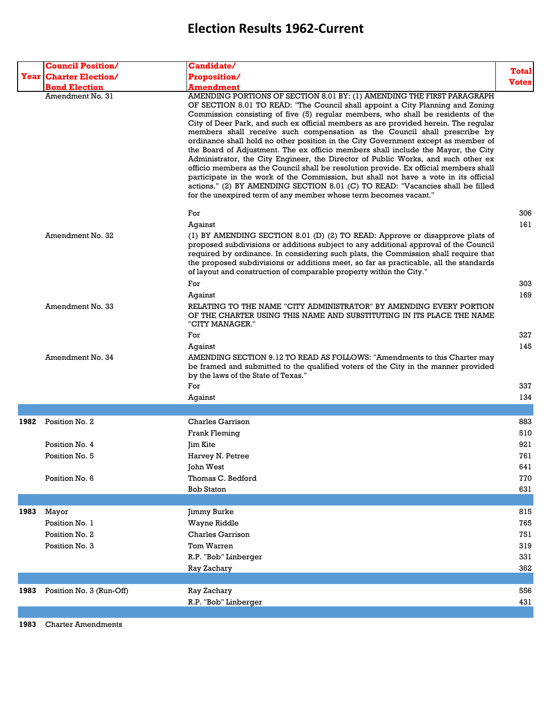|      | <b>Council Position/</b>                 | Candidate/                                                                                                                                                                                                                                                                                                                                                                                                                                                                                                                                                                                                                                                                                                                                                                                                                                                                                                                                                                                                                                 |              |
|------|------------------------------------------|--------------------------------------------------------------------------------------------------------------------------------------------------------------------------------------------------------------------------------------------------------------------------------------------------------------------------------------------------------------------------------------------------------------------------------------------------------------------------------------------------------------------------------------------------------------------------------------------------------------------------------------------------------------------------------------------------------------------------------------------------------------------------------------------------------------------------------------------------------------------------------------------------------------------------------------------------------------------------------------------------------------------------------------------|--------------|
|      | <b>Year Charter Election/</b>            | <b>Proposition/</b>                                                                                                                                                                                                                                                                                                                                                                                                                                                                                                                                                                                                                                                                                                                                                                                                                                                                                                                                                                                                                        | <b>Total</b> |
|      |                                          |                                                                                                                                                                                                                                                                                                                                                                                                                                                                                                                                                                                                                                                                                                                                                                                                                                                                                                                                                                                                                                            | <b>Votes</b> |
|      | <b>Bond Election</b><br>Amendment No. 31 | <b>Amendment</b><br>AMENDING PORTIONS OF SECTION 8.01 BY: (1) AMENDING THE FIRST PARAGRAPH<br>OF SECTION 8.01 TO READ: "The Council shall appoint a City Planning and Zoning<br>Commission consisting of five (5) regular members, who shall be residents of the<br>City of Deer Park, and such ex official members as are provided herein. The regular<br>members shall receive such compensation as the Council shall prescribe by<br>ordinance shall hold no other position in the City Government except as member of<br>the Board of Adjustment. The ex officio members shall include the Mayor, the City<br>Administrator, the City Engineer, the Director of Public Works, and such other ex<br>officio members as the Council shall be resolution provide. Ex official members shall<br>participate in the work of the Commission, but shall not have a vote in its official<br>actions." (2) BY AMENDING SECTION 8.01 (C) TO READ: "Vacancies shall be filled<br>for the unexpired term of any member whose term becomes vacant." |              |
|      |                                          | For                                                                                                                                                                                                                                                                                                                                                                                                                                                                                                                                                                                                                                                                                                                                                                                                                                                                                                                                                                                                                                        | 306          |
|      |                                          | Against                                                                                                                                                                                                                                                                                                                                                                                                                                                                                                                                                                                                                                                                                                                                                                                                                                                                                                                                                                                                                                    | 161          |
|      | Amendment No. 32                         | (1) BY AMENDING SECTION 8.01 (D) (2) TO READ: Approve or disapprove plats of<br>proposed subdivisions or additions subject to any additional approval of the Council<br>required by ordinance. In considering such plats, the Commission shall require that<br>the proposed subdivisions or additions meet, so far as practicable, all the standards<br>of layout and construction of comparable property within the City."                                                                                                                                                                                                                                                                                                                                                                                                                                                                                                                                                                                                                |              |
|      |                                          | For                                                                                                                                                                                                                                                                                                                                                                                                                                                                                                                                                                                                                                                                                                                                                                                                                                                                                                                                                                                                                                        | 303          |
|      |                                          | Against                                                                                                                                                                                                                                                                                                                                                                                                                                                                                                                                                                                                                                                                                                                                                                                                                                                                                                                                                                                                                                    | 169          |
|      | Amendment No. 33                         | RELATING TO THE NAME "CITY ADMINISTRATOR" BY AMENDING EVERY PORTION<br>OF THE CHARTER USING THIS NAME AND SUBSTITUTING IN ITS PLACE THE NAME<br>"CITY MANAGER."                                                                                                                                                                                                                                                                                                                                                                                                                                                                                                                                                                                                                                                                                                                                                                                                                                                                            |              |
|      |                                          | For                                                                                                                                                                                                                                                                                                                                                                                                                                                                                                                                                                                                                                                                                                                                                                                                                                                                                                                                                                                                                                        | 327          |
|      | Amendment No. 34                         | Against<br>AMENDING SECTION 9.12 TO READ AS FOLLOWS: "Amendments to this Charter may<br>be framed and submitted to the qualified voters of the City in the manner provided<br>by the laws of the State of Texas."                                                                                                                                                                                                                                                                                                                                                                                                                                                                                                                                                                                                                                                                                                                                                                                                                          | 145          |
|      |                                          | For                                                                                                                                                                                                                                                                                                                                                                                                                                                                                                                                                                                                                                                                                                                                                                                                                                                                                                                                                                                                                                        | 337          |
|      |                                          | Against                                                                                                                                                                                                                                                                                                                                                                                                                                                                                                                                                                                                                                                                                                                                                                                                                                                                                                                                                                                                                                    | 134          |
|      |                                          |                                                                                                                                                                                                                                                                                                                                                                                                                                                                                                                                                                                                                                                                                                                                                                                                                                                                                                                                                                                                                                            |              |
| 1982 | Position No. 2                           | Charles Garrison                                                                                                                                                                                                                                                                                                                                                                                                                                                                                                                                                                                                                                                                                                                                                                                                                                                                                                                                                                                                                           | 883          |
|      |                                          | Frank Fleming                                                                                                                                                                                                                                                                                                                                                                                                                                                                                                                                                                                                                                                                                                                                                                                                                                                                                                                                                                                                                              | 510          |
|      | Position No. 4                           | Jim Kite                                                                                                                                                                                                                                                                                                                                                                                                                                                                                                                                                                                                                                                                                                                                                                                                                                                                                                                                                                                                                                   | 921          |
|      | Position No. 5                           | Harvey N. Petree                                                                                                                                                                                                                                                                                                                                                                                                                                                                                                                                                                                                                                                                                                                                                                                                                                                                                                                                                                                                                           | 761          |
|      |                                          | John West                                                                                                                                                                                                                                                                                                                                                                                                                                                                                                                                                                                                                                                                                                                                                                                                                                                                                                                                                                                                                                  | 641          |
|      | Position No. 6                           | Thomas C. Bedford                                                                                                                                                                                                                                                                                                                                                                                                                                                                                                                                                                                                                                                                                                                                                                                                                                                                                                                                                                                                                          | 770          |
|      |                                          | <b>Bob Staton</b>                                                                                                                                                                                                                                                                                                                                                                                                                                                                                                                                                                                                                                                                                                                                                                                                                                                                                                                                                                                                                          | 631          |
|      |                                          |                                                                                                                                                                                                                                                                                                                                                                                                                                                                                                                                                                                                                                                                                                                                                                                                                                                                                                                                                                                                                                            |              |
| 1983 | Mayor                                    | Jimmy Burke                                                                                                                                                                                                                                                                                                                                                                                                                                                                                                                                                                                                                                                                                                                                                                                                                                                                                                                                                                                                                                | 815          |
|      | Position No. 1                           | Wayne Riddle                                                                                                                                                                                                                                                                                                                                                                                                                                                                                                                                                                                                                                                                                                                                                                                                                                                                                                                                                                                                                               | 765          |
|      | Position No. 2                           | <b>Charles Garrison</b>                                                                                                                                                                                                                                                                                                                                                                                                                                                                                                                                                                                                                                                                                                                                                                                                                                                                                                                                                                                                                    | 751          |
|      | Position No. 3                           | Tom Warren                                                                                                                                                                                                                                                                                                                                                                                                                                                                                                                                                                                                                                                                                                                                                                                                                                                                                                                                                                                                                                 | 319          |
|      |                                          | R.P. "Bob" Linberger                                                                                                                                                                                                                                                                                                                                                                                                                                                                                                                                                                                                                                                                                                                                                                                                                                                                                                                                                                                                                       | 331          |
|      |                                          | Ray Zachary                                                                                                                                                                                                                                                                                                                                                                                                                                                                                                                                                                                                                                                                                                                                                                                                                                                                                                                                                                                                                                | 362          |
|      |                                          |                                                                                                                                                                                                                                                                                                                                                                                                                                                                                                                                                                                                                                                                                                                                                                                                                                                                                                                                                                                                                                            |              |
| 1983 | Position No. 3 (Run-Off)                 | Ray Zachary                                                                                                                                                                                                                                                                                                                                                                                                                                                                                                                                                                                                                                                                                                                                                                                                                                                                                                                                                                                                                                | 556          |
|      |                                          | R.P. "Bob" Linberger                                                                                                                                                                                                                                                                                                                                                                                                                                                                                                                                                                                                                                                                                                                                                                                                                                                                                                                                                                                                                       | 431          |
|      |                                          |                                                                                                                                                                                                                                                                                                                                                                                                                                                                                                                                                                                                                                                                                                                                                                                                                                                                                                                                                                                                                                            |              |

**1983** Charter Amendments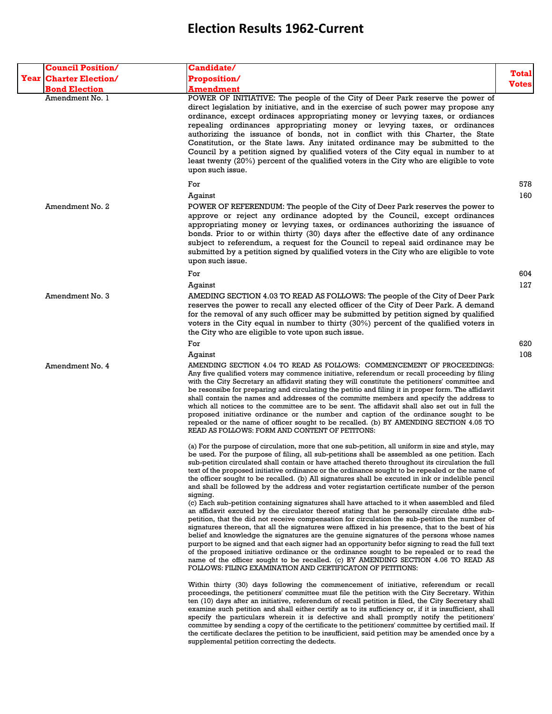| <b>Council Position/</b>      | Candidate/                                                                                                                                                                                                                                                                                                                                                                                                                                                                                                                                                                                                                                                                                                                                                                                                                                                                                                                                                                                                                                                                                                                                                                                                                                                                                                                                                                                                                                                                                  |                              |
|-------------------------------|---------------------------------------------------------------------------------------------------------------------------------------------------------------------------------------------------------------------------------------------------------------------------------------------------------------------------------------------------------------------------------------------------------------------------------------------------------------------------------------------------------------------------------------------------------------------------------------------------------------------------------------------------------------------------------------------------------------------------------------------------------------------------------------------------------------------------------------------------------------------------------------------------------------------------------------------------------------------------------------------------------------------------------------------------------------------------------------------------------------------------------------------------------------------------------------------------------------------------------------------------------------------------------------------------------------------------------------------------------------------------------------------------------------------------------------------------------------------------------------------|------------------------------|
| <b>Year Charter Election/</b> | <b>Proposition/</b>                                                                                                                                                                                                                                                                                                                                                                                                                                                                                                                                                                                                                                                                                                                                                                                                                                                                                                                                                                                                                                                                                                                                                                                                                                                                                                                                                                                                                                                                         | <b>Total</b><br><b>Votes</b> |
| <b>Bond Election</b>          | <b>Amendment</b>                                                                                                                                                                                                                                                                                                                                                                                                                                                                                                                                                                                                                                                                                                                                                                                                                                                                                                                                                                                                                                                                                                                                                                                                                                                                                                                                                                                                                                                                            |                              |
| Amendment No. 1               | POWER OF INITIATIVE: The people of the City of Deer Park reserve the power of<br>direct legislation by initiative, and in the exercise of such power may propose any<br>ordinance, except ordinaces appropriating money or levying taxes, or ordiances<br>repealing ordinances appropriating money or levying taxes, or ordinances<br>authorizing the issuance of bonds, not in conflict with this Charter, the State<br>Constitution, or the State laws. Any initated ordinance may be submitted to the<br>Council by a petition signed by qualified voters of the City equal in number to at<br>least twenty (20%) percent of the qualified voters in the City who are eligible to vote<br>upon such issue.                                                                                                                                                                                                                                                                                                                                                                                                                                                                                                                                                                                                                                                                                                                                                                               |                              |
|                               | For                                                                                                                                                                                                                                                                                                                                                                                                                                                                                                                                                                                                                                                                                                                                                                                                                                                                                                                                                                                                                                                                                                                                                                                                                                                                                                                                                                                                                                                                                         | 578                          |
| Amendment No. 2               | Against<br>POWER OF REFERENDUM: The people of the City of Deer Park reserves the power to<br>approve or reject any ordinance adopted by the Council, except ordinances<br>appropriating money or levying taxes, or ordinances authorizing the issuance of<br>bonds. Prior to or within thirty (30) days after the effective date of any ordinance<br>subject to referendum, a request for the Council to repeal said ordinance may be<br>submitted by a petition signed by qualified voters in the City who are eligible to vote<br>upon such issue.                                                                                                                                                                                                                                                                                                                                                                                                                                                                                                                                                                                                                                                                                                                                                                                                                                                                                                                                        | 160                          |
|                               | For                                                                                                                                                                                                                                                                                                                                                                                                                                                                                                                                                                                                                                                                                                                                                                                                                                                                                                                                                                                                                                                                                                                                                                                                                                                                                                                                                                                                                                                                                         | 604                          |
| Amendment No. 3               | Against<br>AMEDING SECTION 4.03 TO READ AS FOLLOWS: The people of the City of Deer Park<br>reserves the power to recall any elected officer of the City of Deer Park. A demand<br>for the removal of any such officer may be submitted by petition signed by qualified<br>voters in the City equal in number to thirty (30%) percent of the qualified voters in<br>the City who are eligible to vote upon such issue.                                                                                                                                                                                                                                                                                                                                                                                                                                                                                                                                                                                                                                                                                                                                                                                                                                                                                                                                                                                                                                                                       | 127                          |
|                               | For                                                                                                                                                                                                                                                                                                                                                                                                                                                                                                                                                                                                                                                                                                                                                                                                                                                                                                                                                                                                                                                                                                                                                                                                                                                                                                                                                                                                                                                                                         | 620                          |
|                               | Against                                                                                                                                                                                                                                                                                                                                                                                                                                                                                                                                                                                                                                                                                                                                                                                                                                                                                                                                                                                                                                                                                                                                                                                                                                                                                                                                                                                                                                                                                     | 108                          |
| Amendment No. 4               | AMENDING SECTION 4.04 TO READ AS FOLLOWS: COMMENCEMENT OF PROCEEDINGS:<br>Any five qualified voters may commence initiative, referendum or recall proceeding by filing<br>with the City Secretary an affidavit stating they will constitute the petitioners' committee and<br>be resonsibe for preparing and circulating the petitio and filing it in proper form. The affidavit<br>shall contain the names and addresses of the committe members and specify the address to<br>which all notices to the committee are to be sent. The affidavit shall also set out in full the<br>proposed initiative ordinance or the number and caption of the ordinance sought to be<br>repealed or the name of officer sought to be recalled. (b) BY AMENDING SECTION 4.05 TO<br>READ AS FOLLOWS: FORM AND CONTENT OF PETITONS:                                                                                                                                                                                                                                                                                                                                                                                                                                                                                                                                                                                                                                                                        |                              |
|                               | (a) For the purpose of circulation, more that one sub-petition, all uniform in size and style, may<br>be used. For the purpose of filing, all sub-petitions shall be assembled as one petition. Each<br>sub-petition circulated shall contain or have attached thereto throughout its circulation the full<br>text of the proposed initiative ordinance or the ordinance sought to be repealed or the name of<br>the officer sought to be recalled. (b) All signatures shall be excuted in ink or indelible pencil<br>and shall be followed by the address and voter registartion certificate number of the person<br>signing.<br>(c) Each sub-petition containing signatures shall have attached to it when assembled and filed<br>an affidavit excuted by the circulator thereof stating that he personally circulate dthe sub-<br>petition, that the did not receive compensation for circulation the sub-petition the number of<br>signatures thereon, that all the signatures were affixed in his presence, that to the best of his<br>belief and knowledge the signatures are the genuine signatures of the persons whose names<br>purport to be signed and that each signer had an opportunity befor signing to read the full text<br>of the proposed initiative ordinance or the ordinance sought to be repealed or to read the<br>name of the officer sought to be recalled. (c) BY AMENDING SECTION 4.06 TO READ AS<br>FOLLOWS: FILING EXAMINATION AND CERTIFICATON OF PETITIONS: |                              |
|                               | Within thirty (30) days following the commencement of initiative, referendum or recall<br>proceedings, the petitioners' committee must file the petition with the City Secretary. Within<br>ten (10) days after an initiative, referendum of recall petition is filed, the City Secretary shall<br>examine such petition and shall either certify as to its sufficiency or, if it is insufficient, shall<br>specify the particulars wherein it is defective and shall promptly notify the petitioners'<br>committee by sending a copy of the certificate to the petitioners' committee by certified mail. If<br>the certificate declares the petition to be insufficient, said petition may be amended once by a<br>supplemental petition correcting the dedects.                                                                                                                                                                                                                                                                                                                                                                                                                                                                                                                                                                                                                                                                                                                           |                              |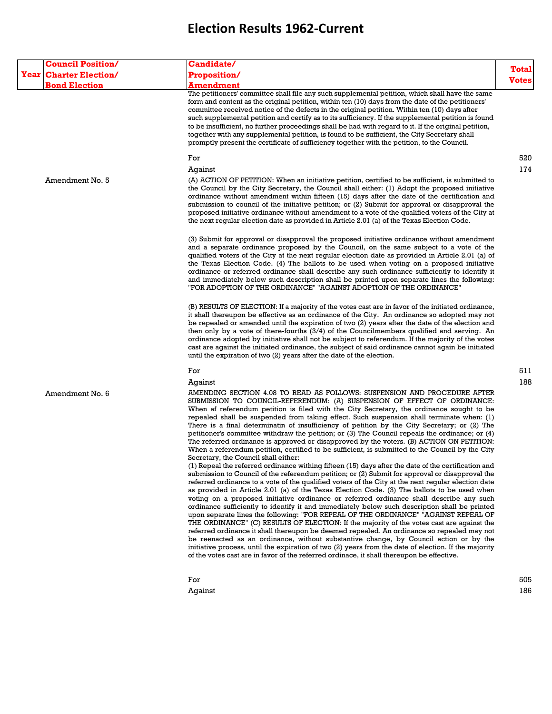| <b>Council Position/</b>      | <b>Candidate/</b>                                                                                                                                                                                                                                                                                                                                                                                                                                                                                                                                                                                                                                                                                                                                                                                                                                                                                                                                                                                                                                                                                                                                                                                                                                                                                                                                                                                                                                                                                                                                                                                                                                                                                                                                                                                                                                                                                                                                                                 |              |
|-------------------------------|-----------------------------------------------------------------------------------------------------------------------------------------------------------------------------------------------------------------------------------------------------------------------------------------------------------------------------------------------------------------------------------------------------------------------------------------------------------------------------------------------------------------------------------------------------------------------------------------------------------------------------------------------------------------------------------------------------------------------------------------------------------------------------------------------------------------------------------------------------------------------------------------------------------------------------------------------------------------------------------------------------------------------------------------------------------------------------------------------------------------------------------------------------------------------------------------------------------------------------------------------------------------------------------------------------------------------------------------------------------------------------------------------------------------------------------------------------------------------------------------------------------------------------------------------------------------------------------------------------------------------------------------------------------------------------------------------------------------------------------------------------------------------------------------------------------------------------------------------------------------------------------------------------------------------------------------------------------------------------------|--------------|
| <b>Year Charter Election/</b> | <b>Proposition/</b>                                                                                                                                                                                                                                                                                                                                                                                                                                                                                                                                                                                                                                                                                                                                                                                                                                                                                                                                                                                                                                                                                                                                                                                                                                                                                                                                                                                                                                                                                                                                                                                                                                                                                                                                                                                                                                                                                                                                                               | <b>Total</b> |
| <b>Bond Election</b>          | Amendment                                                                                                                                                                                                                                                                                                                                                                                                                                                                                                                                                                                                                                                                                                                                                                                                                                                                                                                                                                                                                                                                                                                                                                                                                                                                                                                                                                                                                                                                                                                                                                                                                                                                                                                                                                                                                                                                                                                                                                         | <b>Votes</b> |
|                               | The petitioners' committee shall file any such supplemental petition, which shall have the same<br>form and content as the original petition, within ten (10) days from the date of the petitioners'<br>committee received notice of the defects in the original petition. Within ten (10) days after<br>such supplemental petition and certify as to its sufficiency. If the supplemental petition is found<br>to be insufficient, no further proceedings shall be had with regard to it. If the original petition,<br>together with any supplemental petition, is found to be sufficient, the City Secretary shall<br>promptly present the certificate of sufficiency together with the petition, to the Council.                                                                                                                                                                                                                                                                                                                                                                                                                                                                                                                                                                                                                                                                                                                                                                                                                                                                                                                                                                                                                                                                                                                                                                                                                                                               |              |
|                               | For                                                                                                                                                                                                                                                                                                                                                                                                                                                                                                                                                                                                                                                                                                                                                                                                                                                                                                                                                                                                                                                                                                                                                                                                                                                                                                                                                                                                                                                                                                                                                                                                                                                                                                                                                                                                                                                                                                                                                                               | 520          |
| Amendment No. 5               | Against<br>(A) ACTION OF PETITION: When an initiative petition, certified to be sufficient, is submitted to<br>the Council by the City Secretary, the Council shall either: (1) Adopt the proposed initiative<br>ordinance without amendment within fifteen (15) days after the date of the certification and<br>submission to council of the initiative petition; or (2) Submit for approval or disapproval the<br>proposed initiative ordinance without amendment to a vote of the qualified voters of the City at<br>the next regular election date as provided in Article 2.01 (a) of the Texas Election Code.                                                                                                                                                                                                                                                                                                                                                                                                                                                                                                                                                                                                                                                                                                                                                                                                                                                                                                                                                                                                                                                                                                                                                                                                                                                                                                                                                                | 174          |
|                               | (3) Submit for approval or disapproval the proposed initiative ordinance without amendment<br>and a separate ordinance proposed by the Council, on the same subject to a vote of the<br>qualified voters of the City at the next regular election date as provided in Article 2.01 (a) of<br>the Texas Election Code. (4) The ballots to be used when voting on a proposed initiative<br>ordinance or referred ordinance shall describe any such ordinance sufficiently to identify it<br>and immediately below such description shall be printed upon separate lines the following:<br>"FOR ADOPTION OF THE ORDINANCE" "AGAINST ADOPTION OF THE ORDINANCE"                                                                                                                                                                                                                                                                                                                                                                                                                                                                                                                                                                                                                                                                                                                                                                                                                                                                                                                                                                                                                                                                                                                                                                                                                                                                                                                       |              |
|                               | (B) RESULTS OF ELECTION: If a majority of the votes cast are in favor of the initiated ordinance,<br>it shall thereupon be effective as an ordinance of the City. An ordinance so adopted may not<br>be repealed or amended until the expiration of two (2) years after the date of the election and<br>then only by a vote of there-fourths (3/4) of the Councilmembers qualified and serving. An<br>ordinance adopted by initiative shall not be subject to referendum. If the majority of the votes<br>cast are against the initiated ordinance, the subject of said ordinance cannot again be initiated<br>until the expiration of two (2) years after the date of the election.                                                                                                                                                                                                                                                                                                                                                                                                                                                                                                                                                                                                                                                                                                                                                                                                                                                                                                                                                                                                                                                                                                                                                                                                                                                                                              |              |
|                               | For                                                                                                                                                                                                                                                                                                                                                                                                                                                                                                                                                                                                                                                                                                                                                                                                                                                                                                                                                                                                                                                                                                                                                                                                                                                                                                                                                                                                                                                                                                                                                                                                                                                                                                                                                                                                                                                                                                                                                                               | 511          |
|                               | Against                                                                                                                                                                                                                                                                                                                                                                                                                                                                                                                                                                                                                                                                                                                                                                                                                                                                                                                                                                                                                                                                                                                                                                                                                                                                                                                                                                                                                                                                                                                                                                                                                                                                                                                                                                                                                                                                                                                                                                           | 188          |
| Amendment No. 6               | AMENDING SECTION 4.08 TO READ AS FOLLOWS: SUSPENSION AND PROCEDURE AFTER<br>SUBMISSION TO COUNCIL-REFERENDUM: (A) SUSPENSION OF EFFECT OF ORDINANCE:<br>When af referendum petition is filed with the City Secretary, the ordinance sought to be<br>repealed shall be suspended from taking effect. Such suspension shall terminate when: (1)<br>There is a final determinatin of insufficiency of petition by the City Secretary; or (2) The<br>petitioner's committee withdraw the petition; or (3) The Council repeals the ordinance; or (4)<br>The referred ordinance is approved or disapproved by the voters. (B) ACTION ON PETITION:<br>When a referendum petition, certified to be sufficient, is submitted to the Council by the City<br>Secretary, the Council shall either:<br>(1) Repeal the referred ordinance withing fifteen (15) days after the date of the certification and<br>submission to Council of the referendum petition; or (2) Submit for approval or disapproval the<br>referred ordinance to a vote of the qualified voters of the City at the next regular election date<br>as provided in Article 2.01 (a) of the Texas Election Code. (3) The ballots to be used when<br>voting on a proposed initiative ordinance or referred ordinance shall describe any such<br>ordinance sufficiently to identify it and immediately below such description shall be printed<br>upon separate lines the following: "FOR REPEAL OF THE ORDINANCE" "AGAINST REPEAL OF<br>THE ORDINANCE" (C) RESULTS OF ELECTION: If the majority of the votes cast are against the<br>referred ordinance it shall thereupon be deemed repealed. An ordinance so repealed may not<br>be reenacted as an ordinance, without substantive change, by Council action or by the<br>initiative process, until the expiration of two (2) years from the date of election. If the majority<br>of the votes cast are in favor of the referred ordinace, it shall thereupon be effective. |              |
|                               | For                                                                                                                                                                                                                                                                                                                                                                                                                                                                                                                                                                                                                                                                                                                                                                                                                                                                                                                                                                                                                                                                                                                                                                                                                                                                                                                                                                                                                                                                                                                                                                                                                                                                                                                                                                                                                                                                                                                                                                               | 505          |
|                               |                                                                                                                                                                                                                                                                                                                                                                                                                                                                                                                                                                                                                                                                                                                                                                                                                                                                                                                                                                                                                                                                                                                                                                                                                                                                                                                                                                                                                                                                                                                                                                                                                                                                                                                                                                                                                                                                                                                                                                                   |              |

Against 186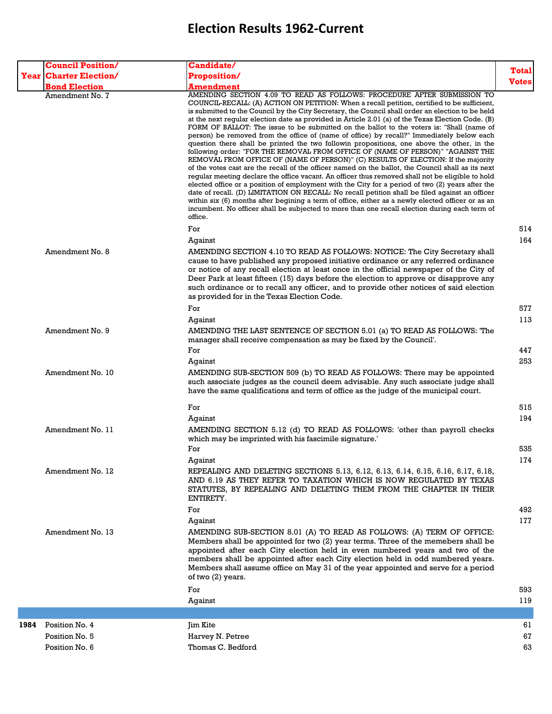|      | <b>Council Position/</b>         | Candidate/                                                                                                                                                                                                                                                                                                                                                                                                                                                                                                                                                                                                                                                                                                                                                                                                                                                                                                                                                                                                                                                                                                                                                                                                                                                                                                                                                                                                                                                                        |              |
|------|----------------------------------|-----------------------------------------------------------------------------------------------------------------------------------------------------------------------------------------------------------------------------------------------------------------------------------------------------------------------------------------------------------------------------------------------------------------------------------------------------------------------------------------------------------------------------------------------------------------------------------------------------------------------------------------------------------------------------------------------------------------------------------------------------------------------------------------------------------------------------------------------------------------------------------------------------------------------------------------------------------------------------------------------------------------------------------------------------------------------------------------------------------------------------------------------------------------------------------------------------------------------------------------------------------------------------------------------------------------------------------------------------------------------------------------------------------------------------------------------------------------------------------|--------------|
|      | <b>Year Charter Election/</b>    | Proposition/                                                                                                                                                                                                                                                                                                                                                                                                                                                                                                                                                                                                                                                                                                                                                                                                                                                                                                                                                                                                                                                                                                                                                                                                                                                                                                                                                                                                                                                                      | <b>Total</b> |
|      | <b>Bond Election</b>             | <b>Amendment</b>                                                                                                                                                                                                                                                                                                                                                                                                                                                                                                                                                                                                                                                                                                                                                                                                                                                                                                                                                                                                                                                                                                                                                                                                                                                                                                                                                                                                                                                                  | <b>Votes</b> |
|      | Amendment No. 7                  | AMENDING SECTION 4.09 TO READ AS FOLLOWS: PROCEDURE AFTER SUBMISSION TO<br>COUNCIL-RECALL: (A) ACTION ON PETITION: When a recall petition, certified to be sufficient,<br>is submitted to the Council by the City Secretary, the Council shall order an election to be held<br>at the next regular election date as provided in Article 2.01 (a) of the Texas Election Code. (B)<br>FORM OF BALLOT: The issue to be submitted on the ballot to the voters is: "Shall (name of<br>person) be removed from the office of (name of office) by recall?" Immediately below each<br>question there shall be printed the two followin propositions, one above the other, in the<br>following order: "FOR THE REMOVAL FROM OFFICE OF (NAME OF PERSON)" "AGAINST THE<br>REMOVAL FROM OFFICE OF (NAME OF PERSON)" (C) RESULTS OF ELECTION: If the majority<br>of the votes cast are the recall of the officer named on the ballot, the Council shall as its next<br>reqular meeting declare the office vacant. An officer thus removed shall not be eligible to hold<br>elected office or a position of employment with the City for a period of two (2) years after the<br>date of recall. (D) LIMITATION ON RECALL: No recall petition shall be filed against an officer<br>within six (6) months after begining a term of office, either as a newly elected officer or as an<br>incumbent. No officer shall be subjected to more than one recall election during each term of<br>office. |              |
|      |                                  | For                                                                                                                                                                                                                                                                                                                                                                                                                                                                                                                                                                                                                                                                                                                                                                                                                                                                                                                                                                                                                                                                                                                                                                                                                                                                                                                                                                                                                                                                               | 514          |
|      | Amendment No. 8                  | Against<br>AMENDING SECTION 4.10 TO READ AS FOLLOWS: NOTICE: The City Secretary shall<br>cause to have published any proposed initiative ordinance or any referred ordinance<br>or notice of any recall election at least once in the official newspaper of the City of<br>Deer Park at least fifteen (15) days before the election to approve or disapprove any<br>such ordinance or to recall any officer, and to provide other notices of said election<br>as provided for in the Texas Election Code.                                                                                                                                                                                                                                                                                                                                                                                                                                                                                                                                                                                                                                                                                                                                                                                                                                                                                                                                                                         | 164          |
|      |                                  | For                                                                                                                                                                                                                                                                                                                                                                                                                                                                                                                                                                                                                                                                                                                                                                                                                                                                                                                                                                                                                                                                                                                                                                                                                                                                                                                                                                                                                                                                               | 577          |
|      | Amendment No. 9                  | Against<br>AMENDING THE LAST SENTENCE OF SECTION 5.01 (a) TO READ AS FOLLOWS: 'The<br>manager shall receive compensation as may be fixed by the Council'.                                                                                                                                                                                                                                                                                                                                                                                                                                                                                                                                                                                                                                                                                                                                                                                                                                                                                                                                                                                                                                                                                                                                                                                                                                                                                                                         | 113          |
|      |                                  | For                                                                                                                                                                                                                                                                                                                                                                                                                                                                                                                                                                                                                                                                                                                                                                                                                                                                                                                                                                                                                                                                                                                                                                                                                                                                                                                                                                                                                                                                               | 447          |
|      | Amendment No. 10                 | Against<br>AMENDING SUB-SECTION 509 (b) TO READ AS FOLLOWS: There may be appointed<br>such associate judges as the council deem advisable. Any such associate judge shall<br>have the same qualifications and term of office as the judge of the municipal court.                                                                                                                                                                                                                                                                                                                                                                                                                                                                                                                                                                                                                                                                                                                                                                                                                                                                                                                                                                                                                                                                                                                                                                                                                 | 253          |
|      |                                  | For                                                                                                                                                                                                                                                                                                                                                                                                                                                                                                                                                                                                                                                                                                                                                                                                                                                                                                                                                                                                                                                                                                                                                                                                                                                                                                                                                                                                                                                                               | 515          |
|      |                                  | Against                                                                                                                                                                                                                                                                                                                                                                                                                                                                                                                                                                                                                                                                                                                                                                                                                                                                                                                                                                                                                                                                                                                                                                                                                                                                                                                                                                                                                                                                           | 194          |
|      | Amendment No. 11                 | AMENDING SECTION 5.12 (d) TO READ AS FOLLOWS: 'other than payroll checks<br>which may be imprinted with his fascimile signature.'                                                                                                                                                                                                                                                                                                                                                                                                                                                                                                                                                                                                                                                                                                                                                                                                                                                                                                                                                                                                                                                                                                                                                                                                                                                                                                                                                 |              |
|      |                                  | For                                                                                                                                                                                                                                                                                                                                                                                                                                                                                                                                                                                                                                                                                                                                                                                                                                                                                                                                                                                                                                                                                                                                                                                                                                                                                                                                                                                                                                                                               | 535          |
|      | Amendment No. 12                 | Against<br>REPEALING AND DELETING SECTIONS 5.13, 6.12, 6.13, 6.14, 6.15, 6.16, 6.17, 6.18,<br>AND 6.19 AS THEY REFER TO TAXATION WHICH IS NOW REGULATED BY TEXAS<br>STATUTES, BY REPEALING AND DELETING THEM FROM THE CHAPTER IN THEIR<br>ENTIRETY.                                                                                                                                                                                                                                                                                                                                                                                                                                                                                                                                                                                                                                                                                                                                                                                                                                                                                                                                                                                                                                                                                                                                                                                                                               | 174          |
|      | Amendment No. 13                 | For<br>Against<br>AMENDING SUB-SECTION 8.01 (A) TO READ AS FOLLOWS: (A) TERM OF OFFICE:<br>Members shall be appointed for two (2) year terms. Three of the memebers shall be<br>appointed after each City election held in even numbered years and two of the<br>members shall be appointed after each City election held in odd numbered years.<br>Members shall assume office on May 31 of the year appointed and serve for a period<br>of two (2) years.                                                                                                                                                                                                                                                                                                                                                                                                                                                                                                                                                                                                                                                                                                                                                                                                                                                                                                                                                                                                                       | 492<br>177   |
|      |                                  | For                                                                                                                                                                                                                                                                                                                                                                                                                                                                                                                                                                                                                                                                                                                                                                                                                                                                                                                                                                                                                                                                                                                                                                                                                                                                                                                                                                                                                                                                               | 593          |
|      |                                  | Against                                                                                                                                                                                                                                                                                                                                                                                                                                                                                                                                                                                                                                                                                                                                                                                                                                                                                                                                                                                                                                                                                                                                                                                                                                                                                                                                                                                                                                                                           | 119          |
|      |                                  |                                                                                                                                                                                                                                                                                                                                                                                                                                                                                                                                                                                                                                                                                                                                                                                                                                                                                                                                                                                                                                                                                                                                                                                                                                                                                                                                                                                                                                                                                   |              |
| 1984 | Position No. 4                   | <b>Jim Kite</b>                                                                                                                                                                                                                                                                                                                                                                                                                                                                                                                                                                                                                                                                                                                                                                                                                                                                                                                                                                                                                                                                                                                                                                                                                                                                                                                                                                                                                                                                   | 61           |
|      | Position No. 5<br>Position No. 6 | Harvey N. Petree<br>Thomas C. Bedford                                                                                                                                                                                                                                                                                                                                                                                                                                                                                                                                                                                                                                                                                                                                                                                                                                                                                                                                                                                                                                                                                                                                                                                                                                                                                                                                                                                                                                             | 67<br>63     |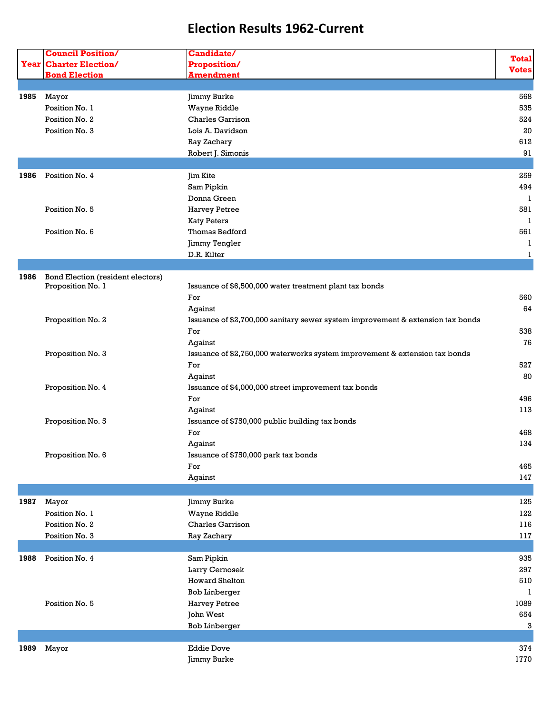| <b>Council Position/</b><br>Candidate/<br><b>Year Charter Election/</b><br>Proposition/<br><b>Bond Election</b><br><b>Amendment</b><br>Jimmy Burke<br>1985<br>Mayor<br>Wayne Riddle<br>Position No. 1<br>Charles Garrison<br>Position No. 2<br>Position No. 3<br>Lois A. Davidson<br>Ray Zachary<br>Robert J. Simonis<br>Position No. 4<br>1986<br><b>Jim Kite</b><br>Sam Pipkin<br>Donna Green<br>Position No. 5<br><b>Harvey Petree</b><br><b>Katy Peters</b><br>Thomas Bedford<br>Position No. 6 | <b>Total</b><br><b>Votes</b><br>568<br>535<br>524<br>20<br>612<br>91<br>259<br>494<br>1<br>581 |
|-----------------------------------------------------------------------------------------------------------------------------------------------------------------------------------------------------------------------------------------------------------------------------------------------------------------------------------------------------------------------------------------------------------------------------------------------------------------------------------------------------|------------------------------------------------------------------------------------------------|
|                                                                                                                                                                                                                                                                                                                                                                                                                                                                                                     |                                                                                                |
|                                                                                                                                                                                                                                                                                                                                                                                                                                                                                                     |                                                                                                |
|                                                                                                                                                                                                                                                                                                                                                                                                                                                                                                     |                                                                                                |
|                                                                                                                                                                                                                                                                                                                                                                                                                                                                                                     |                                                                                                |
|                                                                                                                                                                                                                                                                                                                                                                                                                                                                                                     |                                                                                                |
|                                                                                                                                                                                                                                                                                                                                                                                                                                                                                                     |                                                                                                |
|                                                                                                                                                                                                                                                                                                                                                                                                                                                                                                     |                                                                                                |
|                                                                                                                                                                                                                                                                                                                                                                                                                                                                                                     |                                                                                                |
|                                                                                                                                                                                                                                                                                                                                                                                                                                                                                                     |                                                                                                |
|                                                                                                                                                                                                                                                                                                                                                                                                                                                                                                     |                                                                                                |
|                                                                                                                                                                                                                                                                                                                                                                                                                                                                                                     |                                                                                                |
|                                                                                                                                                                                                                                                                                                                                                                                                                                                                                                     |                                                                                                |
|                                                                                                                                                                                                                                                                                                                                                                                                                                                                                                     |                                                                                                |
|                                                                                                                                                                                                                                                                                                                                                                                                                                                                                                     |                                                                                                |
|                                                                                                                                                                                                                                                                                                                                                                                                                                                                                                     |                                                                                                |
|                                                                                                                                                                                                                                                                                                                                                                                                                                                                                                     | 1                                                                                              |
|                                                                                                                                                                                                                                                                                                                                                                                                                                                                                                     | 561                                                                                            |
| Jimmy Tengler                                                                                                                                                                                                                                                                                                                                                                                                                                                                                       | 1                                                                                              |
| D.R. Kilter                                                                                                                                                                                                                                                                                                                                                                                                                                                                                         | 1                                                                                              |
|                                                                                                                                                                                                                                                                                                                                                                                                                                                                                                     |                                                                                                |
| 1986<br>Bond Election (resident electors)                                                                                                                                                                                                                                                                                                                                                                                                                                                           |                                                                                                |
| Proposition No. 1<br>Issuance of \$6,500,000 water treatment plant tax bonds                                                                                                                                                                                                                                                                                                                                                                                                                        |                                                                                                |
| For                                                                                                                                                                                                                                                                                                                                                                                                                                                                                                 | 560                                                                                            |
| Against                                                                                                                                                                                                                                                                                                                                                                                                                                                                                             | 64                                                                                             |
| Proposition No. 2<br>Issuance of \$2,700,000 sanitary sewer system improvement & extension tax bonds                                                                                                                                                                                                                                                                                                                                                                                                |                                                                                                |
| For                                                                                                                                                                                                                                                                                                                                                                                                                                                                                                 | 538                                                                                            |
| Against                                                                                                                                                                                                                                                                                                                                                                                                                                                                                             | 76                                                                                             |
| Proposition No. 3<br>Issuance of \$2,750,000 waterworks system improvement & extension tax bonds                                                                                                                                                                                                                                                                                                                                                                                                    |                                                                                                |
| For                                                                                                                                                                                                                                                                                                                                                                                                                                                                                                 | 527                                                                                            |
| Against                                                                                                                                                                                                                                                                                                                                                                                                                                                                                             | 80                                                                                             |
| Proposition No. 4<br>Issuance of \$4,000,000 street improvement tax bonds                                                                                                                                                                                                                                                                                                                                                                                                                           |                                                                                                |
| For                                                                                                                                                                                                                                                                                                                                                                                                                                                                                                 | 496                                                                                            |
| Against                                                                                                                                                                                                                                                                                                                                                                                                                                                                                             | 113                                                                                            |
|                                                                                                                                                                                                                                                                                                                                                                                                                                                                                                     |                                                                                                |
| Proposition No. 5<br>Issuance of \$750,000 public building tax bonds                                                                                                                                                                                                                                                                                                                                                                                                                                |                                                                                                |
| For                                                                                                                                                                                                                                                                                                                                                                                                                                                                                                 | 468                                                                                            |
| Against                                                                                                                                                                                                                                                                                                                                                                                                                                                                                             | 134                                                                                            |
|                                                                                                                                                                                                                                                                                                                                                                                                                                                                                                     |                                                                                                |
| Proposition No. 6<br>Issuance of \$750,000 park tax bonds                                                                                                                                                                                                                                                                                                                                                                                                                                           |                                                                                                |
| For                                                                                                                                                                                                                                                                                                                                                                                                                                                                                                 | 465                                                                                            |
| Against                                                                                                                                                                                                                                                                                                                                                                                                                                                                                             |                                                                                                |
|                                                                                                                                                                                                                                                                                                                                                                                                                                                                                                     | 147                                                                                            |
| 1987<br>Mayor<br>Jimmy Burke                                                                                                                                                                                                                                                                                                                                                                                                                                                                        | 125                                                                                            |
| Position No. 1<br>Wayne Riddle                                                                                                                                                                                                                                                                                                                                                                                                                                                                      | 122                                                                                            |
| Charles Garrison<br>Position No. 2                                                                                                                                                                                                                                                                                                                                                                                                                                                                  | 116                                                                                            |
| Position No. 3<br>Ray Zachary                                                                                                                                                                                                                                                                                                                                                                                                                                                                       | 117                                                                                            |
|                                                                                                                                                                                                                                                                                                                                                                                                                                                                                                     |                                                                                                |
| Position No. 4<br>Sam Pipkin<br>1988                                                                                                                                                                                                                                                                                                                                                                                                                                                                | 935                                                                                            |
|                                                                                                                                                                                                                                                                                                                                                                                                                                                                                                     | 297                                                                                            |
| Larry Cernosek                                                                                                                                                                                                                                                                                                                                                                                                                                                                                      |                                                                                                |
| <b>Howard Shelton</b>                                                                                                                                                                                                                                                                                                                                                                                                                                                                               | 1                                                                                              |
| <b>Bob Linberger</b>                                                                                                                                                                                                                                                                                                                                                                                                                                                                                | 510                                                                                            |
| Position No. 5<br><b>Harvey Petree</b>                                                                                                                                                                                                                                                                                                                                                                                                                                                              | 1089                                                                                           |
| John West                                                                                                                                                                                                                                                                                                                                                                                                                                                                                           | 654                                                                                            |
| <b>Bob Linberger</b>                                                                                                                                                                                                                                                                                                                                                                                                                                                                                | 3                                                                                              |
| 1989<br>Mayor<br><b>Eddie Dove</b>                                                                                                                                                                                                                                                                                                                                                                                                                                                                  | 374                                                                                            |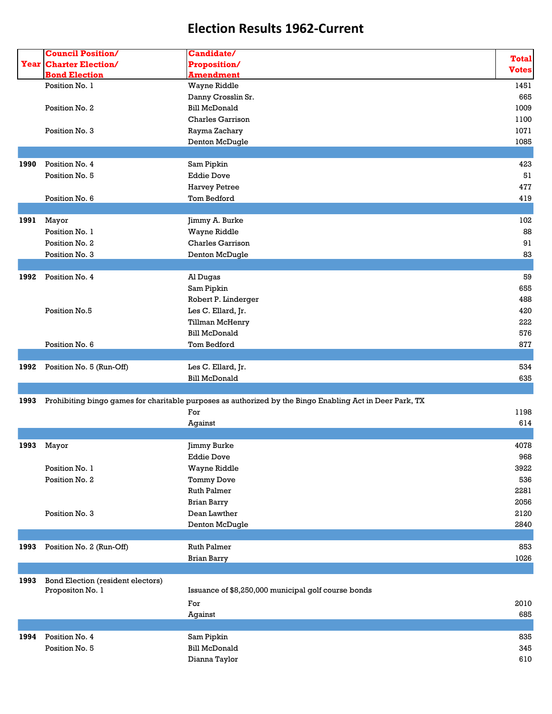|      | <b>Council Position/</b>          | Candidate/                                                                                               |              |
|------|-----------------------------------|----------------------------------------------------------------------------------------------------------|--------------|
|      | <b>Year Charter Election/</b>     | <b>Proposition/</b>                                                                                      | <b>Total</b> |
|      | <b>Bond Election</b>              | <b>Amendment</b>                                                                                         | <b>Votes</b> |
|      | Position No. 1                    | Wayne Riddle                                                                                             | 1451         |
|      |                                   | Danny Crosslin Sr.                                                                                       | 665          |
|      | Position No. 2                    | <b>Bill McDonald</b>                                                                                     | 1009         |
|      |                                   |                                                                                                          |              |
|      |                                   | Charles Garrison                                                                                         | 1100         |
|      | Position No. 3                    | Rayma Zachary                                                                                            | 1071         |
|      |                                   | Denton McDugle                                                                                           | 1085         |
|      |                                   |                                                                                                          |              |
| 1990 | Position No. 4                    | Sam Pipkin                                                                                               | 423          |
|      | Position No. 5                    | <b>Eddie Dove</b>                                                                                        | 51           |
|      |                                   | <b>Harvey Petree</b>                                                                                     | 477          |
|      | Position No. 6                    | Tom Bedford                                                                                              | 419          |
|      |                                   |                                                                                                          |              |
| 1991 | Mayor                             | Jimmy A. Burke                                                                                           | 102          |
|      | Position No. 1                    | Wayne Riddle                                                                                             | 88           |
|      | Position No. 2                    | <b>Charles Garrison</b>                                                                                  | 91           |
|      | Position No. 3                    | Denton McDugle                                                                                           | 83           |
|      |                                   |                                                                                                          |              |
| 1992 | Position No. 4                    | Al Dugas                                                                                                 | 59           |
|      |                                   | Sam Pipkin                                                                                               | 655          |
|      |                                   | Robert P. Linderger                                                                                      | 488          |
|      | Position No.5                     | Les C. Ellard, Jr.                                                                                       | 420          |
|      |                                   | Tillman McHenry                                                                                          | 222          |
|      |                                   | <b>Bill McDonald</b>                                                                                     | 576          |
|      | Position No. 6                    | Tom Bedford                                                                                              | 877          |
|      |                                   |                                                                                                          |              |
| 1992 | Position No. 5 (Run-Off)          | Les C. Ellard, Jr.                                                                                       | 534          |
|      |                                   | <b>Bill McDonald</b>                                                                                     | 635          |
|      |                                   |                                                                                                          |              |
| 1993 |                                   | Prohibiting bingo games for charitable purposes as authorized by the Bingo Enabling Act in Deer Park, TX |              |
|      |                                   | For                                                                                                      | 1198         |
|      |                                   |                                                                                                          |              |
|      |                                   | Against                                                                                                  | 614          |
|      |                                   |                                                                                                          |              |
| 1993 | Mayor                             | Jimmy Burke                                                                                              | 4078         |
|      |                                   | <b>Eddie Dove</b>                                                                                        | 968          |
|      | Position No. 1                    | Wayne Riddle                                                                                             | 3922         |
|      | Position No. 2                    | <b>Tommy Dove</b>                                                                                        | 536          |
|      |                                   | <b>Ruth Palmer</b>                                                                                       | 2281         |
|      |                                   | <b>Brian Barry</b>                                                                                       | 2056         |
|      | Position No. 3                    | Dean Lawther                                                                                             | 2120         |
|      |                                   | Denton McDugle                                                                                           | 2840         |
|      |                                   |                                                                                                          |              |
| 1993 | Position No. 2 (Run-Off)          | <b>Ruth Palmer</b>                                                                                       | 853          |
|      |                                   | <b>Brian Barry</b>                                                                                       | 1026         |
|      |                                   |                                                                                                          |              |
| 1993 | Bond Election (resident electors) |                                                                                                          |              |
|      | Propositon No. 1                  | Issuance of \$8,250,000 municipal golf course bonds                                                      |              |
|      |                                   | For                                                                                                      | 2010         |
|      |                                   | Against                                                                                                  | 685          |
|      |                                   |                                                                                                          |              |
| 1994 | Position No. 4                    | Sam Pipkin                                                                                               | 835          |
|      | Position No. 5                    | <b>Bill McDonald</b>                                                                                     | 345          |
|      |                                   | Dianna Taylor                                                                                            | 610          |
|      |                                   |                                                                                                          |              |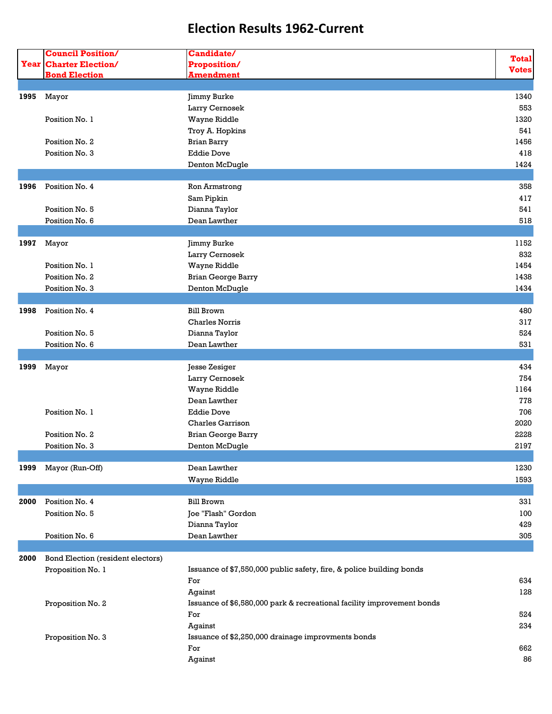|      | <b>Council Position/</b>          | Candidate/                                                             |              |
|------|-----------------------------------|------------------------------------------------------------------------|--------------|
|      | <b>Year Charter Election/</b>     | Proposition/                                                           | <b>Total</b> |
|      | <b>Bond Election</b>              | <b>Amendment</b>                                                       | <b>Votes</b> |
|      |                                   |                                                                        |              |
| 1995 | Mayor                             | Jimmy Burke                                                            | 1340         |
|      |                                   | Larry Cernosek                                                         | 553          |
|      | Position No. 1                    | Wayne Riddle                                                           | 1320         |
|      |                                   | Troy A. Hopkins                                                        | 541          |
|      | Position No. 2                    | <b>Brian Barry</b>                                                     | 1456         |
|      | Position No. 3                    | <b>Eddie Dove</b>                                                      | 418          |
|      |                                   | Denton McDugle                                                         | 1424         |
|      |                                   |                                                                        |              |
| 1996 | Position No. 4                    | Ron Armstrong                                                          | 358          |
|      |                                   | Sam Pipkin                                                             | 417          |
|      | Position No. 5                    | Dianna Taylor                                                          | 541          |
|      | Position No. 6                    | Dean Lawther                                                           | 518          |
|      |                                   |                                                                        |              |
|      |                                   |                                                                        | 1152         |
| 1997 | Mayor                             | Jimmy Burke                                                            |              |
|      |                                   | Larry Cernosek                                                         | 832          |
|      | Position No. 1                    | Wayne Riddle                                                           | 1454         |
|      | Position No. 2                    | <b>Brian George Barry</b>                                              | 1438         |
|      | Position No. 3                    | Denton McDugle                                                         | 1434         |
|      |                                   |                                                                        |              |
| 1998 | Position No. 4                    | <b>Bill Brown</b>                                                      | 480          |
|      |                                   | <b>Charles Norris</b>                                                  | 317          |
|      | Position No. 5                    | Dianna Taylor                                                          | 524          |
|      | Position No. 6                    | Dean Lawther                                                           | 531          |
|      |                                   |                                                                        |              |
| 1999 | Mayor                             | Jesse Zesiger                                                          | 434          |
|      |                                   | Larry Cernosek                                                         | 754          |
|      |                                   | Wayne Riddle                                                           | 1164         |
|      |                                   | Dean Lawther                                                           | 778          |
|      | Position No. 1                    | <b>Eddie Dove</b>                                                      | 706          |
|      |                                   | <b>Charles Garrison</b>                                                | 2020         |
|      |                                   |                                                                        |              |
|      | Position No. 2                    | <b>Brian George Barry</b>                                              | 2228         |
|      | Position No. 3                    | Denton McDugle                                                         | 2197         |
|      |                                   |                                                                        |              |
| 1999 | Mayor (Run-Off)                   | Dean Lawther                                                           | 1230         |
|      |                                   | Wayne Riddle                                                           | 1593         |
|      |                                   |                                                                        |              |
| 2000 | Position No. 4                    | <b>Bill Brown</b>                                                      | 331          |
|      | Position No. 5                    | Joe "Flash" Gordon                                                     | 100          |
|      |                                   | Dianna Taylor                                                          | 429          |
|      | Position No. 6                    | Dean Lawther                                                           | 305          |
|      |                                   |                                                                        |              |
| 2000 | Bond Election (resident electors) |                                                                        |              |
|      | Proposition No. 1                 | Issuance of \$7,550,000 public safety, fire, & police building bonds   |              |
|      |                                   | For                                                                    | 634          |
|      |                                   | Against                                                                | 128          |
|      | Proposition No. 2                 | Issuance of \$6,580,000 park & recreational facility improvement bonds |              |
|      |                                   | For                                                                    | 524          |
|      |                                   | Against                                                                | 234          |
|      |                                   |                                                                        |              |
|      | Proposition No. 3                 | Issuance of \$2,250,000 drainage improvments bonds                     |              |
|      |                                   | For                                                                    | 662          |
|      |                                   | Against                                                                | 86           |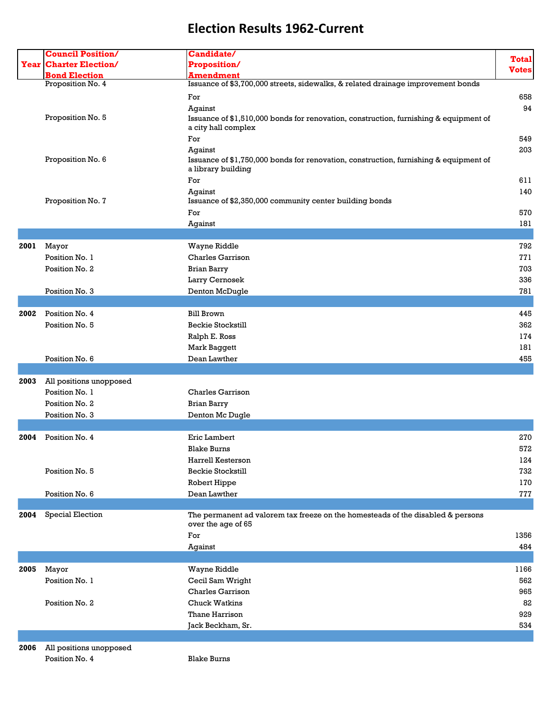|      | <b>Council Position/</b>      | Candidate/                                                                                                   |              |
|------|-------------------------------|--------------------------------------------------------------------------------------------------------------|--------------|
|      | <b>Year Charter Election/</b> | <b>Proposition/</b>                                                                                          | <b>Total</b> |
|      | <b>Bond Election</b>          | <b>Amendment</b>                                                                                             | <b>Votes</b> |
|      | Proposition No. 4             | Issuance of \$3,700,000 streets, sidewalks, & related drainage improvement bonds                             |              |
|      |                               |                                                                                                              |              |
|      |                               | For                                                                                                          | 658          |
|      |                               | Against                                                                                                      | 94           |
|      | Proposition No. 5             | Issuance of \$1,510,000 bonds for renovation, construction, furnishing & equipment of<br>a city hall complex |              |
|      |                               |                                                                                                              |              |
|      |                               | For                                                                                                          | 549          |
|      | Proposition No. 6             | Against                                                                                                      | 203          |
|      |                               | Issuance of \$1,750,000 bonds for renovation, construction, furnishing & equipment of<br>a library building  |              |
|      |                               | For                                                                                                          | 611          |
|      |                               |                                                                                                              | 140          |
|      | Proposition No. 7             | Against<br>Issuance of \$2,350,000 community center building bonds                                           |              |
|      |                               |                                                                                                              |              |
|      |                               | For                                                                                                          | 570          |
|      |                               | Against                                                                                                      | 181          |
|      |                               |                                                                                                              |              |
| 2001 | Mayor                         | Wayne Riddle                                                                                                 | 792          |
|      | Position No. 1                | Charles Garrison                                                                                             | 771          |
|      | Position No. 2                | <b>Brian Barry</b>                                                                                           | 703          |
|      |                               | Larry Cernosek                                                                                               | 336          |
|      | Position No. 3                | Denton McDugle                                                                                               | 781          |
|      |                               |                                                                                                              |              |
| 2002 | Position No. 4                | <b>Bill Brown</b>                                                                                            | 445          |
|      | Position No. 5                | <b>Beckie Stockstill</b>                                                                                     | 362          |
|      |                               | Ralph E. Ross                                                                                                | 174          |
|      |                               | Mark Baggett                                                                                                 | 181          |
|      | Position No. 6                | Dean Lawther                                                                                                 | 455          |
|      |                               |                                                                                                              |              |
|      |                               |                                                                                                              |              |
| 2003 | All positions unopposed       |                                                                                                              |              |
|      | Position No. 1                | <b>Charles Garrison</b>                                                                                      |              |
|      | Position No. 2                | <b>Brian Barry</b>                                                                                           |              |
|      | Position No. 3                | Denton Mc Dugle                                                                                              |              |
|      |                               |                                                                                                              |              |
| 2004 | Position No. 4                | Eric Lambert                                                                                                 | 270          |
|      |                               | <b>Blake Burns</b>                                                                                           | 572          |
|      |                               | Harrell Kesterson                                                                                            | 124          |
|      | Position No. 5                | <b>Beckie Stockstill</b>                                                                                     | 732          |
|      |                               | Robert Hippe                                                                                                 | 170          |
|      | Position No. 6                | Dean Lawther                                                                                                 | 777          |
|      |                               |                                                                                                              |              |
| 2004 | Special Election              | The permanent ad valorem tax freeze on the homesteads of the disabled & persons                              |              |
|      |                               | over the age of 65                                                                                           |              |
|      |                               | For                                                                                                          | 1356         |
|      |                               | Against                                                                                                      | 484          |
|      |                               |                                                                                                              |              |
| 2005 | Mayor                         | Wayne Riddle                                                                                                 | 1166         |
|      | Position No. 1                | Cecil Sam Wright                                                                                             | 562          |
|      |                               | Charles Garrison                                                                                             | 965          |
|      |                               |                                                                                                              |              |
|      | Position No. 2                | <b>Chuck Watkins</b>                                                                                         | 82           |
|      |                               | Thane Harrison                                                                                               | 929          |
|      |                               | Jack Beckham, Sr.                                                                                            | 534          |
|      |                               |                                                                                                              |              |
| 2006 | All positions unopposed       |                                                                                                              |              |
|      | Position No. 4                | <b>Blake Burns</b>                                                                                           |              |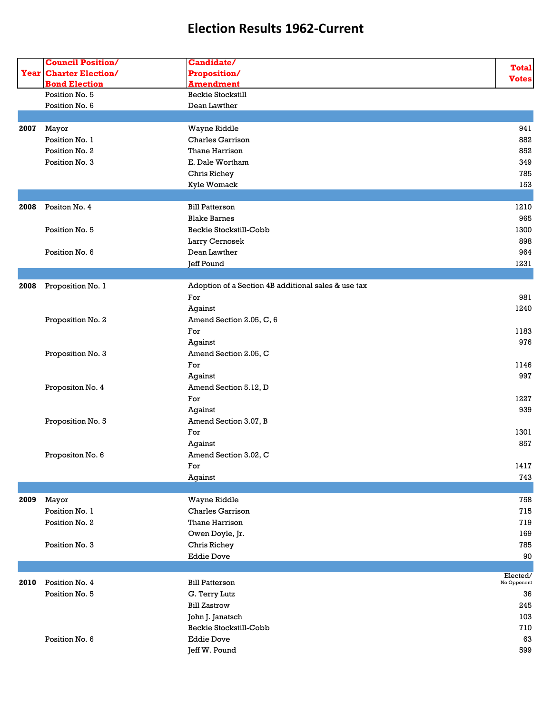|      | <b>Council Position/</b>      | Candidate/                                          |              |
|------|-------------------------------|-----------------------------------------------------|--------------|
|      | <b>Year Charter Election/</b> | Proposition/                                        | <b>Total</b> |
|      | <b>Bond Election</b>          | <b>Amendment</b>                                    | <b>Votes</b> |
|      | Position No. 5                | Beckie Stockstill                                   |              |
|      | Position No. 6                | Dean Lawther                                        |              |
|      |                               |                                                     |              |
| 2007 | Mayor                         | Wayne Riddle                                        | 941          |
|      | Position No. 1                | <b>Charles Garrison</b>                             | 882          |
|      | Position No. 2                | Thane Harrison                                      | 852          |
|      | Position No. 3                | E. Dale Wortham                                     | 349          |
|      |                               | Chris Richey                                        | 785          |
|      |                               | Kyle Womack                                         | 153          |
|      |                               |                                                     |              |
| 2008 | Positon No. 4                 | <b>Bill Patterson</b>                               | 1210         |
|      |                               | <b>Blake Barnes</b>                                 | 965          |
|      | Position No. 5                | Beckie Stockstill-Cobb                              | 1300         |
|      |                               |                                                     | 898          |
|      |                               | Larry Cernosek<br>Dean Lawther                      |              |
|      | Position No. 6                |                                                     | 964          |
|      |                               | Jeff Pound                                          | 1231         |
|      |                               |                                                     |              |
| 2008 | Proposition No. 1             | Adoption of a Section 4B additional sales & use tax |              |
|      |                               | For                                                 | 981          |
|      |                               | Against                                             | 1240         |
|      | Proposition No. 2             | Amend Section 2.05, C, 6                            |              |
|      |                               | For                                                 | 1183         |
|      |                               | Against                                             | 976          |
|      | Proposition No. 3             | Amend Section 2.05, C                               |              |
|      |                               | For                                                 | 1146         |
|      |                               | Against                                             | 997          |
|      | Propositon No. 4              | Amend Section 5.12, D                               |              |
|      |                               | For                                                 | 1227         |
|      |                               | Against                                             | 939          |
|      | Proposition No. 5             | Amend Section 3.07, B                               |              |
|      |                               | For                                                 | 1301         |
|      |                               | Against                                             | 857          |
|      | Propositon No. 6              | Amend Section 3.02, C                               |              |
|      |                               | For                                                 | 1417         |
|      |                               | Against                                             | 743          |
|      |                               |                                                     |              |
| 2009 | Mayor                         | Wayne Riddle                                        | 758          |
|      | Position No. 1                | Charles Garrison                                    | 715          |
|      | Position No. 2                | Thane Harrison                                      | 719          |
|      |                               | Owen Doyle, Jr.                                     | 169          |
|      | Position No. 3                | Chris Richey                                        | 785          |
|      |                               | <b>Eddie Dove</b>                                   | 90           |
|      |                               |                                                     |              |
|      |                               |                                                     | Elected/     |
| 2010 | Position No. 4                | <b>Bill Patterson</b>                               | No Opponent  |
|      | Position No. 5                | G. Terry Lutz                                       | 36           |
|      |                               | <b>Bill Zastrow</b>                                 | 245          |
|      |                               | John J. Janatsch                                    | 103          |
|      |                               | Beckie Stockstill-Cobb                              | 710          |
|      | Position No. 6                | <b>Eddie Dove</b>                                   | 63           |
|      |                               | Jeff W. Pound                                       | 599          |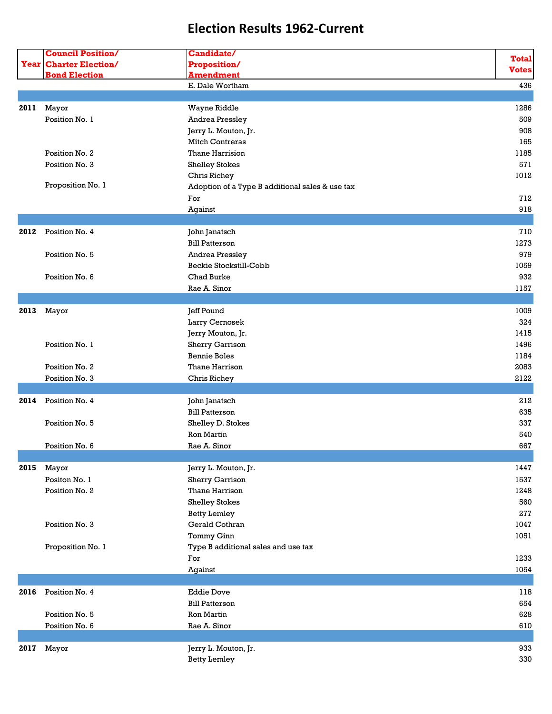| <b>Year Charter Election/</b><br>Proposition/<br><b>Votes</b><br><b>Amendment</b><br><b>Bond Election</b><br>E. Dale Wortham<br>436<br>Mayor<br>1286<br>2011<br>Wayne Riddle<br>Position No. 1<br>Andrea Pressley<br>509<br>Jerry L. Mouton, Jr.<br>908<br><b>Mitch Contreras</b><br>165<br>Thane Harrision<br>Position No. 2<br>1185<br>571<br>Position No. 3<br><b>Shelley Stokes</b><br>1012<br>Chris Richey<br>Proposition No. 1<br>Adoption of a Type B additional sales & use tax<br>712<br>For<br>918<br>Against<br>2012<br>Position No. 4<br>710<br>John Janatsch<br><b>Bill Patterson</b><br>1273<br>979<br>Position No. 5<br>Andrea Pressley<br>Beckie Stockstill-Cobb<br>1059<br>Position No. 6<br>Chad Burke<br>932<br>Rae A. Sinor<br>1157<br>Mayor<br>Jeff Pound<br>1009<br>2013<br>Larry Cernosek<br>324<br>Jerry Mouton, Jr.<br>1415<br>Position No. 1<br>Sherry Garrison<br>1496<br><b>Bennie Boles</b><br>1184<br>2083<br>Position No. 2<br>Thane Harrison<br>Position No. 3<br>2122<br>Chris Richey<br>Position No. 4<br>212<br>2014<br>John Janatsch<br><b>Bill Patterson</b><br>635<br>Position No. 5<br>Shelley D. Stokes<br>337<br>Ron Martin<br>540<br>667<br>Position No. 6<br>Rae A. Sinor<br>Mayor<br>Jerry L. Mouton, Jr.<br>2015<br>Positon No. 1<br><b>Sherry Garrison</b><br>1537<br>Position No. 2<br>Thane Harrison<br>1248<br><b>Shelley Stokes</b><br>560<br>277<br><b>Betty Lemley</b><br>Gerald Cothran<br>Position No. 3<br>1047<br>Tommy Ginn<br>1051<br>Proposition No. 1<br>Type B additional sales and use tax<br>For<br>1233<br>1054<br>Against<br>Position No. 4<br><b>Eddie Dove</b><br>118<br>2016<br><b>Bill Patterson</b><br>654<br>Position No. 5<br>628<br>Ron Martin<br>Position No. 6<br>Rae A. Sinor<br>610<br>933<br>Jerry L. Mouton, Jr.<br>2017 Mayor<br>330<br><b>Betty Lemley</b> | <b>Council Position/</b> | Candidate/ |              |
|---------------------------------------------------------------------------------------------------------------------------------------------------------------------------------------------------------------------------------------------------------------------------------------------------------------------------------------------------------------------------------------------------------------------------------------------------------------------------------------------------------------------------------------------------------------------------------------------------------------------------------------------------------------------------------------------------------------------------------------------------------------------------------------------------------------------------------------------------------------------------------------------------------------------------------------------------------------------------------------------------------------------------------------------------------------------------------------------------------------------------------------------------------------------------------------------------------------------------------------------------------------------------------------------------------------------------------------------------------------------------------------------------------------------------------------------------------------------------------------------------------------------------------------------------------------------------------------------------------------------------------------------------------------------------------------------------------------------------------------------------------------------------------------------------------------------------------------------|--------------------------|------------|--------------|
|                                                                                                                                                                                                                                                                                                                                                                                                                                                                                                                                                                                                                                                                                                                                                                                                                                                                                                                                                                                                                                                                                                                                                                                                                                                                                                                                                                                                                                                                                                                                                                                                                                                                                                                                                                                                                                             |                          |            | <b>Total</b> |
|                                                                                                                                                                                                                                                                                                                                                                                                                                                                                                                                                                                                                                                                                                                                                                                                                                                                                                                                                                                                                                                                                                                                                                                                                                                                                                                                                                                                                                                                                                                                                                                                                                                                                                                                                                                                                                             |                          |            |              |
|                                                                                                                                                                                                                                                                                                                                                                                                                                                                                                                                                                                                                                                                                                                                                                                                                                                                                                                                                                                                                                                                                                                                                                                                                                                                                                                                                                                                                                                                                                                                                                                                                                                                                                                                                                                                                                             |                          |            |              |
|                                                                                                                                                                                                                                                                                                                                                                                                                                                                                                                                                                                                                                                                                                                                                                                                                                                                                                                                                                                                                                                                                                                                                                                                                                                                                                                                                                                                                                                                                                                                                                                                                                                                                                                                                                                                                                             |                          |            |              |
|                                                                                                                                                                                                                                                                                                                                                                                                                                                                                                                                                                                                                                                                                                                                                                                                                                                                                                                                                                                                                                                                                                                                                                                                                                                                                                                                                                                                                                                                                                                                                                                                                                                                                                                                                                                                                                             |                          |            |              |
|                                                                                                                                                                                                                                                                                                                                                                                                                                                                                                                                                                                                                                                                                                                                                                                                                                                                                                                                                                                                                                                                                                                                                                                                                                                                                                                                                                                                                                                                                                                                                                                                                                                                                                                                                                                                                                             |                          |            |              |
|                                                                                                                                                                                                                                                                                                                                                                                                                                                                                                                                                                                                                                                                                                                                                                                                                                                                                                                                                                                                                                                                                                                                                                                                                                                                                                                                                                                                                                                                                                                                                                                                                                                                                                                                                                                                                                             |                          |            |              |
|                                                                                                                                                                                                                                                                                                                                                                                                                                                                                                                                                                                                                                                                                                                                                                                                                                                                                                                                                                                                                                                                                                                                                                                                                                                                                                                                                                                                                                                                                                                                                                                                                                                                                                                                                                                                                                             |                          |            |              |
|                                                                                                                                                                                                                                                                                                                                                                                                                                                                                                                                                                                                                                                                                                                                                                                                                                                                                                                                                                                                                                                                                                                                                                                                                                                                                                                                                                                                                                                                                                                                                                                                                                                                                                                                                                                                                                             |                          |            |              |
|                                                                                                                                                                                                                                                                                                                                                                                                                                                                                                                                                                                                                                                                                                                                                                                                                                                                                                                                                                                                                                                                                                                                                                                                                                                                                                                                                                                                                                                                                                                                                                                                                                                                                                                                                                                                                                             |                          |            |              |
|                                                                                                                                                                                                                                                                                                                                                                                                                                                                                                                                                                                                                                                                                                                                                                                                                                                                                                                                                                                                                                                                                                                                                                                                                                                                                                                                                                                                                                                                                                                                                                                                                                                                                                                                                                                                                                             |                          |            |              |
|                                                                                                                                                                                                                                                                                                                                                                                                                                                                                                                                                                                                                                                                                                                                                                                                                                                                                                                                                                                                                                                                                                                                                                                                                                                                                                                                                                                                                                                                                                                                                                                                                                                                                                                                                                                                                                             |                          |            |              |
|                                                                                                                                                                                                                                                                                                                                                                                                                                                                                                                                                                                                                                                                                                                                                                                                                                                                                                                                                                                                                                                                                                                                                                                                                                                                                                                                                                                                                                                                                                                                                                                                                                                                                                                                                                                                                                             |                          |            |              |
|                                                                                                                                                                                                                                                                                                                                                                                                                                                                                                                                                                                                                                                                                                                                                                                                                                                                                                                                                                                                                                                                                                                                                                                                                                                                                                                                                                                                                                                                                                                                                                                                                                                                                                                                                                                                                                             |                          |            |              |
|                                                                                                                                                                                                                                                                                                                                                                                                                                                                                                                                                                                                                                                                                                                                                                                                                                                                                                                                                                                                                                                                                                                                                                                                                                                                                                                                                                                                                                                                                                                                                                                                                                                                                                                                                                                                                                             |                          |            |              |
|                                                                                                                                                                                                                                                                                                                                                                                                                                                                                                                                                                                                                                                                                                                                                                                                                                                                                                                                                                                                                                                                                                                                                                                                                                                                                                                                                                                                                                                                                                                                                                                                                                                                                                                                                                                                                                             |                          |            |              |
|                                                                                                                                                                                                                                                                                                                                                                                                                                                                                                                                                                                                                                                                                                                                                                                                                                                                                                                                                                                                                                                                                                                                                                                                                                                                                                                                                                                                                                                                                                                                                                                                                                                                                                                                                                                                                                             |                          |            |              |
|                                                                                                                                                                                                                                                                                                                                                                                                                                                                                                                                                                                                                                                                                                                                                                                                                                                                                                                                                                                                                                                                                                                                                                                                                                                                                                                                                                                                                                                                                                                                                                                                                                                                                                                                                                                                                                             |                          |            |              |
|                                                                                                                                                                                                                                                                                                                                                                                                                                                                                                                                                                                                                                                                                                                                                                                                                                                                                                                                                                                                                                                                                                                                                                                                                                                                                                                                                                                                                                                                                                                                                                                                                                                                                                                                                                                                                                             |                          |            |              |
|                                                                                                                                                                                                                                                                                                                                                                                                                                                                                                                                                                                                                                                                                                                                                                                                                                                                                                                                                                                                                                                                                                                                                                                                                                                                                                                                                                                                                                                                                                                                                                                                                                                                                                                                                                                                                                             |                          |            |              |
|                                                                                                                                                                                                                                                                                                                                                                                                                                                                                                                                                                                                                                                                                                                                                                                                                                                                                                                                                                                                                                                                                                                                                                                                                                                                                                                                                                                                                                                                                                                                                                                                                                                                                                                                                                                                                                             |                          |            |              |
|                                                                                                                                                                                                                                                                                                                                                                                                                                                                                                                                                                                                                                                                                                                                                                                                                                                                                                                                                                                                                                                                                                                                                                                                                                                                                                                                                                                                                                                                                                                                                                                                                                                                                                                                                                                                                                             |                          |            |              |
|                                                                                                                                                                                                                                                                                                                                                                                                                                                                                                                                                                                                                                                                                                                                                                                                                                                                                                                                                                                                                                                                                                                                                                                                                                                                                                                                                                                                                                                                                                                                                                                                                                                                                                                                                                                                                                             |                          |            |              |
|                                                                                                                                                                                                                                                                                                                                                                                                                                                                                                                                                                                                                                                                                                                                                                                                                                                                                                                                                                                                                                                                                                                                                                                                                                                                                                                                                                                                                                                                                                                                                                                                                                                                                                                                                                                                                                             |                          |            |              |
|                                                                                                                                                                                                                                                                                                                                                                                                                                                                                                                                                                                                                                                                                                                                                                                                                                                                                                                                                                                                                                                                                                                                                                                                                                                                                                                                                                                                                                                                                                                                                                                                                                                                                                                                                                                                                                             |                          |            |              |
|                                                                                                                                                                                                                                                                                                                                                                                                                                                                                                                                                                                                                                                                                                                                                                                                                                                                                                                                                                                                                                                                                                                                                                                                                                                                                                                                                                                                                                                                                                                                                                                                                                                                                                                                                                                                                                             |                          |            |              |
|                                                                                                                                                                                                                                                                                                                                                                                                                                                                                                                                                                                                                                                                                                                                                                                                                                                                                                                                                                                                                                                                                                                                                                                                                                                                                                                                                                                                                                                                                                                                                                                                                                                                                                                                                                                                                                             |                          |            |              |
|                                                                                                                                                                                                                                                                                                                                                                                                                                                                                                                                                                                                                                                                                                                                                                                                                                                                                                                                                                                                                                                                                                                                                                                                                                                                                                                                                                                                                                                                                                                                                                                                                                                                                                                                                                                                                                             |                          |            |              |
|                                                                                                                                                                                                                                                                                                                                                                                                                                                                                                                                                                                                                                                                                                                                                                                                                                                                                                                                                                                                                                                                                                                                                                                                                                                                                                                                                                                                                                                                                                                                                                                                                                                                                                                                                                                                                                             |                          |            |              |
|                                                                                                                                                                                                                                                                                                                                                                                                                                                                                                                                                                                                                                                                                                                                                                                                                                                                                                                                                                                                                                                                                                                                                                                                                                                                                                                                                                                                                                                                                                                                                                                                                                                                                                                                                                                                                                             |                          |            |              |
|                                                                                                                                                                                                                                                                                                                                                                                                                                                                                                                                                                                                                                                                                                                                                                                                                                                                                                                                                                                                                                                                                                                                                                                                                                                                                                                                                                                                                                                                                                                                                                                                                                                                                                                                                                                                                                             |                          |            |              |
|                                                                                                                                                                                                                                                                                                                                                                                                                                                                                                                                                                                                                                                                                                                                                                                                                                                                                                                                                                                                                                                                                                                                                                                                                                                                                                                                                                                                                                                                                                                                                                                                                                                                                                                                                                                                                                             |                          |            |              |
|                                                                                                                                                                                                                                                                                                                                                                                                                                                                                                                                                                                                                                                                                                                                                                                                                                                                                                                                                                                                                                                                                                                                                                                                                                                                                                                                                                                                                                                                                                                                                                                                                                                                                                                                                                                                                                             |                          |            |              |
|                                                                                                                                                                                                                                                                                                                                                                                                                                                                                                                                                                                                                                                                                                                                                                                                                                                                                                                                                                                                                                                                                                                                                                                                                                                                                                                                                                                                                                                                                                                                                                                                                                                                                                                                                                                                                                             |                          |            |              |
|                                                                                                                                                                                                                                                                                                                                                                                                                                                                                                                                                                                                                                                                                                                                                                                                                                                                                                                                                                                                                                                                                                                                                                                                                                                                                                                                                                                                                                                                                                                                                                                                                                                                                                                                                                                                                                             |                          |            |              |
|                                                                                                                                                                                                                                                                                                                                                                                                                                                                                                                                                                                                                                                                                                                                                                                                                                                                                                                                                                                                                                                                                                                                                                                                                                                                                                                                                                                                                                                                                                                                                                                                                                                                                                                                                                                                                                             |                          |            |              |
|                                                                                                                                                                                                                                                                                                                                                                                                                                                                                                                                                                                                                                                                                                                                                                                                                                                                                                                                                                                                                                                                                                                                                                                                                                                                                                                                                                                                                                                                                                                                                                                                                                                                                                                                                                                                                                             |                          |            |              |
|                                                                                                                                                                                                                                                                                                                                                                                                                                                                                                                                                                                                                                                                                                                                                                                                                                                                                                                                                                                                                                                                                                                                                                                                                                                                                                                                                                                                                                                                                                                                                                                                                                                                                                                                                                                                                                             |                          |            |              |
|                                                                                                                                                                                                                                                                                                                                                                                                                                                                                                                                                                                                                                                                                                                                                                                                                                                                                                                                                                                                                                                                                                                                                                                                                                                                                                                                                                                                                                                                                                                                                                                                                                                                                                                                                                                                                                             |                          |            |              |
|                                                                                                                                                                                                                                                                                                                                                                                                                                                                                                                                                                                                                                                                                                                                                                                                                                                                                                                                                                                                                                                                                                                                                                                                                                                                                                                                                                                                                                                                                                                                                                                                                                                                                                                                                                                                                                             |                          |            |              |
|                                                                                                                                                                                                                                                                                                                                                                                                                                                                                                                                                                                                                                                                                                                                                                                                                                                                                                                                                                                                                                                                                                                                                                                                                                                                                                                                                                                                                                                                                                                                                                                                                                                                                                                                                                                                                                             |                          |            |              |
|                                                                                                                                                                                                                                                                                                                                                                                                                                                                                                                                                                                                                                                                                                                                                                                                                                                                                                                                                                                                                                                                                                                                                                                                                                                                                                                                                                                                                                                                                                                                                                                                                                                                                                                                                                                                                                             |                          |            | 1447         |
|                                                                                                                                                                                                                                                                                                                                                                                                                                                                                                                                                                                                                                                                                                                                                                                                                                                                                                                                                                                                                                                                                                                                                                                                                                                                                                                                                                                                                                                                                                                                                                                                                                                                                                                                                                                                                                             |                          |            |              |
|                                                                                                                                                                                                                                                                                                                                                                                                                                                                                                                                                                                                                                                                                                                                                                                                                                                                                                                                                                                                                                                                                                                                                                                                                                                                                                                                                                                                                                                                                                                                                                                                                                                                                                                                                                                                                                             |                          |            |              |
|                                                                                                                                                                                                                                                                                                                                                                                                                                                                                                                                                                                                                                                                                                                                                                                                                                                                                                                                                                                                                                                                                                                                                                                                                                                                                                                                                                                                                                                                                                                                                                                                                                                                                                                                                                                                                                             |                          |            |              |
|                                                                                                                                                                                                                                                                                                                                                                                                                                                                                                                                                                                                                                                                                                                                                                                                                                                                                                                                                                                                                                                                                                                                                                                                                                                                                                                                                                                                                                                                                                                                                                                                                                                                                                                                                                                                                                             |                          |            |              |
|                                                                                                                                                                                                                                                                                                                                                                                                                                                                                                                                                                                                                                                                                                                                                                                                                                                                                                                                                                                                                                                                                                                                                                                                                                                                                                                                                                                                                                                                                                                                                                                                                                                                                                                                                                                                                                             |                          |            |              |
|                                                                                                                                                                                                                                                                                                                                                                                                                                                                                                                                                                                                                                                                                                                                                                                                                                                                                                                                                                                                                                                                                                                                                                                                                                                                                                                                                                                                                                                                                                                                                                                                                                                                                                                                                                                                                                             |                          |            |              |
|                                                                                                                                                                                                                                                                                                                                                                                                                                                                                                                                                                                                                                                                                                                                                                                                                                                                                                                                                                                                                                                                                                                                                                                                                                                                                                                                                                                                                                                                                                                                                                                                                                                                                                                                                                                                                                             |                          |            |              |
|                                                                                                                                                                                                                                                                                                                                                                                                                                                                                                                                                                                                                                                                                                                                                                                                                                                                                                                                                                                                                                                                                                                                                                                                                                                                                                                                                                                                                                                                                                                                                                                                                                                                                                                                                                                                                                             |                          |            |              |
|                                                                                                                                                                                                                                                                                                                                                                                                                                                                                                                                                                                                                                                                                                                                                                                                                                                                                                                                                                                                                                                                                                                                                                                                                                                                                                                                                                                                                                                                                                                                                                                                                                                                                                                                                                                                                                             |                          |            |              |
|                                                                                                                                                                                                                                                                                                                                                                                                                                                                                                                                                                                                                                                                                                                                                                                                                                                                                                                                                                                                                                                                                                                                                                                                                                                                                                                                                                                                                                                                                                                                                                                                                                                                                                                                                                                                                                             |                          |            |              |
|                                                                                                                                                                                                                                                                                                                                                                                                                                                                                                                                                                                                                                                                                                                                                                                                                                                                                                                                                                                                                                                                                                                                                                                                                                                                                                                                                                                                                                                                                                                                                                                                                                                                                                                                                                                                                                             |                          |            |              |
|                                                                                                                                                                                                                                                                                                                                                                                                                                                                                                                                                                                                                                                                                                                                                                                                                                                                                                                                                                                                                                                                                                                                                                                                                                                                                                                                                                                                                                                                                                                                                                                                                                                                                                                                                                                                                                             |                          |            |              |
|                                                                                                                                                                                                                                                                                                                                                                                                                                                                                                                                                                                                                                                                                                                                                                                                                                                                                                                                                                                                                                                                                                                                                                                                                                                                                                                                                                                                                                                                                                                                                                                                                                                                                                                                                                                                                                             |                          |            |              |
|                                                                                                                                                                                                                                                                                                                                                                                                                                                                                                                                                                                                                                                                                                                                                                                                                                                                                                                                                                                                                                                                                                                                                                                                                                                                                                                                                                                                                                                                                                                                                                                                                                                                                                                                                                                                                                             |                          |            |              |
|                                                                                                                                                                                                                                                                                                                                                                                                                                                                                                                                                                                                                                                                                                                                                                                                                                                                                                                                                                                                                                                                                                                                                                                                                                                                                                                                                                                                                                                                                                                                                                                                                                                                                                                                                                                                                                             |                          |            |              |
|                                                                                                                                                                                                                                                                                                                                                                                                                                                                                                                                                                                                                                                                                                                                                                                                                                                                                                                                                                                                                                                                                                                                                                                                                                                                                                                                                                                                                                                                                                                                                                                                                                                                                                                                                                                                                                             |                          |            |              |
|                                                                                                                                                                                                                                                                                                                                                                                                                                                                                                                                                                                                                                                                                                                                                                                                                                                                                                                                                                                                                                                                                                                                                                                                                                                                                                                                                                                                                                                                                                                                                                                                                                                                                                                                                                                                                                             |                          |            |              |
|                                                                                                                                                                                                                                                                                                                                                                                                                                                                                                                                                                                                                                                                                                                                                                                                                                                                                                                                                                                                                                                                                                                                                                                                                                                                                                                                                                                                                                                                                                                                                                                                                                                                                                                                                                                                                                             |                          |            |              |
|                                                                                                                                                                                                                                                                                                                                                                                                                                                                                                                                                                                                                                                                                                                                                                                                                                                                                                                                                                                                                                                                                                                                                                                                                                                                                                                                                                                                                                                                                                                                                                                                                                                                                                                                                                                                                                             |                          |            |              |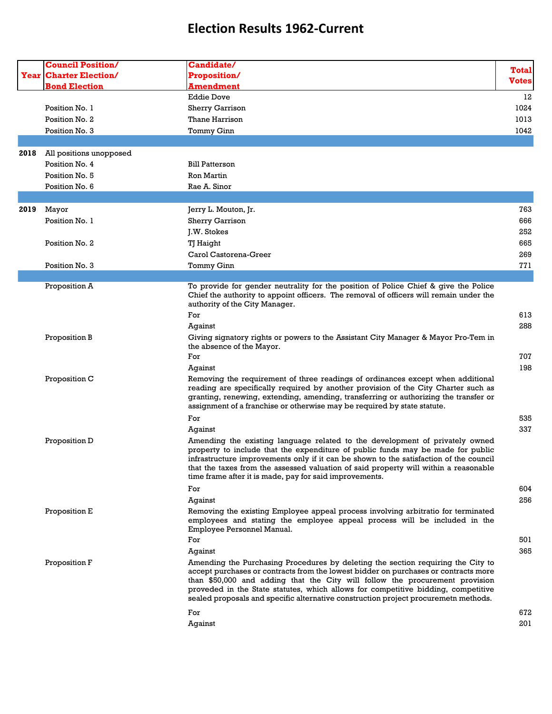|      | <b>Council Position/</b>      | <b>Candidate/</b>                                                                                                                                                                                                                                                                                                                                                                                                                   |              |
|------|-------------------------------|-------------------------------------------------------------------------------------------------------------------------------------------------------------------------------------------------------------------------------------------------------------------------------------------------------------------------------------------------------------------------------------------------------------------------------------|--------------|
|      | <b>Year Charter Election/</b> | <b>Proposition/</b>                                                                                                                                                                                                                                                                                                                                                                                                                 | <b>Total</b> |
|      | <b>Bond Election</b>          | <u>Amendment</u>                                                                                                                                                                                                                                                                                                                                                                                                                    | Votes        |
|      |                               | <b>Eddie Dove</b>                                                                                                                                                                                                                                                                                                                                                                                                                   | 12           |
|      | Position No. 1                | <b>Sherry Garrison</b>                                                                                                                                                                                                                                                                                                                                                                                                              | 1024         |
|      | Position No. 2                | Thane Harrison                                                                                                                                                                                                                                                                                                                                                                                                                      | 1013         |
|      | Position No. 3                | Tommy Ginn                                                                                                                                                                                                                                                                                                                                                                                                                          | 1042         |
|      |                               |                                                                                                                                                                                                                                                                                                                                                                                                                                     |              |
| 2018 | All positions unopposed       |                                                                                                                                                                                                                                                                                                                                                                                                                                     |              |
|      | Position No. 4                | <b>Bill Patterson</b>                                                                                                                                                                                                                                                                                                                                                                                                               |              |
|      | Position No. 5                | Ron Martin                                                                                                                                                                                                                                                                                                                                                                                                                          |              |
|      | Position No. 6                | Rae A. Sinor                                                                                                                                                                                                                                                                                                                                                                                                                        |              |
|      |                               |                                                                                                                                                                                                                                                                                                                                                                                                                                     |              |
| 2019 | Mayor                         | Jerry L. Mouton, Jr.                                                                                                                                                                                                                                                                                                                                                                                                                | 763          |
|      | Position No. 1                | Sherry Garrison                                                                                                                                                                                                                                                                                                                                                                                                                     | 666          |
|      |                               | J.W. Stokes                                                                                                                                                                                                                                                                                                                                                                                                                         | 252          |
|      | Position No. 2                | TJ Haight                                                                                                                                                                                                                                                                                                                                                                                                                           | 665          |
|      |                               | Carol Castorena-Greer                                                                                                                                                                                                                                                                                                                                                                                                               | 269          |
|      | Position No. 3                | Tommy Ginn                                                                                                                                                                                                                                                                                                                                                                                                                          | 771          |
|      |                               |                                                                                                                                                                                                                                                                                                                                                                                                                                     |              |
|      | Proposition A                 | To provide for gender neutrality for the position of Police Chief & give the Police<br>Chief the authority to appoint officers. The removal of officers will remain under the<br>authority of the City Manager.                                                                                                                                                                                                                     |              |
|      |                               | For                                                                                                                                                                                                                                                                                                                                                                                                                                 | 613          |
|      |                               | Against                                                                                                                                                                                                                                                                                                                                                                                                                             | 288          |
|      | Proposition B                 | Giving signatory rights or powers to the Assistant City Manager & Mayor Pro-Tem in                                                                                                                                                                                                                                                                                                                                                  |              |
|      |                               | the absence of the Mayor.                                                                                                                                                                                                                                                                                                                                                                                                           |              |
|      |                               | For                                                                                                                                                                                                                                                                                                                                                                                                                                 | 707          |
|      |                               | Against                                                                                                                                                                                                                                                                                                                                                                                                                             | 198          |
|      | Proposition C                 | Removing the requirement of three readings of ordinances except when additional<br>reading are specifically required by another provision of the City Charter such as<br>granting, renewing, extending, amending, transferring or authorizing the transfer or<br>assignment of a franchise or otherwise may be required by state statute.                                                                                           |              |
|      |                               | For                                                                                                                                                                                                                                                                                                                                                                                                                                 | 535          |
|      |                               | Against                                                                                                                                                                                                                                                                                                                                                                                                                             | 337          |
|      | Proposition D                 | Amending the existing language related to the development of privately owned<br>property to include that the expenditure of public funds may be made for public<br>infrastructure improvements only if it can be shown to the satisfaction of the council<br>that the taxes from the assessed valuation of said property will within a reasonable<br>time frame after it is made, pay for said improvements.                        |              |
|      |                               | For                                                                                                                                                                                                                                                                                                                                                                                                                                 | 604          |
|      |                               | Against                                                                                                                                                                                                                                                                                                                                                                                                                             | 256          |
|      | Proposition E                 | Removing the existing Employee appeal process involving arbitratio for terminated<br>employees and stating the employee appeal process will be included in the<br>Employee Personnel Manual.                                                                                                                                                                                                                                        |              |
|      |                               | For                                                                                                                                                                                                                                                                                                                                                                                                                                 | 501          |
|      |                               | Aqainst                                                                                                                                                                                                                                                                                                                                                                                                                             | 365          |
|      | Proposition F                 | Amending the Purchasing Procedures by deleting the section requiring the City to<br>accept purchases or contracts from the lowest bidder on purchases or contracts more<br>than \$50,000 and adding that the City will follow the procurement provision<br>proveded in the State statutes, which allows for competitive bidding, competitive<br>sealed proposals and specific alternative construction project procuremetn methods. |              |
|      |                               | For                                                                                                                                                                                                                                                                                                                                                                                                                                 | 672          |
|      |                               | Against                                                                                                                                                                                                                                                                                                                                                                                                                             | 201          |
|      |                               |                                                                                                                                                                                                                                                                                                                                                                                                                                     |              |